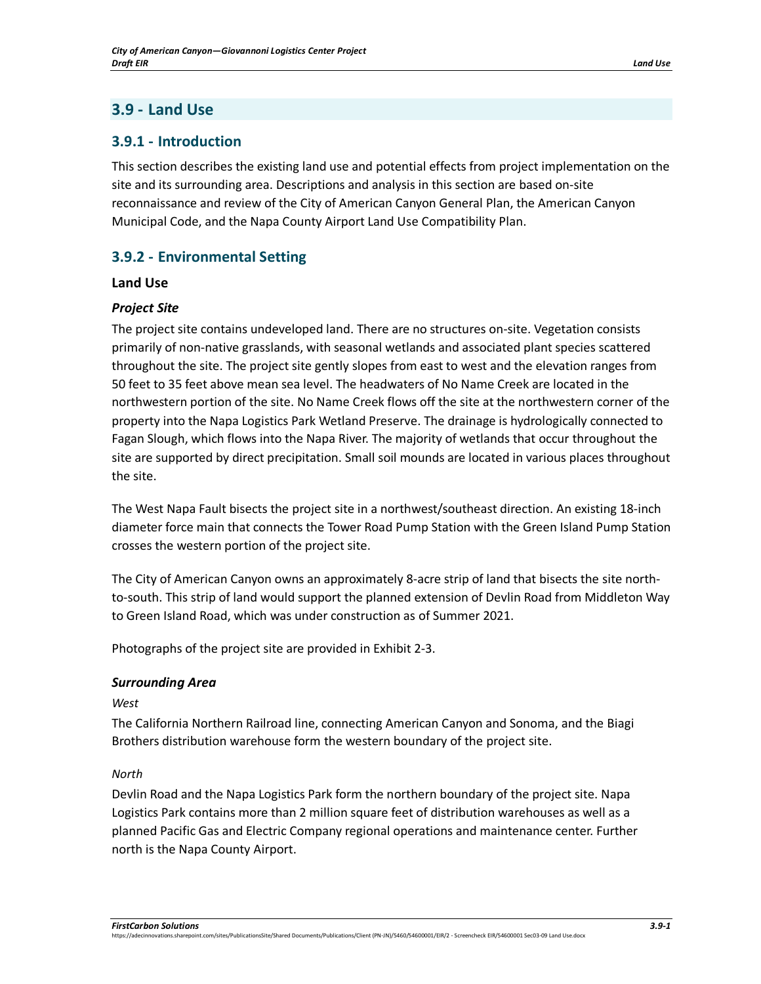# **3.9 - Land Use**

# **3.9.1 - Introduction**

This section describes the existing land use and potential effects from project implementation on the site and its surrounding area. Descriptions and analysis in this section are based on-site reconnaissance and review of the City of American Canyon General Plan, the American Canyon Municipal Code, and the Napa County Airport Land Use Compatibility Plan.

# **3.9.2 - Environmental Setting**

## **Land Use**

## *Project Site*

The project site contains undeveloped land. There are no structures on-site. Vegetation consists primarily of non-native grasslands, with seasonal wetlands and associated plant species scattered throughout the site. The project site gently slopes from east to west and the elevation ranges from 50 feet to 35 feet above mean sea level. The headwaters of No Name Creek are located in the northwestern portion of the site. No Name Creek flows off the site at the northwestern corner of the property into the Napa Logistics Park Wetland Preserve. The drainage is hydrologically connected to Fagan Slough, which flows into the Napa River. The majority of wetlands that occur throughout the site are supported by direct precipitation. Small soil mounds are located in various places throughout the site.

The West Napa Fault bisects the project site in a northwest/southeast direction. An existing 18-inch diameter force main that connects the Tower Road Pump Station with the Green Island Pump Station crosses the western portion of the project site.

The City of American Canyon owns an approximately 8-acre strip of land that bisects the site northto-south. This strip of land would support the planned extension of Devlin Road from Middleton Way to Green Island Road, which was under construction as of Summer 2021.

Photographs of the project site are provided in Exhibit 2-3.

## *Surrounding Area*

## *West*

The California Northern Railroad line, connecting American Canyon and Sonoma, and the Biagi Brothers distribution warehouse form the western boundary of the project site.

## *North*

Devlin Road and the Napa Logistics Park form the northern boundary of the project site. Napa Logistics Park contains more than 2 million square feet of distribution warehouses as well as a planned Pacific Gas and Electric Company regional operations and maintenance center. Further north is the Napa County Airport.

https://adecinnovations.sharepoint.com/sites/PublicationsSite/Shared Documents/Publications/Client (PN-JN)/5460/54600001/EIR/2 - Screencheck EIR/54600001 Sec03-09 Land Use.docx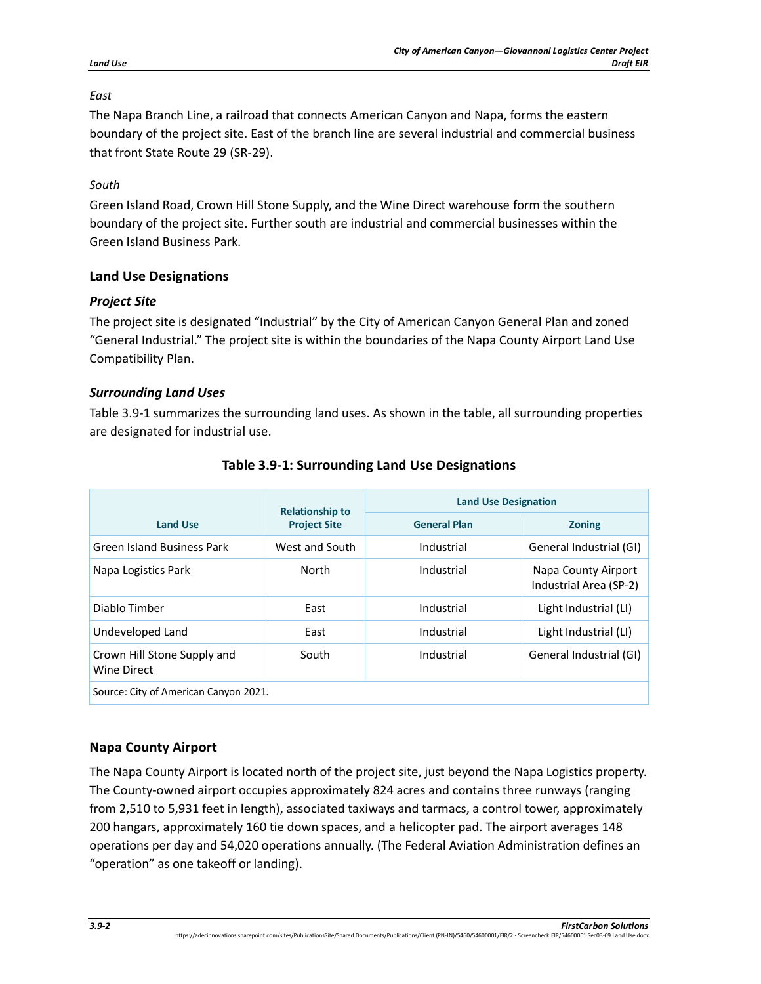## *East*

The Napa Branch Line, a railroad that connects American Canyon and Napa, forms the eastern boundary of the project site. East of the branch line are several industrial and commercial business that front State Route 29 (SR-29).

# *South*

Green Island Road, Crown Hill Stone Supply, and the Wine Direct warehouse form the southern boundary of the project site. Further south are industrial and commercial businesses within the Green Island Business Park.

# **Land Use Designations**

# *Project Site*

The project site is designated "Industrial" by the City of American Canyon General Plan and zoned "General Industrial." The project site is within the boundaries of the Napa County Airport Land Use Compatibility Plan.

# *Surrounding Land Uses*

[Table 3.9-1](#page-1-0) summarizes the surrounding land uses. As shown in the table, all surrounding properties are designated for industrial use.

<span id="page-1-0"></span>

|                                            | <b>Relationship to</b><br><b>Project Site</b> | <b>Land Use Designation</b> |                                               |
|--------------------------------------------|-----------------------------------------------|-----------------------------|-----------------------------------------------|
| <b>Land Use</b>                            |                                               | <b>General Plan</b>         | <b>Zoning</b>                                 |
| <b>Green Island Business Park</b>          | West and South                                | Industrial                  | General Industrial (GI)                       |
| Napa Logistics Park                        | North                                         | Industrial                  | Napa County Airport<br>Industrial Area (SP-2) |
| Diablo Timber                              | East                                          | Industrial                  | Light Industrial (LI)                         |
| Undeveloped Land                           | East                                          | Industrial                  | Light Industrial (LI)                         |
| Crown Hill Stone Supply and<br>Wine Direct | South                                         | Industrial                  | General Industrial (GI)                       |
| Source: City of American Canyon 2021.      |                                               |                             |                                               |

# **Table 3.9-1: Surrounding Land Use Designations**

# **Napa County Airport**

The Napa County Airport is located north of the project site, just beyond the Napa Logistics property. The County-owned airport occupies approximately 824 acres and contains three runways (ranging from 2,510 to 5,931 feet in length), associated taxiways and tarmacs, a control tower, approximately 200 hangars, approximately 160 tie down spaces, and a helicopter pad. The airport averages 148 operations per day and 54,020 operations annually. (The Federal Aviation Administration defines an "operation" as one takeoff or landing).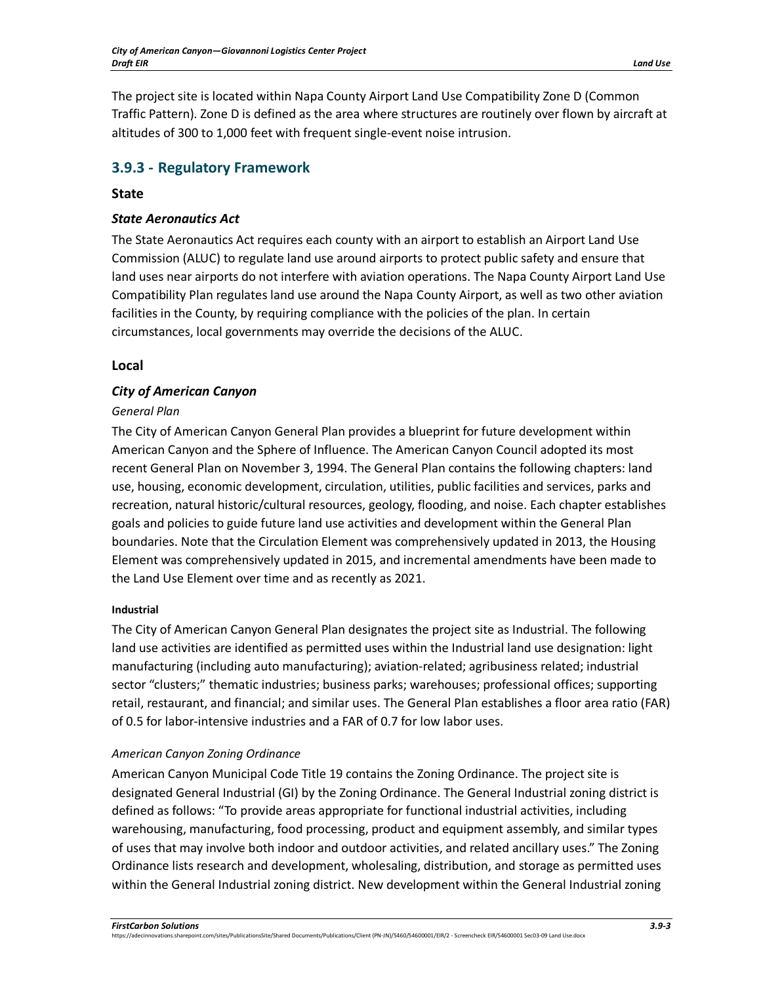The project site is located within Napa County Airport Land Use Compatibility Zone D (Common Traffic Pattern). Zone D is defined as the area where structures are routinely over flown by aircraft at altitudes of 300 to 1,000 feet with frequent single-event noise intrusion.

# **3.9.3 - Regulatory Framework**

## **State**

# *State Aeronautics Act*

The State Aeronautics Act requires each county with an airport to establish an Airport Land Use Commission (ALUC) to regulate land use around airports to protect public safety and ensure that land uses near airports do not interfere with aviation operations. The Napa County Airport Land Use Compatibility Plan regulates land use around the Napa County Airport, as well as two other aviation facilities in the County, by requiring compliance with the policies of the plan. In certain circumstances, local governments may override the decisions of the ALUC.

# **Local**

## *City of American Canyon*

## *General Plan*

The City of American Canyon General Plan provides a blueprint for future development within American Canyon and the Sphere of Influence. The American Canyon Council adopted its most recent General Plan on November 3, 1994. The General Plan contains the following chapters: land use, housing, economic development, circulation, utilities, public facilities and services, parks and recreation, natural historic/cultural resources, geology, flooding, and noise. Each chapter establishes goals and policies to guide future land use activities and development within the General Plan boundaries. Note that the Circulation Element was comprehensively updated in 2013, the Housing Element was comprehensively updated in 2015, and incremental amendments have been made to the Land Use Element over time and as recently as 2021.

## **Industrial**

The City of American Canyon General Plan designates the project site as Industrial. The following land use activities are identified as permitted uses within the Industrial land use designation: light manufacturing (including auto manufacturing); aviation-related; agribusiness related; industrial sector "clusters;" thematic industries; business parks; warehouses; professional offices; supporting retail, restaurant, and financial; and similar uses. The General Plan establishes a floor area ratio (FAR) of 0.5 for labor-intensive industries and a FAR of 0.7 for low labor uses.

## *American Canyon Zoning Ordinance*

American Canyon Municipal Code Title 19 contains the Zoning Ordinance. The project site is designated General Industrial (GI) by the Zoning Ordinance. The General Industrial zoning district is defined as follows: "To provide areas appropriate for functional industrial activities, including warehousing, manufacturing, food processing, product and equipment assembly, and similar types of uses that may involve both indoor and outdoor activities, and related ancillary uses." The Zoning Ordinance lists research and development, wholesaling, distribution, and storage as permitted uses within the General Industrial zoning district. New development within the General Industrial zoning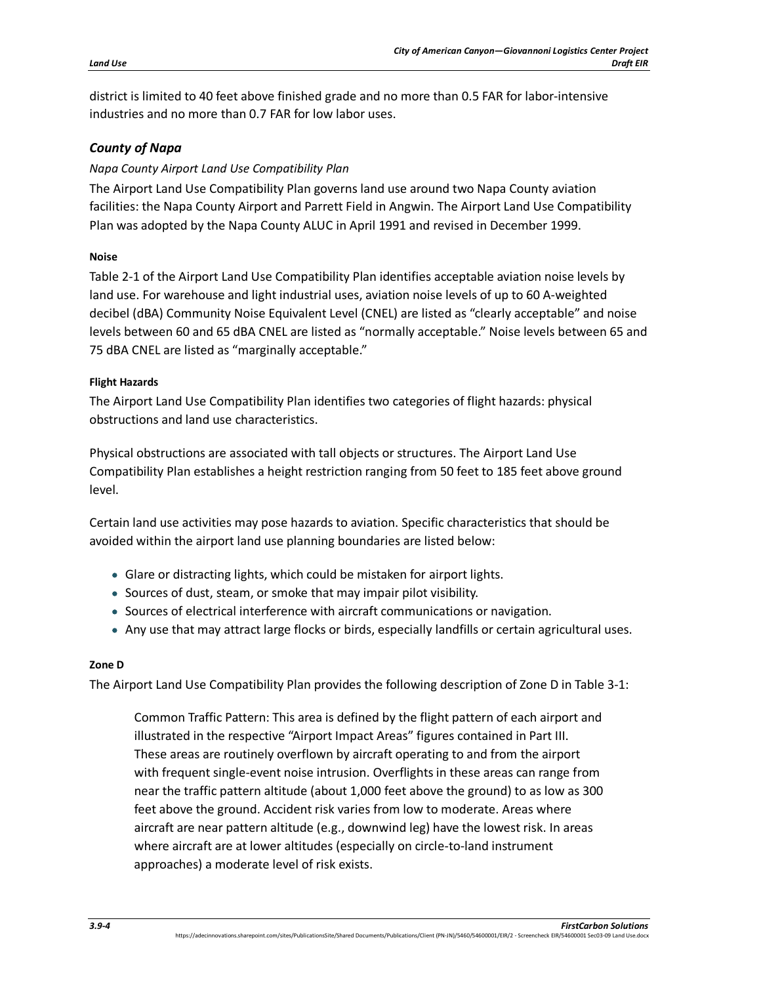district is limited to 40 feet above finished grade and no more than 0.5 FAR for labor-intensive industries and no more than 0.7 FAR for low labor uses.

# *County of Napa*

# *Napa County Airport Land Use Compatibility Plan*

The Airport Land Use Compatibility Plan governs land use around two Napa County aviation facilities: the Napa County Airport and Parrett Field in Angwin. The Airport Land Use Compatibility Plan was adopted by the Napa County ALUC in April 1991 and revised in December 1999.

# **Noise**

Table 2-1 of the Airport Land Use Compatibility Plan identifies acceptable aviation noise levels by land use. For warehouse and light industrial uses, aviation noise levels of up to 60 A-weighted decibel (dBA) Community Noise Equivalent Level (CNEL) are listed as "clearly acceptable" and noise levels between 60 and 65 dBA CNEL are listed as "normally acceptable." Noise levels between 65 and 75 dBA CNEL are listed as "marginally acceptable."

## **Flight Hazards**

The Airport Land Use Compatibility Plan identifies two categories of flight hazards: physical obstructions and land use characteristics.

Physical obstructions are associated with tall objects or structures. The Airport Land Use Compatibility Plan establishes a height restriction ranging from 50 feet to 185 feet above ground level.

Certain land use activities may pose hazards to aviation. Specific characteristics that should be avoided within the airport land use planning boundaries are listed below:

- Glare or distracting lights, which could be mistaken for airport lights.
- Sources of dust, steam, or smoke that may impair pilot visibility.
- Sources of electrical interference with aircraft communications or navigation.
- Any use that may attract large flocks or birds, especially landfills or certain agricultural uses.

# **Zone D**

The Airport Land Use Compatibility Plan provides the following description of Zone D in Table 3-1:

Common Traffic Pattern: This area is defined by the flight pattern of each airport and illustrated in the respective "Airport Impact Areas" figures contained in Part III. These areas are routinely overflown by aircraft operating to and from the airport with frequent single-event noise intrusion. Overflights in these areas can range from near the traffic pattern altitude (about 1,000 feet above the ground) to as low as 300 feet above the ground. Accident risk varies from low to moderate. Areas where aircraft are near pattern altitude (e.g., downwind leg) have the lowest risk. In areas where aircraft are at lower altitudes (especially on circle-to-land instrument approaches) a moderate level of risk exists.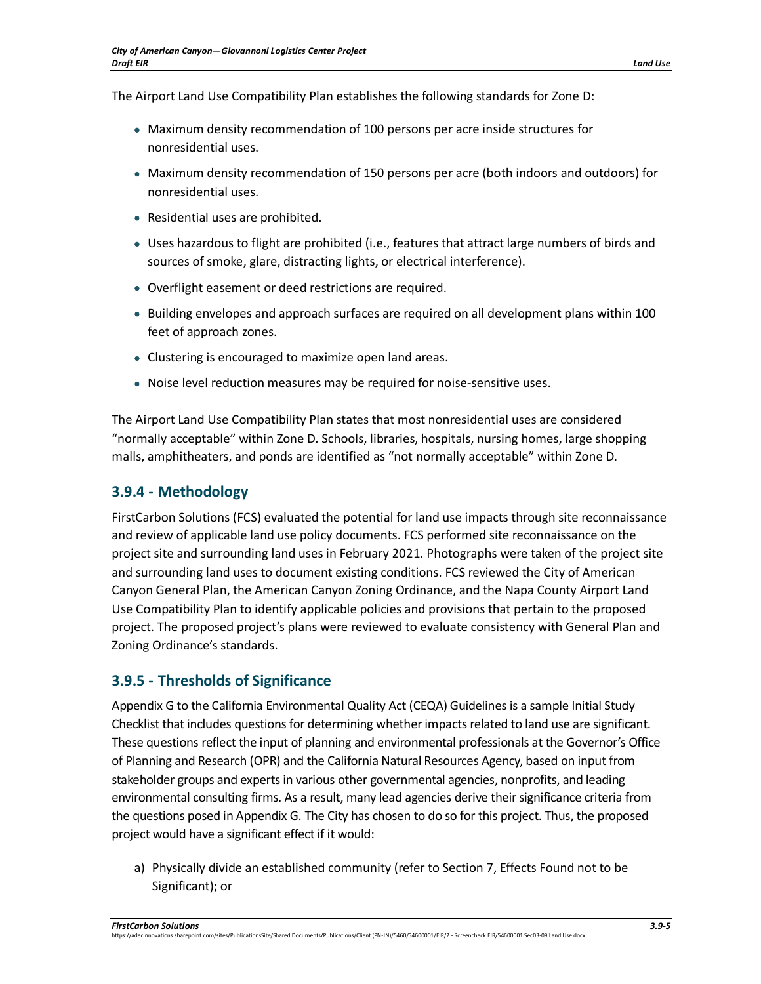The Airport Land Use Compatibility Plan establishes the following standards for Zone D:

- Maximum density recommendation of 100 persons per acre inside structures for nonresidential uses.
- Maximum density recommendation of 150 persons per acre (both indoors and outdoors) for nonresidential uses.
- Residential uses are prohibited.
- Uses hazardous to flight are prohibited (i.e., features that attract large numbers of birds and sources of smoke, glare, distracting lights, or electrical interference).
- Overflight easement or deed restrictions are required.
- Building envelopes and approach surfaces are required on all development plans within 100 feet of approach zones.
- Clustering is encouraged to maximize open land areas.
- Noise level reduction measures may be required for noise-sensitive uses.

The Airport Land Use Compatibility Plan states that most nonresidential uses are considered "normally acceptable" within Zone D. Schools, libraries, hospitals, nursing homes, large shopping malls, amphitheaters, and ponds are identified as "not normally acceptable" within Zone D.

## **3.9.4 - Methodology**

FirstCarbon Solutions (FCS) evaluated the potential for land use impacts through site reconnaissance and review of applicable land use policy documents. FCS performed site reconnaissance on the project site and surrounding land uses in February 2021. Photographs were taken of the project site and surrounding land uses to document existing conditions. FCS reviewed the City of American Canyon General Plan, the American Canyon Zoning Ordinance, and the Napa County Airport Land Use Compatibility Plan to identify applicable policies and provisions that pertain to the proposed project. The proposed project's plans were reviewed to evaluate consistency with General Plan and Zoning Ordinance's standards.

# **3.9.5 - Thresholds of Significance**

Appendix G to the California Environmental Quality Act (CEQA) Guidelines is a sample Initial Study Checklist that includes questions for determining whether impacts related to land use are significant. These questions reflect the input of planning and environmental professionals at the Governor's Office of Planning and Research (OPR) and the California Natural Resources Agency, based on input from stakeholder groups and experts in various other governmental agencies, nonprofits, and leading environmental consulting firms. As a result, many lead agencies derive their significance criteria from the questions posed in Appendix G. The City has chosen to do so for this project. Thus, the proposed project would have a significant effect if it would:

a) Physically divide an established community (refer to Section 7, Effects Found not to be Significant); or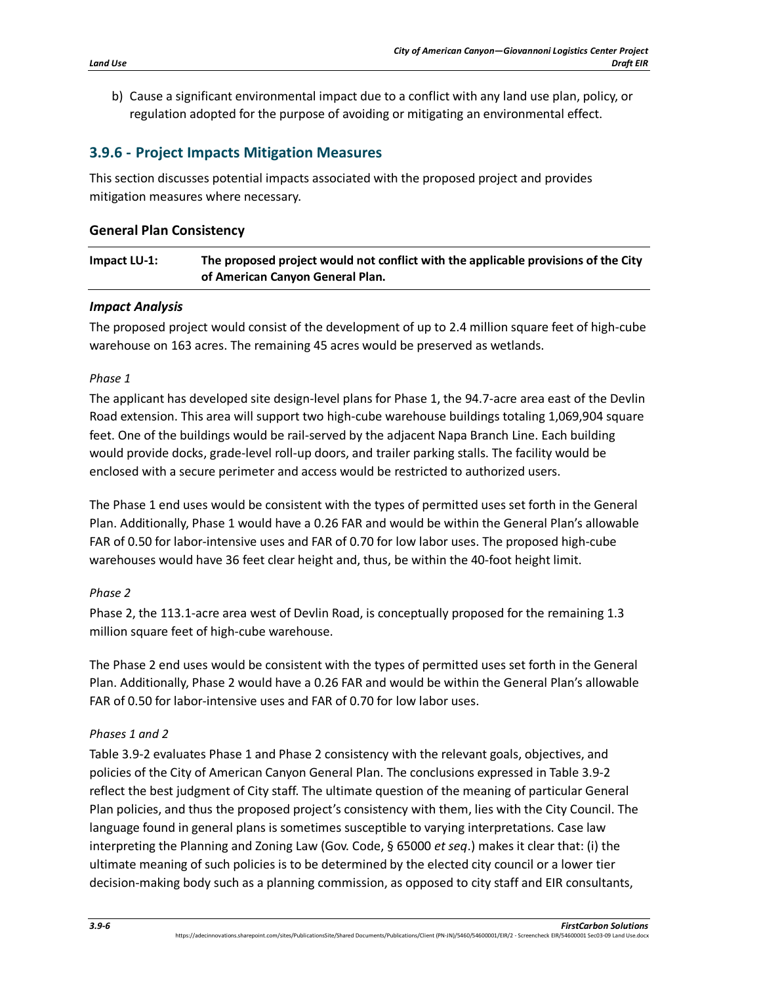b) Cause a significant environmental impact due to a conflict with any land use plan, policy, or regulation adopted for the purpose of avoiding or mitigating an environmental effect.

# **3.9.6 - Project Impacts Mitigation Measures**

This section discusses potential impacts associated with the proposed project and provides mitigation measures where necessary.

## **General Plan Consistency**

## **Impact LU-1: The proposed project would not conflict with the applicable provisions of the City of American Canyon General Plan.**

## *Impact Analysis*

The proposed project would consist of the development of up to 2.4 million square feet of high-cube warehouse on 163 acres. The remaining 45 acres would be preserved as wetlands.

#### *Phase 1*

The applicant has developed site design-level plans for Phase 1, the 94.7-acre area east of the Devlin Road extension. This area will support two high-cube warehouse buildings totaling 1,069,904 square feet. One of the buildings would be rail-served by the adjacent Napa Branch Line. Each building would provide docks, grade-level roll-up doors, and trailer parking stalls. The facility would be enclosed with a secure perimeter and access would be restricted to authorized users.

The Phase 1 end uses would be consistent with the types of permitted uses set forth in the General Plan. Additionally, Phase 1 would have a 0.26 FAR and would be within the General Plan's allowable FAR of 0.50 for labor-intensive uses and FAR of 0.70 for low labor uses. The proposed high-cube warehouses would have 36 feet clear height and, thus, be within the 40-foot height limit.

## *Phase 2*

Phase 2, the 113.1-acre area west of Devlin Road, is conceptually proposed for the remaining 1.3 million square feet of high-cube warehouse.

The Phase 2 end uses would be consistent with the types of permitted uses set forth in the General Plan. Additionally, Phase 2 would have a 0.26 FAR and would be within the General Plan's allowable FAR of 0.50 for labor-intensive uses and FAR of 0.70 for low labor uses.

## *Phases 1 and 2*

[Table 3.9-2](#page-6-0) evaluates Phase 1 and Phase 2 consistency with the relevant goals, objectives, and policies of the City of American Canyon General Plan. The conclusions expressed in Table 3.9-2 reflect the best judgment of City staff. The ultimate question of the meaning of particular General Plan policies, and thus the proposed project's consistency with them, lies with the City Council. The language found in general plans is sometimes susceptible to varying interpretations. Case law interpreting the Planning and Zoning Law (Gov. Code, § 65000 *et seq*.) makes it clear that: (i) the ultimate meaning of such policies is to be determined by the elected city council or a lower tier decision-making body such as a planning commission, as opposed to city staff and EIR consultants,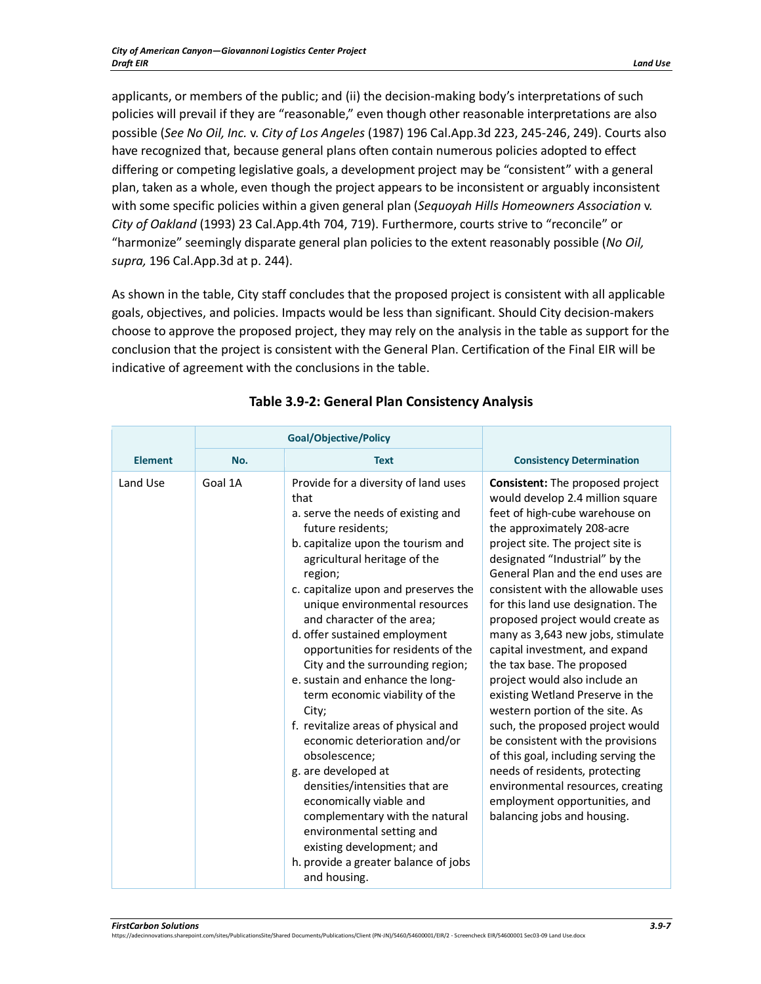applicants, or members of the public; and (ii) the decision-making body's interpretations of such policies will prevail if they are "reasonable," even though other reasonable interpretations are also possible (*See No Oil, Inc.* v. *City of Los Angeles* (1987) 196 Cal.App.3d 223, 245-246, 249). Courts also have recognized that, because general plans often contain numerous policies adopted to effect differing or competing legislative goals, a development project may be "consistent" with a general plan, taken as a whole, even though the project appears to be inconsistent or arguably inconsistent with some specific policies within a given general plan (*Sequoyah Hills Homeowners Association* v. *City of Oakland* (1993) 23 Cal.App.4th 704, 719). Furthermore, courts strive to "reconcile" or "harmonize" seemingly disparate general plan policies to the extent reasonably possible (*No Oil, supra,* 196 Cal.App.3d at p. 244).

As shown in the table, City staff concludes that the proposed project is consistent with all applicable goals, objectives, and policies. Impacts would be less than significant. Should City decision-makers choose to approve the proposed project, they may rely on the analysis in the table as support for the conclusion that the project is consistent with the General Plan. Certification of the Final EIR will be indicative of agreement with the conclusions in the table.

<span id="page-6-0"></span>

|                | <b>Goal/Objective/Policy</b> |                                                                                                                                                                                                                                                                                                                                                                                                                                                                                                                                                                                                                                                                                                                                                                                                                             |                                                                                                                                                                                                                                                                                                                                                                                                                                                                                                                                                                                                                                                                                                                                                                                                                                      |
|----------------|------------------------------|-----------------------------------------------------------------------------------------------------------------------------------------------------------------------------------------------------------------------------------------------------------------------------------------------------------------------------------------------------------------------------------------------------------------------------------------------------------------------------------------------------------------------------------------------------------------------------------------------------------------------------------------------------------------------------------------------------------------------------------------------------------------------------------------------------------------------------|--------------------------------------------------------------------------------------------------------------------------------------------------------------------------------------------------------------------------------------------------------------------------------------------------------------------------------------------------------------------------------------------------------------------------------------------------------------------------------------------------------------------------------------------------------------------------------------------------------------------------------------------------------------------------------------------------------------------------------------------------------------------------------------------------------------------------------------|
| <b>Element</b> | No.                          | <b>Text</b>                                                                                                                                                                                                                                                                                                                                                                                                                                                                                                                                                                                                                                                                                                                                                                                                                 | <b>Consistency Determination</b>                                                                                                                                                                                                                                                                                                                                                                                                                                                                                                                                                                                                                                                                                                                                                                                                     |
| Land Use       | Goal 1A                      | Provide for a diversity of land uses<br>that<br>a. serve the needs of existing and<br>future residents;<br>b. capitalize upon the tourism and<br>agricultural heritage of the<br>region;<br>c. capitalize upon and preserves the<br>unique environmental resources<br>and character of the area;<br>d. offer sustained employment<br>opportunities for residents of the<br>City and the surrounding region;<br>e. sustain and enhance the long-<br>term economic viability of the<br>City;<br>f. revitalize areas of physical and<br>economic deterioration and/or<br>obsolescence;<br>g. are developed at<br>densities/intensities that are<br>economically viable and<br>complementary with the natural<br>environmental setting and<br>existing development; and<br>h. provide a greater balance of jobs<br>and housing. | Consistent: The proposed project<br>would develop 2.4 million square<br>feet of high-cube warehouse on<br>the approximately 208-acre<br>project site. The project site is<br>designated "Industrial" by the<br>General Plan and the end uses are<br>consistent with the allowable uses<br>for this land use designation. The<br>proposed project would create as<br>many as 3,643 new jobs, stimulate<br>capital investment, and expand<br>the tax base. The proposed<br>project would also include an<br>existing Wetland Preserve in the<br>western portion of the site. As<br>such, the proposed project would<br>be consistent with the provisions<br>of this goal, including serving the<br>needs of residents, protecting<br>environmental resources, creating<br>employment opportunities, and<br>balancing jobs and housing. |

## **Table 3.9-2: General Plan Consistency Analysis**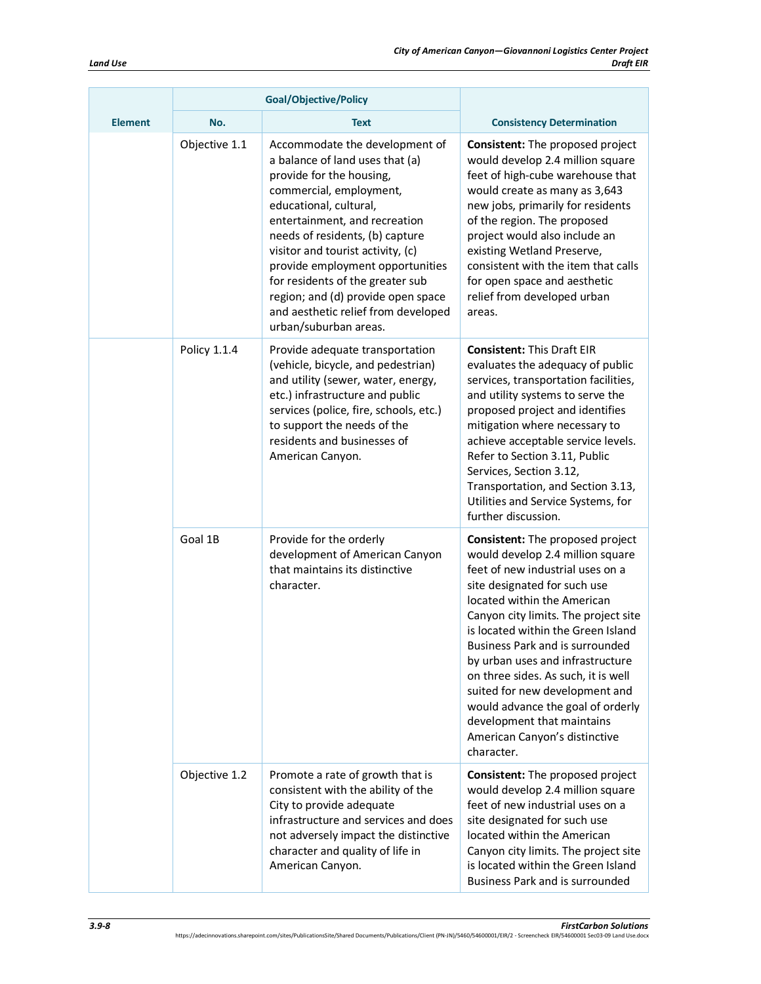|                | <b>Goal/Objective/Policy</b> |                                                                                                                                                                                                                                                                                                                                                                                                                                           |                                                                                                                                                                                                                                                                                                                                                                                                                                                                                                                                |
|----------------|------------------------------|-------------------------------------------------------------------------------------------------------------------------------------------------------------------------------------------------------------------------------------------------------------------------------------------------------------------------------------------------------------------------------------------------------------------------------------------|--------------------------------------------------------------------------------------------------------------------------------------------------------------------------------------------------------------------------------------------------------------------------------------------------------------------------------------------------------------------------------------------------------------------------------------------------------------------------------------------------------------------------------|
| <b>Element</b> | No.                          | <b>Text</b>                                                                                                                                                                                                                                                                                                                                                                                                                               | <b>Consistency Determination</b>                                                                                                                                                                                                                                                                                                                                                                                                                                                                                               |
|                | Objective 1.1                | Accommodate the development of<br>a balance of land uses that (a)<br>provide for the housing,<br>commercial, employment,<br>educational, cultural,<br>entertainment, and recreation<br>needs of residents, (b) capture<br>visitor and tourist activity, (c)<br>provide employment opportunities<br>for residents of the greater sub<br>region; and (d) provide open space<br>and aesthetic relief from developed<br>urban/suburban areas. | <b>Consistent:</b> The proposed project<br>would develop 2.4 million square<br>feet of high-cube warehouse that<br>would create as many as 3,643<br>new jobs, primarily for residents<br>of the region. The proposed<br>project would also include an<br>existing Wetland Preserve,<br>consistent with the item that calls<br>for open space and aesthetic<br>relief from developed urban<br>areas.                                                                                                                            |
|                | Policy 1.1.4                 | Provide adequate transportation<br>(vehicle, bicycle, and pedestrian)<br>and utility (sewer, water, energy,<br>etc.) infrastructure and public<br>services (police, fire, schools, etc.)<br>to support the needs of the<br>residents and businesses of<br>American Canyon.                                                                                                                                                                | <b>Consistent: This Draft EIR</b><br>evaluates the adequacy of public<br>services, transportation facilities,<br>and utility systems to serve the<br>proposed project and identifies<br>mitigation where necessary to<br>achieve acceptable service levels.<br>Refer to Section 3.11, Public<br>Services, Section 3.12,<br>Transportation, and Section 3.13,<br>Utilities and Service Systems, for<br>further discussion.                                                                                                      |
|                | Goal 1B                      | Provide for the orderly<br>development of American Canyon<br>that maintains its distinctive<br>character.                                                                                                                                                                                                                                                                                                                                 | <b>Consistent:</b> The proposed project<br>would develop 2.4 million square<br>feet of new industrial uses on a<br>site designated for such use<br>located within the American<br>Canyon city limits. The project site<br>is located within the Green Island<br>Business Park and is surrounded<br>by urban uses and infrastructure<br>on three sides. As such, it is well<br>suited for new development and<br>would advance the goal of orderly<br>development that maintains<br>American Canyon's distinctive<br>character. |
|                | Objective 1.2                | Promote a rate of growth that is<br>consistent with the ability of the<br>City to provide adequate<br>infrastructure and services and does<br>not adversely impact the distinctive<br>character and quality of life in<br>American Canyon.                                                                                                                                                                                                | Consistent: The proposed project<br>would develop 2.4 million square<br>feet of new industrial uses on a<br>site designated for such use<br>located within the American<br>Canyon city limits. The project site<br>is located within the Green Island<br><b>Business Park and is surrounded</b>                                                                                                                                                                                                                                |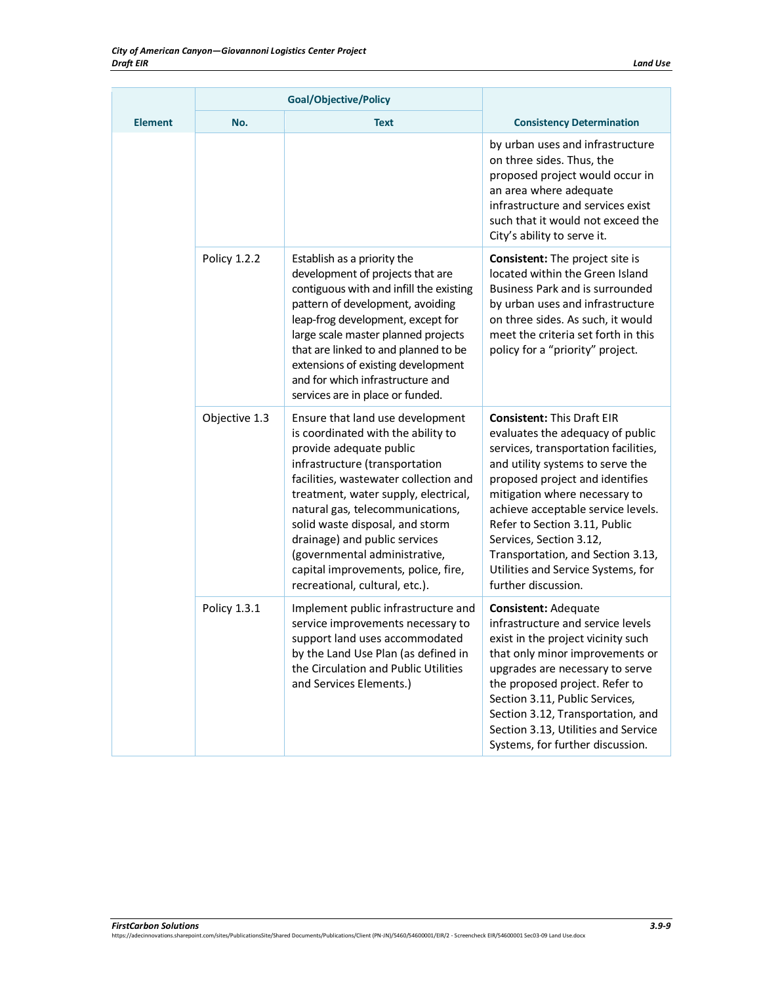|                | <b>Goal/Objective/Policy</b> |                                                                                                                                                                                                                                                                                                                                                                                                                                        |                                                                                                                                                                                                                                                                                                                                                                                                                           |
|----------------|------------------------------|----------------------------------------------------------------------------------------------------------------------------------------------------------------------------------------------------------------------------------------------------------------------------------------------------------------------------------------------------------------------------------------------------------------------------------------|---------------------------------------------------------------------------------------------------------------------------------------------------------------------------------------------------------------------------------------------------------------------------------------------------------------------------------------------------------------------------------------------------------------------------|
| <b>Element</b> | No.                          | <b>Text</b>                                                                                                                                                                                                                                                                                                                                                                                                                            | <b>Consistency Determination</b>                                                                                                                                                                                                                                                                                                                                                                                          |
|                |                              |                                                                                                                                                                                                                                                                                                                                                                                                                                        | by urban uses and infrastructure<br>on three sides. Thus, the<br>proposed project would occur in<br>an area where adequate<br>infrastructure and services exist<br>such that it would not exceed the<br>City's ability to serve it.                                                                                                                                                                                       |
|                | Policy 1.2.2                 | Establish as a priority the<br>development of projects that are<br>contiguous with and infill the existing<br>pattern of development, avoiding<br>leap-frog development, except for<br>large scale master planned projects<br>that are linked to and planned to be<br>extensions of existing development<br>and for which infrastructure and<br>services are in place or funded.                                                       | <b>Consistent:</b> The project site is<br>located within the Green Island<br><b>Business Park and is surrounded</b><br>by urban uses and infrastructure<br>on three sides. As such, it would<br>meet the criteria set forth in this<br>policy for a "priority" project.                                                                                                                                                   |
|                | Objective 1.3                | Ensure that land use development<br>is coordinated with the ability to<br>provide adequate public<br>infrastructure (transportation<br>facilities, wastewater collection and<br>treatment, water supply, electrical,<br>natural gas, telecommunications,<br>solid waste disposal, and storm<br>drainage) and public services<br>(governmental administrative,<br>capital improvements, police, fire,<br>recreational, cultural, etc.). | <b>Consistent: This Draft EIR</b><br>evaluates the adequacy of public<br>services, transportation facilities,<br>and utility systems to serve the<br>proposed project and identifies<br>mitigation where necessary to<br>achieve acceptable service levels.<br>Refer to Section 3.11, Public<br>Services, Section 3.12,<br>Transportation, and Section 3.13,<br>Utilities and Service Systems, for<br>further discussion. |
|                | <b>Policy 1.3.1</b>          | Implement public infrastructure and<br>service improvements necessary to<br>support land uses accommodated<br>by the Land Use Plan (as defined in<br>the Circulation and Public Utilities<br>and Services Elements.)                                                                                                                                                                                                                   | <b>Consistent: Adequate</b><br>infrastructure and service levels<br>exist in the project vicinity such<br>that only minor improvements or<br>upgrades are necessary to serve<br>the proposed project. Refer to<br>Section 3.11, Public Services,<br>Section 3.12, Transportation, and<br>Section 3.13, Utilities and Service<br>Systems, for further discussion.                                                          |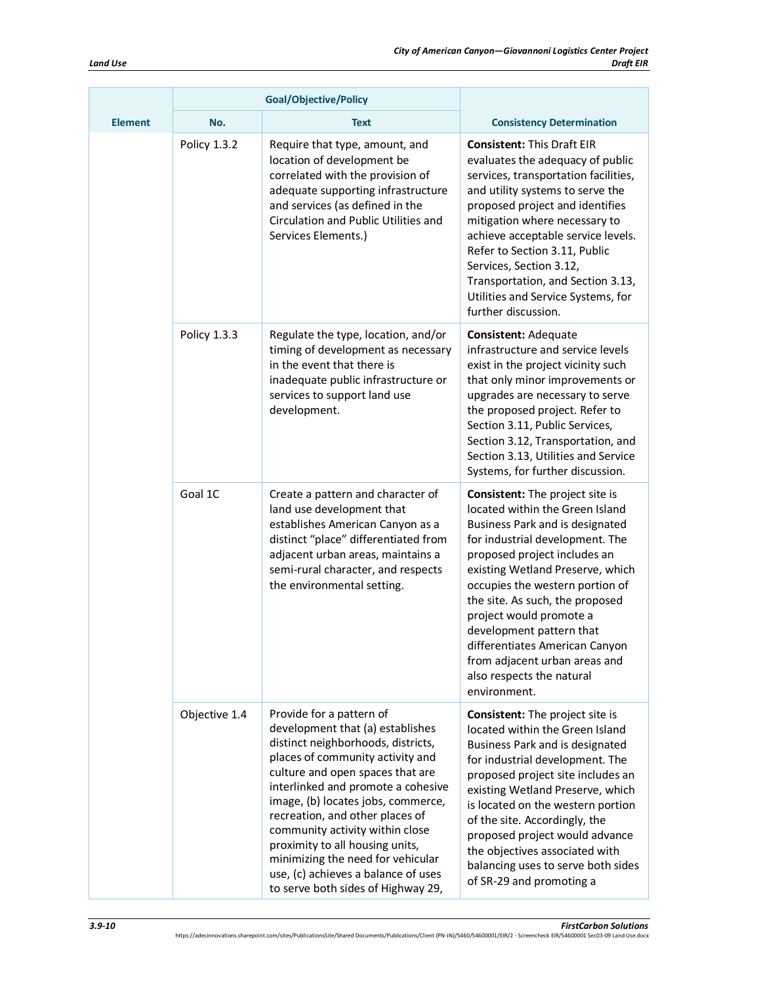|                | <b>Goal/Objective/Policy</b> |                                                                                                                                                                                                                                                                                                                                                                                                                                                                                   |                                                                                                                                                                                                                                                                                                                                                                                                                                                                  |
|----------------|------------------------------|-----------------------------------------------------------------------------------------------------------------------------------------------------------------------------------------------------------------------------------------------------------------------------------------------------------------------------------------------------------------------------------------------------------------------------------------------------------------------------------|------------------------------------------------------------------------------------------------------------------------------------------------------------------------------------------------------------------------------------------------------------------------------------------------------------------------------------------------------------------------------------------------------------------------------------------------------------------|
| <b>Element</b> | No.                          | <b>Text</b>                                                                                                                                                                                                                                                                                                                                                                                                                                                                       | <b>Consistency Determination</b>                                                                                                                                                                                                                                                                                                                                                                                                                                 |
| Goal 1C        | Policy 1.3.2                 | Require that type, amount, and<br>location of development be<br>correlated with the provision of<br>adequate supporting infrastructure<br>and services (as defined in the<br>Circulation and Public Utilities and<br>Services Elements.)                                                                                                                                                                                                                                          | <b>Consistent: This Draft EIR</b><br>evaluates the adequacy of public<br>services, transportation facilities,<br>and utility systems to serve the<br>proposed project and identifies<br>mitigation where necessary to<br>achieve acceptable service levels.<br>Refer to Section 3.11, Public<br>Services, Section 3.12,<br>Transportation, and Section 3.13,<br>Utilities and Service Systems, for<br>further discussion.                                        |
|                | Policy 1.3.3                 | Regulate the type, location, and/or<br>timing of development as necessary<br>in the event that there is<br>inadequate public infrastructure or<br>services to support land use<br>development.                                                                                                                                                                                                                                                                                    | <b>Consistent: Adequate</b><br>infrastructure and service levels<br>exist in the project vicinity such<br>that only minor improvements or<br>upgrades are necessary to serve<br>the proposed project. Refer to<br>Section 3.11, Public Services,<br>Section 3.12, Transportation, and<br>Section 3.13, Utilities and Service<br>Systems, for further discussion.                                                                                                 |
|                |                              | Create a pattern and character of<br>land use development that<br>establishes American Canyon as a<br>distinct "place" differentiated from<br>adjacent urban areas, maintains a<br>semi-rural character, and respects<br>the environmental setting.                                                                                                                                                                                                                               | <b>Consistent:</b> The project site is<br>located within the Green Island<br>Business Park and is designated<br>for industrial development. The<br>proposed project includes an<br>existing Wetland Preserve, which<br>occupies the western portion of<br>the site. As such, the proposed<br>project would promote a<br>development pattern that<br>differentiates American Canyon<br>from adjacent urban areas and<br>also respects the natural<br>environment. |
|                | Objective 1.4                | Provide for a pattern of<br>development that (a) establishes<br>distinct neighborhoods, districts,<br>places of community activity and<br>culture and open spaces that are<br>interlinked and promote a cohesive<br>image, (b) locates jobs, commerce,<br>recreation, and other places of<br>community activity within close<br>proximity to all housing units,<br>minimizing the need for vehicular<br>use, (c) achieves a balance of uses<br>to serve both sides of Highway 29, | <b>Consistent:</b> The project site is<br>located within the Green Island<br>Business Park and is designated<br>for industrial development. The<br>proposed project site includes an<br>existing Wetland Preserve, which<br>is located on the western portion<br>of the site. Accordingly, the<br>proposed project would advance<br>the objectives associated with<br>balancing uses to serve both sides<br>of SR-29 and promoting a                             |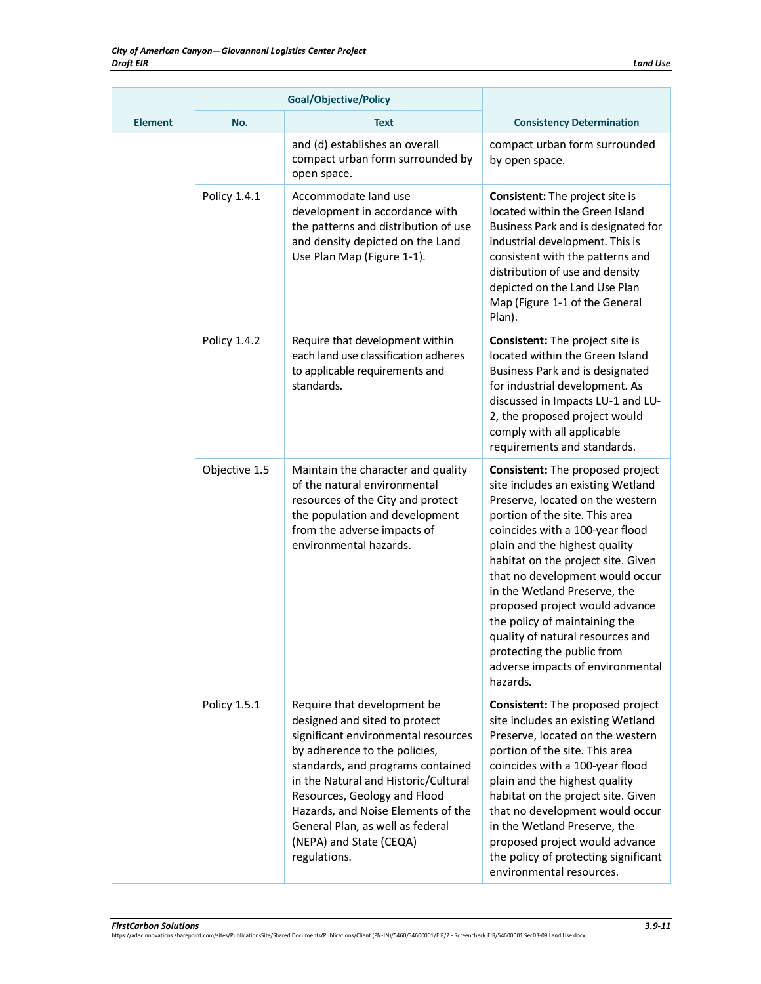|                | <b>Goal/Objective/Policy</b> |                                                                                                                                                                                                                                                                                                                                                                        |                                                                                                                                                                                                                                                                                                                                                                                                                                                                                                               |
|----------------|------------------------------|------------------------------------------------------------------------------------------------------------------------------------------------------------------------------------------------------------------------------------------------------------------------------------------------------------------------------------------------------------------------|---------------------------------------------------------------------------------------------------------------------------------------------------------------------------------------------------------------------------------------------------------------------------------------------------------------------------------------------------------------------------------------------------------------------------------------------------------------------------------------------------------------|
| <b>Element</b> | No.                          | <b>Text</b>                                                                                                                                                                                                                                                                                                                                                            | <b>Consistency Determination</b>                                                                                                                                                                                                                                                                                                                                                                                                                                                                              |
|                |                              | and (d) establishes an overall<br>compact urban form surrounded by<br>open space.                                                                                                                                                                                                                                                                                      | compact urban form surrounded<br>by open space.                                                                                                                                                                                                                                                                                                                                                                                                                                                               |
|                | Policy 1.4.1                 | Accommodate land use<br>development in accordance with<br>the patterns and distribution of use<br>and density depicted on the Land<br>Use Plan Map (Figure 1-1).                                                                                                                                                                                                       | <b>Consistent:</b> The project site is<br>located within the Green Island<br>Business Park and is designated for<br>industrial development. This is<br>consistent with the patterns and<br>distribution of use and density<br>depicted on the Land Use Plan<br>Map (Figure 1-1 of the General<br>Plan).                                                                                                                                                                                                       |
|                | Policy 1.4.2                 | Require that development within<br>each land use classification adheres<br>to applicable requirements and<br>standards.                                                                                                                                                                                                                                                | <b>Consistent:</b> The project site is<br>located within the Green Island<br>Business Park and is designated<br>for industrial development. As<br>discussed in Impacts LU-1 and LU-<br>2, the proposed project would<br>comply with all applicable<br>requirements and standards.                                                                                                                                                                                                                             |
|                | Objective 1.5                | Maintain the character and quality<br>of the natural environmental<br>resources of the City and protect<br>the population and development<br>from the adverse impacts of<br>environmental hazards.                                                                                                                                                                     | Consistent: The proposed project<br>site includes an existing Wetland<br>Preserve, located on the western<br>portion of the site. This area<br>coincides with a 100-year flood<br>plain and the highest quality<br>habitat on the project site. Given<br>that no development would occur<br>in the Wetland Preserve, the<br>proposed project would advance<br>the policy of maintaining the<br>quality of natural resources and<br>protecting the public from<br>adverse impacts of environmental<br>hazards. |
|                | Policy 1.5.1                 | Require that development be<br>designed and sited to protect<br>significant environmental resources<br>by adherence to the policies,<br>standards, and programs contained<br>in the Natural and Historic/Cultural<br>Resources, Geology and Flood<br>Hazards, and Noise Elements of the<br>General Plan, as well as federal<br>(NEPA) and State (CEQA)<br>regulations. | Consistent: The proposed project<br>site includes an existing Wetland<br>Preserve, located on the western<br>portion of the site. This area<br>coincides with a 100-year flood<br>plain and the highest quality<br>habitat on the project site. Given<br>that no development would occur<br>in the Wetland Preserve, the<br>proposed project would advance<br>the policy of protecting significant<br>environmental resources.                                                                                |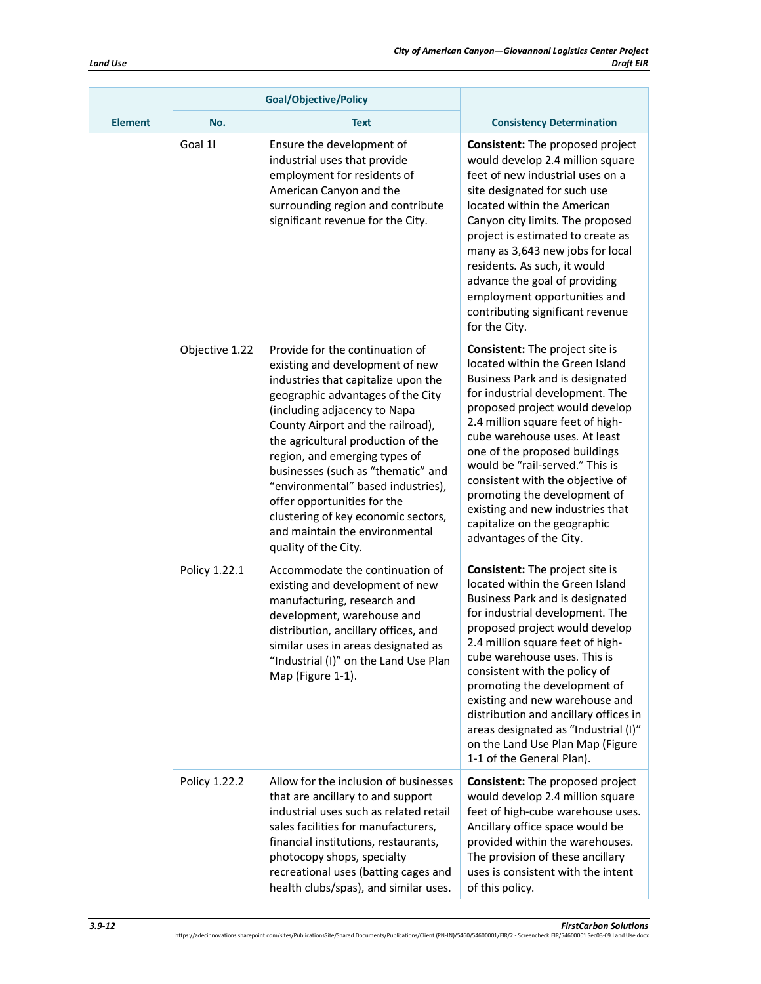$\overline{a}$ 

| Goal/Objective/Policy |                |                                                                                                                                                                                                                                                                                                                                                                                                                                                                                                        |                                                                                                                                                                                                                                                                                                                                                                                                                                                                                                            |
|-----------------------|----------------|--------------------------------------------------------------------------------------------------------------------------------------------------------------------------------------------------------------------------------------------------------------------------------------------------------------------------------------------------------------------------------------------------------------------------------------------------------------------------------------------------------|------------------------------------------------------------------------------------------------------------------------------------------------------------------------------------------------------------------------------------------------------------------------------------------------------------------------------------------------------------------------------------------------------------------------------------------------------------------------------------------------------------|
| <b>Element</b>        | No.            | <b>Text</b>                                                                                                                                                                                                                                                                                                                                                                                                                                                                                            | <b>Consistency Determination</b>                                                                                                                                                                                                                                                                                                                                                                                                                                                                           |
|                       | Goal 11        | Ensure the development of<br>industrial uses that provide<br>employment for residents of<br>American Canyon and the<br>surrounding region and contribute<br>significant revenue for the City.                                                                                                                                                                                                                                                                                                          | Consistent: The proposed project<br>would develop 2.4 million square<br>feet of new industrial uses on a<br>site designated for such use<br>located within the American<br>Canyon city limits. The proposed<br>project is estimated to create as<br>many as 3,643 new jobs for local<br>residents. As such, it would<br>advance the goal of providing<br>employment opportunities and<br>contributing significant revenue<br>for the City.                                                                 |
|                       | Objective 1.22 | Provide for the continuation of<br>existing and development of new<br>industries that capitalize upon the<br>geographic advantages of the City<br>(including adjacency to Napa<br>County Airport and the railroad),<br>the agricultural production of the<br>region, and emerging types of<br>businesses (such as "thematic" and<br>"environmental" based industries),<br>offer opportunities for the<br>clustering of key economic sectors,<br>and maintain the environmental<br>quality of the City. | <b>Consistent:</b> The project site is<br>located within the Green Island<br>Business Park and is designated<br>for industrial development. The<br>proposed project would develop<br>2.4 million square feet of high-<br>cube warehouse uses. At least<br>one of the proposed buildings<br>would be "rail-served." This is<br>consistent with the objective of<br>promoting the development of<br>existing and new industries that<br>capitalize on the geographic<br>advantages of the City.              |
|                       | Policy 1.22.1  | Accommodate the continuation of<br>existing and development of new<br>manufacturing, research and<br>development, warehouse and<br>distribution, ancillary offices, and<br>similar uses in areas designated as<br>"Industrial (I)" on the Land Use Plan<br>Map (Figure 1-1).                                                                                                                                                                                                                           | <b>Consistent:</b> The project site is<br>located within the Green Island<br>Business Park and is designated<br>for industrial development. The<br>proposed project would develop<br>2.4 million square feet of high-<br>cube warehouse uses. This is<br>consistent with the policy of<br>promoting the development of<br>existing and new warehouse and<br>distribution and ancillary offices in<br>areas designated as "Industrial (I)"<br>on the Land Use Plan Map (Figure<br>1-1 of the General Plan). |
|                       | Policy 1.22.2  | Allow for the inclusion of businesses<br>that are ancillary to and support<br>industrial uses such as related retail<br>sales facilities for manufacturers,<br>financial institutions, restaurants,<br>photocopy shops, specialty<br>recreational uses (batting cages and<br>health clubs/spas), and similar uses.                                                                                                                                                                                     | Consistent: The proposed project<br>would develop 2.4 million square<br>feet of high-cube warehouse uses.<br>Ancillary office space would be<br>provided within the warehouses.<br>The provision of these ancillary<br>uses is consistent with the intent<br>of this policy.                                                                                                                                                                                                                               |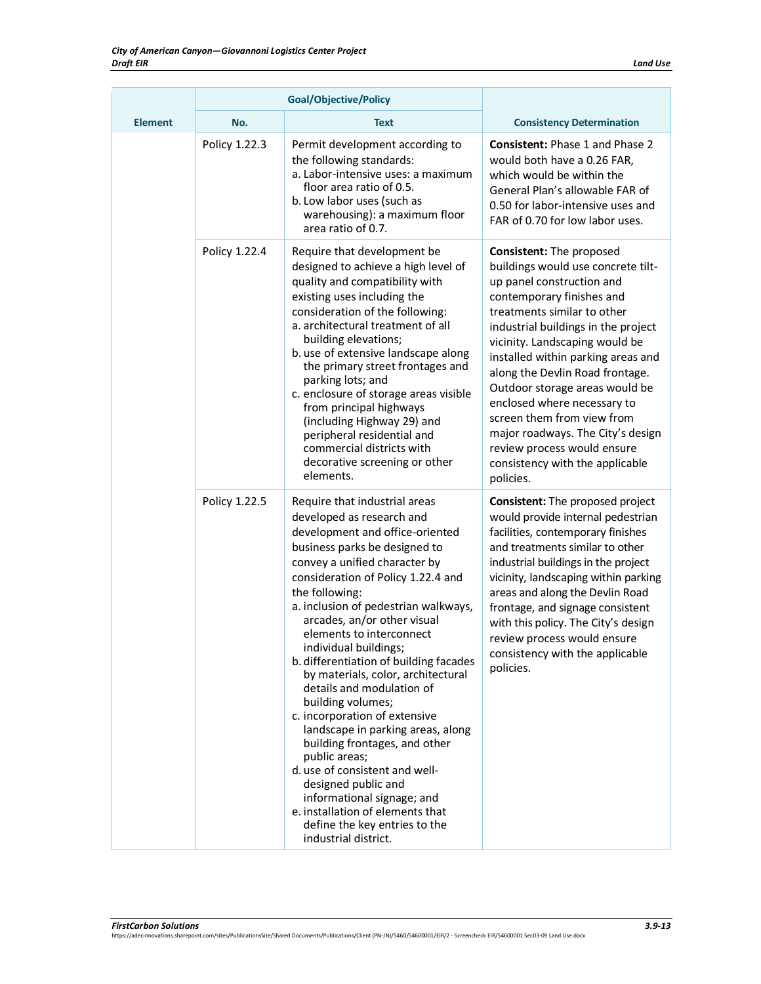| <b>Element</b> | No.           | <b>Text</b>                                                                                                                                                                                                                                                                                                                                                                                                                                                                                                                                                                                                                                                                                                                                                                                       | <b>Consistency Determination</b>                                                                                                                                                                                                                                                                                                                                                                                                                                                                                                    |
|----------------|---------------|---------------------------------------------------------------------------------------------------------------------------------------------------------------------------------------------------------------------------------------------------------------------------------------------------------------------------------------------------------------------------------------------------------------------------------------------------------------------------------------------------------------------------------------------------------------------------------------------------------------------------------------------------------------------------------------------------------------------------------------------------------------------------------------------------|-------------------------------------------------------------------------------------------------------------------------------------------------------------------------------------------------------------------------------------------------------------------------------------------------------------------------------------------------------------------------------------------------------------------------------------------------------------------------------------------------------------------------------------|
|                | Policy 1.22.3 | Permit development according to<br>the following standards:<br>a. Labor-intensive uses: a maximum<br>floor area ratio of 0.5.<br>b. Low labor uses (such as<br>warehousing): a maximum floor<br>area ratio of 0.7.                                                                                                                                                                                                                                                                                                                                                                                                                                                                                                                                                                                | <b>Consistent: Phase 1 and Phase 2</b><br>would both have a 0.26 FAR,<br>which would be within the<br>General Plan's allowable FAR of<br>0.50 for labor-intensive uses and<br>FAR of 0.70 for low labor uses.                                                                                                                                                                                                                                                                                                                       |
|                | Policy 1.22.4 | Require that development be<br>designed to achieve a high level of<br>quality and compatibility with<br>existing uses including the<br>consideration of the following:<br>a. architectural treatment of all<br>building elevations;<br>b. use of extensive landscape along<br>the primary street frontages and<br>parking lots; and<br>c. enclosure of storage areas visible<br>from principal highways<br>(including Highway 29) and<br>peripheral residential and<br>commercial districts with<br>decorative screening or other<br>elements.                                                                                                                                                                                                                                                    | <b>Consistent: The proposed</b><br>buildings would use concrete tilt-<br>up panel construction and<br>contemporary finishes and<br>treatments similar to other<br>industrial buildings in the project<br>vicinity. Landscaping would be<br>installed within parking areas and<br>along the Devlin Road frontage.<br>Outdoor storage areas would be<br>enclosed where necessary to<br>screen them from view from<br>major roadways. The City's design<br>review process would ensure<br>consistency with the applicable<br>policies. |
|                | Policy 1.22.5 | Require that industrial areas<br>developed as research and<br>development and office-oriented<br>business parks be designed to<br>convey a unified character by<br>consideration of Policy 1.22.4 and<br>the following:<br>a. inclusion of pedestrian walkways,<br>arcades, an/or other visual<br>elements to interconnect<br>individual buildings;<br>b. differentiation of building facades<br>by materials, color, architectural<br>details and modulation of<br>building volumes;<br>c. incorporation of extensive<br>landscape in parking areas, along<br>building frontages, and other<br>public areas;<br>d. use of consistent and well-<br>designed public and<br>informational signage; and<br>e. installation of elements that<br>define the key entries to the<br>industrial district. | <b>Consistent:</b> The proposed project<br>would provide internal pedestrian<br>facilities, contemporary finishes<br>and treatments similar to other<br>industrial buildings in the project<br>vicinity, landscaping within parking<br>areas and along the Devlin Road<br>frontage, and signage consistent<br>with this policy. The City's design<br>review process would ensure<br>consistency with the applicable<br>policies.                                                                                                    |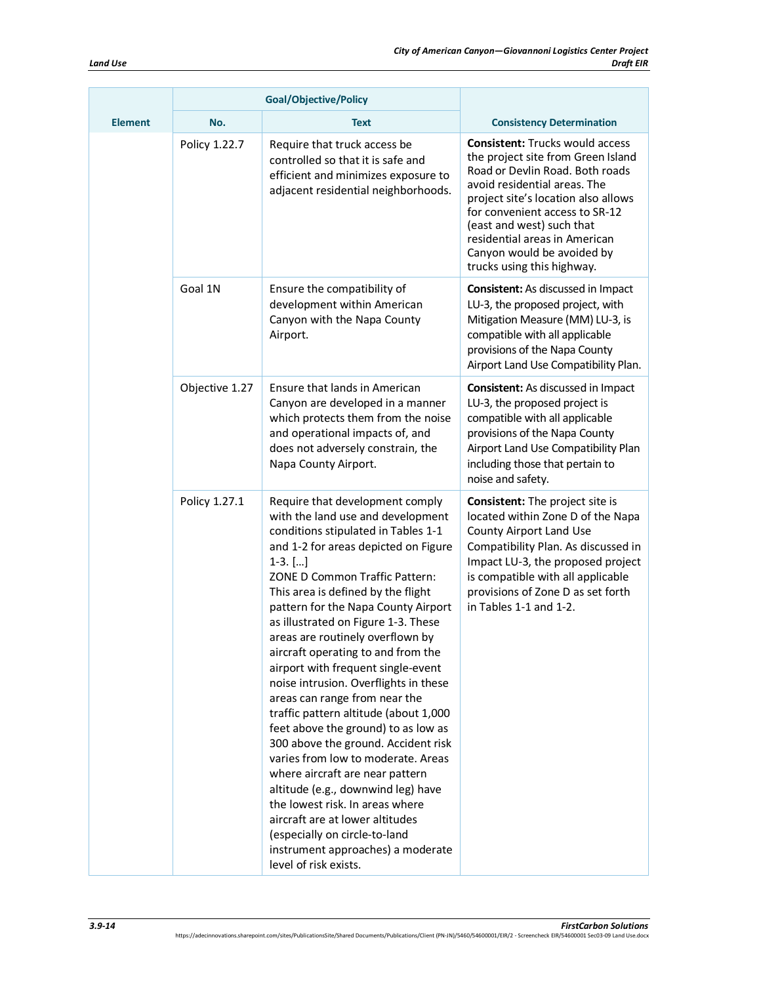|                | Goal/Objective/Policy |                                                                                                                                                                                                                                                                                                                                                                                                                                                                                                                                                                                                                                                                                                                                                                                                                                                                                                                             |                                                                                                                                                                                                                                                                                                                                                    |
|----------------|-----------------------|-----------------------------------------------------------------------------------------------------------------------------------------------------------------------------------------------------------------------------------------------------------------------------------------------------------------------------------------------------------------------------------------------------------------------------------------------------------------------------------------------------------------------------------------------------------------------------------------------------------------------------------------------------------------------------------------------------------------------------------------------------------------------------------------------------------------------------------------------------------------------------------------------------------------------------|----------------------------------------------------------------------------------------------------------------------------------------------------------------------------------------------------------------------------------------------------------------------------------------------------------------------------------------------------|
| <b>Element</b> | No.                   | <b>Text</b>                                                                                                                                                                                                                                                                                                                                                                                                                                                                                                                                                                                                                                                                                                                                                                                                                                                                                                                 | <b>Consistency Determination</b>                                                                                                                                                                                                                                                                                                                   |
|                | Policy 1.22.7         | Require that truck access be<br>controlled so that it is safe and<br>efficient and minimizes exposure to<br>adjacent residential neighborhoods.                                                                                                                                                                                                                                                                                                                                                                                                                                                                                                                                                                                                                                                                                                                                                                             | <b>Consistent: Trucks would access</b><br>the project site from Green Island<br>Road or Devlin Road. Both roads<br>avoid residential areas. The<br>project site's location also allows<br>for convenient access to SR-12<br>(east and west) such that<br>residential areas in American<br>Canyon would be avoided by<br>trucks using this highway. |
|                | Goal 1N               | Ensure the compatibility of<br>development within American<br>Canyon with the Napa County<br>Airport.                                                                                                                                                                                                                                                                                                                                                                                                                                                                                                                                                                                                                                                                                                                                                                                                                       | <b>Consistent:</b> As discussed in Impact<br>LU-3, the proposed project, with<br>Mitigation Measure (MM) LU-3, is<br>compatible with all applicable<br>provisions of the Napa County<br>Airport Land Use Compatibility Plan.                                                                                                                       |
|                | Objective 1.27        | Ensure that lands in American<br>Canyon are developed in a manner<br>which protects them from the noise<br>and operational impacts of, and<br>does not adversely constrain, the<br>Napa County Airport.                                                                                                                                                                                                                                                                                                                                                                                                                                                                                                                                                                                                                                                                                                                     | <b>Consistent:</b> As discussed in Impact<br>LU-3, the proposed project is<br>compatible with all applicable<br>provisions of the Napa County<br>Airport Land Use Compatibility Plan<br>including those that pertain to<br>noise and safety.                                                                                                       |
|                | Policy 1.27.1         | Require that development comply<br>with the land use and development<br>conditions stipulated in Tables 1-1<br>and 1-2 for areas depicted on Figure<br>$1-3.$ []<br>ZONE D Common Traffic Pattern:<br>This area is defined by the flight<br>pattern for the Napa County Airport<br>as illustrated on Figure 1-3. These<br>areas are routinely overflown by<br>aircraft operating to and from the<br>airport with frequent single-event<br>noise intrusion. Overflights in these<br>areas can range from near the<br>traffic pattern altitude (about 1,000<br>feet above the ground) to as low as<br>300 above the ground. Accident risk<br>varies from low to moderate. Areas<br>where aircraft are near pattern<br>altitude (e.g., downwind leg) have<br>the lowest risk. In areas where<br>aircraft are at lower altitudes<br>(especially on circle-to-land<br>instrument approaches) a moderate<br>level of risk exists. | <b>Consistent:</b> The project site is<br>located within Zone D of the Napa<br>County Airport Land Use<br>Compatibility Plan. As discussed in<br>Impact LU-3, the proposed project<br>is compatible with all applicable<br>provisions of Zone D as set forth<br>in Tables 1-1 and 1-2.                                                             |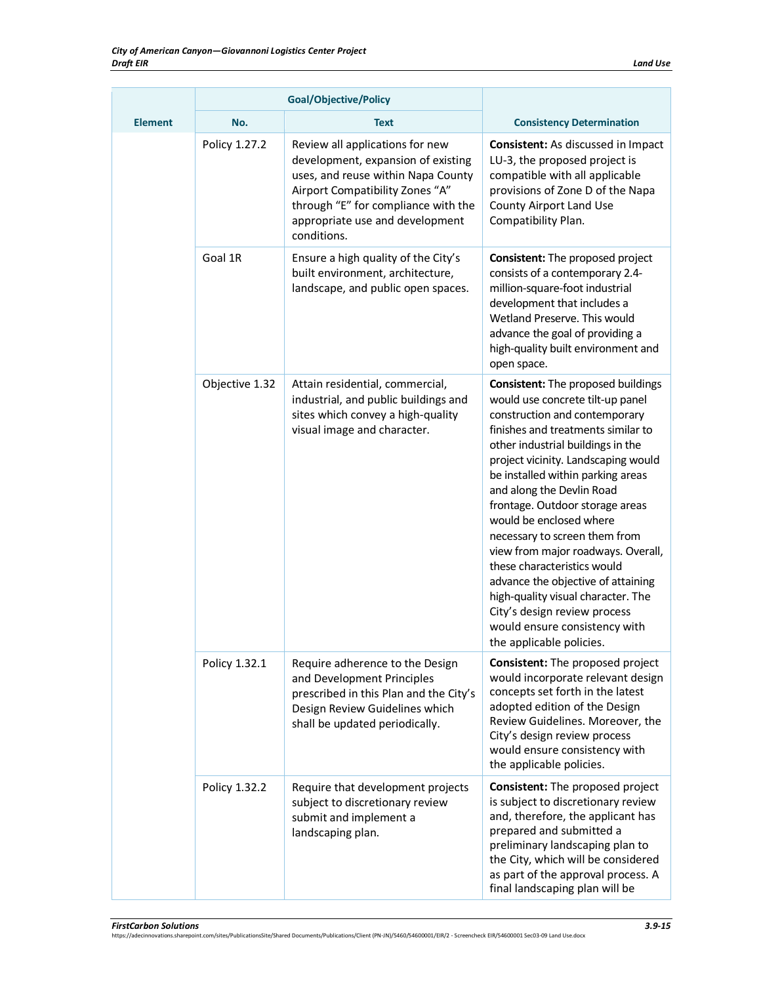|                | <b>Goal/Objective/Policy</b> |                                                                                                                                                                                                                                         |                                                                                                                                                                                                                                                                                                                                                                                                                                                                                                                                                                                                                                          |
|----------------|------------------------------|-----------------------------------------------------------------------------------------------------------------------------------------------------------------------------------------------------------------------------------------|------------------------------------------------------------------------------------------------------------------------------------------------------------------------------------------------------------------------------------------------------------------------------------------------------------------------------------------------------------------------------------------------------------------------------------------------------------------------------------------------------------------------------------------------------------------------------------------------------------------------------------------|
| <b>Element</b> | No.                          | <b>Text</b>                                                                                                                                                                                                                             | <b>Consistency Determination</b>                                                                                                                                                                                                                                                                                                                                                                                                                                                                                                                                                                                                         |
|                | Policy 1.27.2                | Review all applications for new<br>development, expansion of existing<br>uses, and reuse within Napa County<br>Airport Compatibility Zones "A"<br>through "E" for compliance with the<br>appropriate use and development<br>conditions. | <b>Consistent:</b> As discussed in Impact<br>LU-3, the proposed project is<br>compatible with all applicable<br>provisions of Zone D of the Napa<br>County Airport Land Use<br>Compatibility Plan.                                                                                                                                                                                                                                                                                                                                                                                                                                       |
|                | Goal 1R                      | Ensure a high quality of the City's<br>built environment, architecture,<br>landscape, and public open spaces.                                                                                                                           | <b>Consistent:</b> The proposed project<br>consists of a contemporary 2.4-<br>million-square-foot industrial<br>development that includes a<br>Wetland Preserve. This would<br>advance the goal of providing a<br>high-quality built environment and<br>open space.                                                                                                                                                                                                                                                                                                                                                                      |
|                | Objective 1.32               | Attain residential, commercial,<br>industrial, and public buildings and<br>sites which convey a high-quality<br>visual image and character.                                                                                             | Consistent: The proposed buildings<br>would use concrete tilt-up panel<br>construction and contemporary<br>finishes and treatments similar to<br>other industrial buildings in the<br>project vicinity. Landscaping would<br>be installed within parking areas<br>and along the Devlin Road<br>frontage. Outdoor storage areas<br>would be enclosed where<br>necessary to screen them from<br>view from major roadways. Overall,<br>these characteristics would<br>advance the objective of attaining<br>high-quality visual character. The<br>City's design review process<br>would ensure consistency with<br>the applicable policies. |
|                | Policy 1.32.1                | Require adherence to the Design<br>and Development Principles<br>prescribed in this Plan and the City's<br>Design Review Guidelines which<br>shall be updated periodically.                                                             | <b>Consistent:</b> The proposed project<br>would incorporate relevant design<br>concepts set forth in the latest<br>adopted edition of the Design<br>Review Guidelines. Moreover, the<br>City's design review process<br>would ensure consistency with<br>the applicable policies.                                                                                                                                                                                                                                                                                                                                                       |
|                | Policy 1.32.2                | Require that development projects<br>subject to discretionary review<br>submit and implement a<br>landscaping plan.                                                                                                                     | Consistent: The proposed project<br>is subject to discretionary review<br>and, therefore, the applicant has<br>prepared and submitted a<br>preliminary landscaping plan to<br>the City, which will be considered<br>as part of the approval process. A<br>final landscaping plan will be                                                                                                                                                                                                                                                                                                                                                 |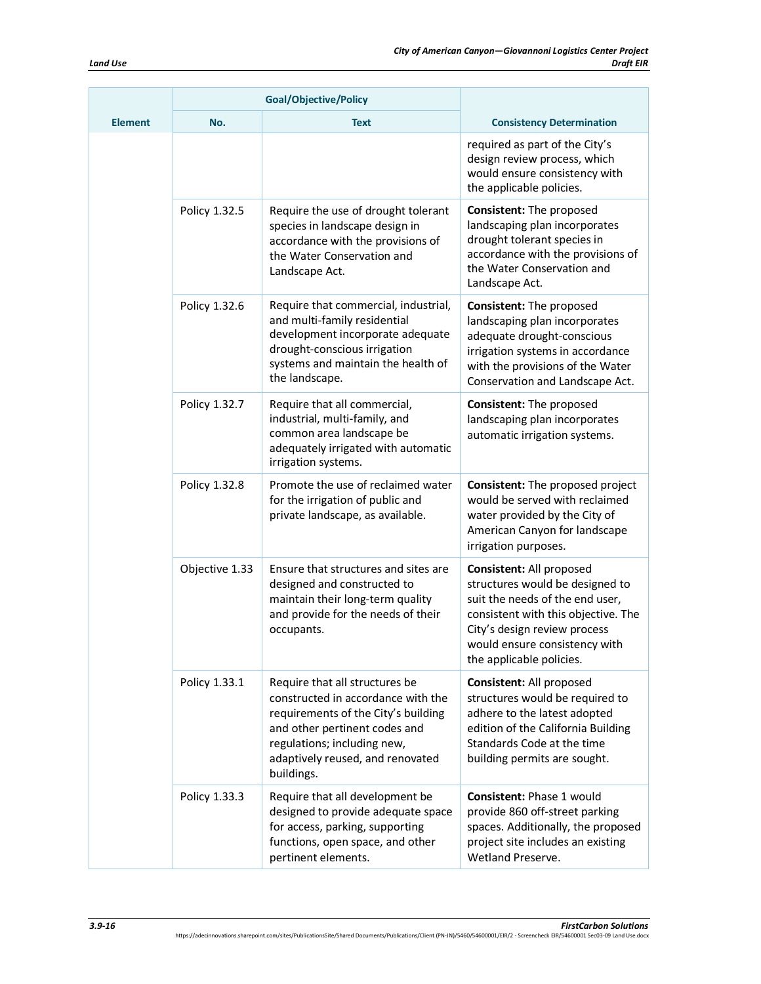|                | <b>Goal/Objective/Policy</b> |                                                                                                                                                                                                                               |                                                                                                                                                                                                                                    |
|----------------|------------------------------|-------------------------------------------------------------------------------------------------------------------------------------------------------------------------------------------------------------------------------|------------------------------------------------------------------------------------------------------------------------------------------------------------------------------------------------------------------------------------|
| <b>Element</b> | No.                          | <b>Text</b>                                                                                                                                                                                                                   | <b>Consistency Determination</b>                                                                                                                                                                                                   |
|                |                              |                                                                                                                                                                                                                               | required as part of the City's<br>design review process, which<br>would ensure consistency with<br>the applicable policies.                                                                                                        |
|                | Policy 1.32.5                | Require the use of drought tolerant<br>species in landscape design in<br>accordance with the provisions of<br>the Water Conservation and<br>Landscape Act.                                                                    | <b>Consistent: The proposed</b><br>landscaping plan incorporates<br>drought tolerant species in<br>accordance with the provisions of<br>the Water Conservation and<br>Landscape Act.                                               |
|                | Policy 1.32.6                | Require that commercial, industrial,<br>and multi-family residential<br>development incorporate adequate<br>drought-conscious irrigation<br>systems and maintain the health of<br>the landscape.                              | Consistent: The proposed<br>landscaping plan incorporates<br>adequate drought-conscious<br>irrigation systems in accordance<br>with the provisions of the Water<br>Conservation and Landscape Act.                                 |
|                | Policy 1.32.7                | Require that all commercial,<br>industrial, multi-family, and<br>common area landscape be<br>adequately irrigated with automatic<br>irrigation systems.                                                                       | <b>Consistent: The proposed</b><br>landscaping plan incorporates<br>automatic irrigation systems.                                                                                                                                  |
|                | Policy 1.32.8                | Promote the use of reclaimed water<br>for the irrigation of public and<br>private landscape, as available.                                                                                                                    | <b>Consistent:</b> The proposed project<br>would be served with reclaimed<br>water provided by the City of<br>American Canyon for landscape<br>irrigation purposes.                                                                |
|                | Objective 1.33               | Ensure that structures and sites are<br>designed and constructed to<br>maintain their long-term quality<br>and provide for the needs of their<br>occupants.                                                                   | Consistent: All proposed<br>structures would be designed to<br>suit the needs of the end user,<br>consistent with this objective. The<br>City's design review process<br>would ensure consistency with<br>the applicable policies. |
|                | Policy 1.33.1                | Require that all structures be<br>constructed in accordance with the<br>requirements of the City's building<br>and other pertinent codes and<br>regulations; including new,<br>adaptively reused, and renovated<br>buildings. | Consistent: All proposed<br>structures would be required to<br>adhere to the latest adopted<br>edition of the California Building<br>Standards Code at the time<br>building permits are sought.                                    |
|                | Policy 1.33.3                | Require that all development be<br>designed to provide adequate space<br>for access, parking, supporting<br>functions, open space, and other<br>pertinent elements.                                                           | Consistent: Phase 1 would<br>provide 860 off-street parking<br>spaces. Additionally, the proposed<br>project site includes an existing<br>Wetland Preserve.                                                                        |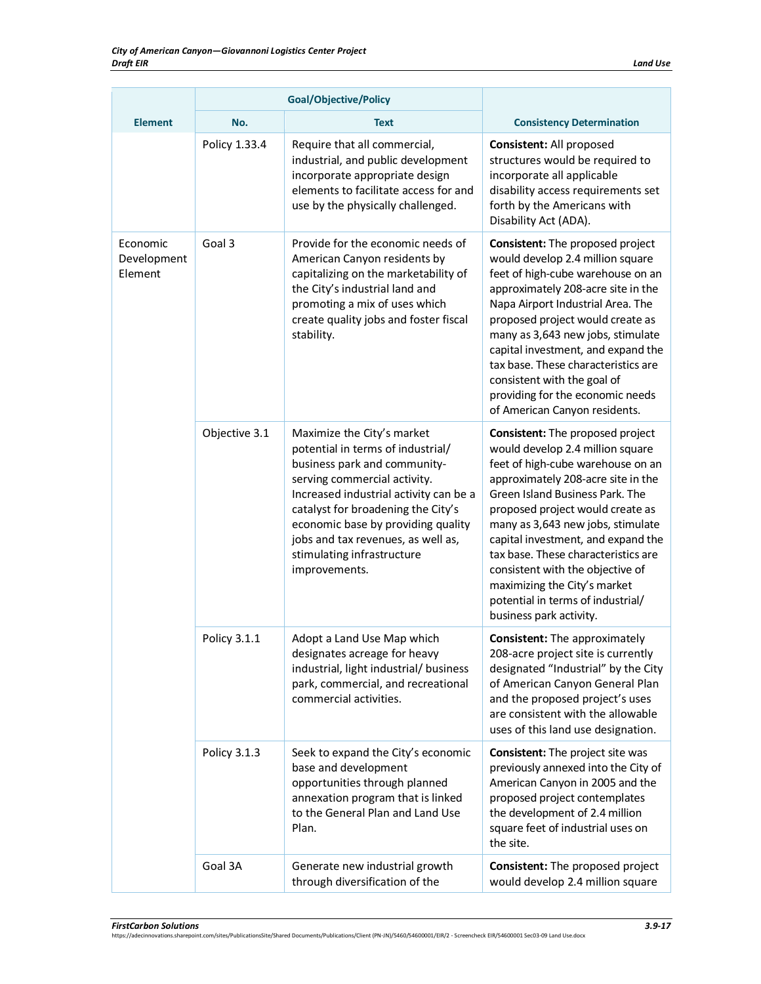|                                    | <b>Goal/Objective/Policy</b> |                                                                                                                                                                                                                                                                                                                                            |                                                                                                                                                                                                                                                                                                                                                                                                                                                                                     |
|------------------------------------|------------------------------|--------------------------------------------------------------------------------------------------------------------------------------------------------------------------------------------------------------------------------------------------------------------------------------------------------------------------------------------|-------------------------------------------------------------------------------------------------------------------------------------------------------------------------------------------------------------------------------------------------------------------------------------------------------------------------------------------------------------------------------------------------------------------------------------------------------------------------------------|
| <b>Element</b>                     | No.                          | <b>Text</b>                                                                                                                                                                                                                                                                                                                                | <b>Consistency Determination</b>                                                                                                                                                                                                                                                                                                                                                                                                                                                    |
|                                    | Policy 1.33.4                | Require that all commercial,<br>industrial, and public development<br>incorporate appropriate design<br>elements to facilitate access for and<br>use by the physically challenged.                                                                                                                                                         | Consistent: All proposed<br>structures would be required to<br>incorporate all applicable<br>disability access requirements set<br>forth by the Americans with<br>Disability Act (ADA).                                                                                                                                                                                                                                                                                             |
| Economic<br>Development<br>Element | Goal 3                       | Provide for the economic needs of<br>American Canyon residents by<br>capitalizing on the marketability of<br>the City's industrial land and<br>promoting a mix of uses which<br>create quality jobs and foster fiscal<br>stability.                                                                                                        | <b>Consistent:</b> The proposed project<br>would develop 2.4 million square<br>feet of high-cube warehouse on an<br>approximately 208-acre site in the<br>Napa Airport Industrial Area. The<br>proposed project would create as<br>many as 3,643 new jobs, stimulate<br>capital investment, and expand the<br>tax base. These characteristics are<br>consistent with the goal of<br>providing for the economic needs<br>of American Canyon residents.                               |
|                                    | Objective 3.1                | Maximize the City's market<br>potential in terms of industrial/<br>business park and community-<br>serving commercial activity.<br>Increased industrial activity can be a<br>catalyst for broadening the City's<br>economic base by providing quality<br>jobs and tax revenues, as well as,<br>stimulating infrastructure<br>improvements. | <b>Consistent:</b> The proposed project<br>would develop 2.4 million square<br>feet of high-cube warehouse on an<br>approximately 208-acre site in the<br>Green Island Business Park. The<br>proposed project would create as<br>many as 3,643 new jobs, stimulate<br>capital investment, and expand the<br>tax base. These characteristics are<br>consistent with the objective of<br>maximizing the City's market<br>potential in terms of industrial/<br>business park activity. |
|                                    | Policy 3.1.1                 | Adopt a Land Use Map which<br>designates acreage for heavy<br>industrial, light industrial/ business<br>park, commercial, and recreational<br>commercial activities.                                                                                                                                                                       | <b>Consistent:</b> The approximately<br>208-acre project site is currently<br>designated "Industrial" by the City<br>of American Canyon General Plan<br>and the proposed project's uses<br>are consistent with the allowable<br>uses of this land use designation.                                                                                                                                                                                                                  |
|                                    | Policy 3.1.3                 | Seek to expand the City's economic<br>base and development<br>opportunities through planned<br>annexation program that is linked<br>to the General Plan and Land Use<br>Plan.                                                                                                                                                              | <b>Consistent:</b> The project site was<br>previously annexed into the City of<br>American Canyon in 2005 and the<br>proposed project contemplates<br>the development of 2.4 million<br>square feet of industrial uses on<br>the site.                                                                                                                                                                                                                                              |
|                                    | Goal 3A                      | Generate new industrial growth<br>through diversification of the                                                                                                                                                                                                                                                                           | Consistent: The proposed project<br>would develop 2.4 million square                                                                                                                                                                                                                                                                                                                                                                                                                |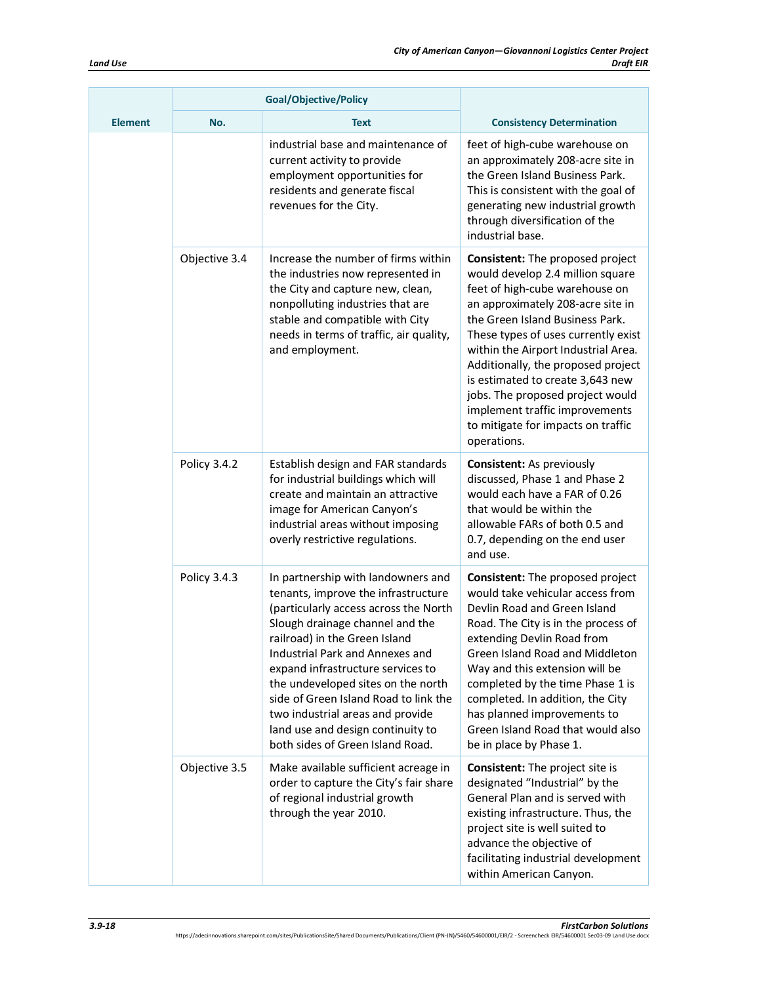|                | <b>Goal/Objective/Policy</b> |                                                                                                                                                                                                                                                                                                                                                                                                                                                            |                                                                                                                                                                                                                                                                                                                                                                                                                                                                          |
|----------------|------------------------------|------------------------------------------------------------------------------------------------------------------------------------------------------------------------------------------------------------------------------------------------------------------------------------------------------------------------------------------------------------------------------------------------------------------------------------------------------------|--------------------------------------------------------------------------------------------------------------------------------------------------------------------------------------------------------------------------------------------------------------------------------------------------------------------------------------------------------------------------------------------------------------------------------------------------------------------------|
| <b>Element</b> | No.                          | <b>Text</b>                                                                                                                                                                                                                                                                                                                                                                                                                                                | <b>Consistency Determination</b>                                                                                                                                                                                                                                                                                                                                                                                                                                         |
|                |                              | industrial base and maintenance of<br>current activity to provide<br>employment opportunities for<br>residents and generate fiscal<br>revenues for the City.                                                                                                                                                                                                                                                                                               | feet of high-cube warehouse on<br>an approximately 208-acre site in<br>the Green Island Business Park.<br>This is consistent with the goal of<br>generating new industrial growth<br>through diversification of the<br>industrial base.                                                                                                                                                                                                                                  |
|                | Objective 3.4                | Increase the number of firms within<br>the industries now represented in<br>the City and capture new, clean,<br>nonpolluting industries that are<br>stable and compatible with City<br>needs in terms of traffic, air quality,<br>and employment.                                                                                                                                                                                                          | <b>Consistent:</b> The proposed project<br>would develop 2.4 million square<br>feet of high-cube warehouse on<br>an approximately 208-acre site in<br>the Green Island Business Park.<br>These types of uses currently exist<br>within the Airport Industrial Area.<br>Additionally, the proposed project<br>is estimated to create 3,643 new<br>jobs. The proposed project would<br>implement traffic improvements<br>to mitigate for impacts on traffic<br>operations. |
|                | Policy 3.4.2                 | Establish design and FAR standards<br>for industrial buildings which will<br>create and maintain an attractive<br>image for American Canyon's<br>industrial areas without imposing<br>overly restrictive regulations.                                                                                                                                                                                                                                      | <b>Consistent:</b> As previously<br>discussed, Phase 1 and Phase 2<br>would each have a FAR of 0.26<br>that would be within the<br>allowable FARs of both 0.5 and<br>0.7, depending on the end user<br>and use.                                                                                                                                                                                                                                                          |
|                | Policy 3.4.3                 | In partnership with landowners and<br>tenants, improve the infrastructure<br>(particularly access across the North<br>Slough drainage channel and the<br>railroad) in the Green Island<br>Industrial Park and Annexes and<br>expand infrastructure services to<br>the undeveloped sites on the north<br>side of Green Island Road to link the<br>two industrial areas and provide<br>land use and design continuity to<br>both sides of Green Island Road. | Consistent: The proposed project<br>would take vehicular access from<br>Devlin Road and Green Island<br>Road. The City is in the process of<br>extending Devlin Road from<br>Green Island Road and Middleton<br>Way and this extension will be<br>completed by the time Phase 1 is<br>completed. In addition, the City<br>has planned improvements to<br>Green Island Road that would also<br>be in place by Phase 1.                                                    |
|                | Objective 3.5                | Make available sufficient acreage in<br>order to capture the City's fair share<br>of regional industrial growth<br>through the year 2010.                                                                                                                                                                                                                                                                                                                  | <b>Consistent:</b> The project site is<br>designated "Industrial" by the<br>General Plan and is served with<br>existing infrastructure. Thus, the<br>project site is well suited to<br>advance the objective of<br>facilitating industrial development<br>within American Canyon.                                                                                                                                                                                        |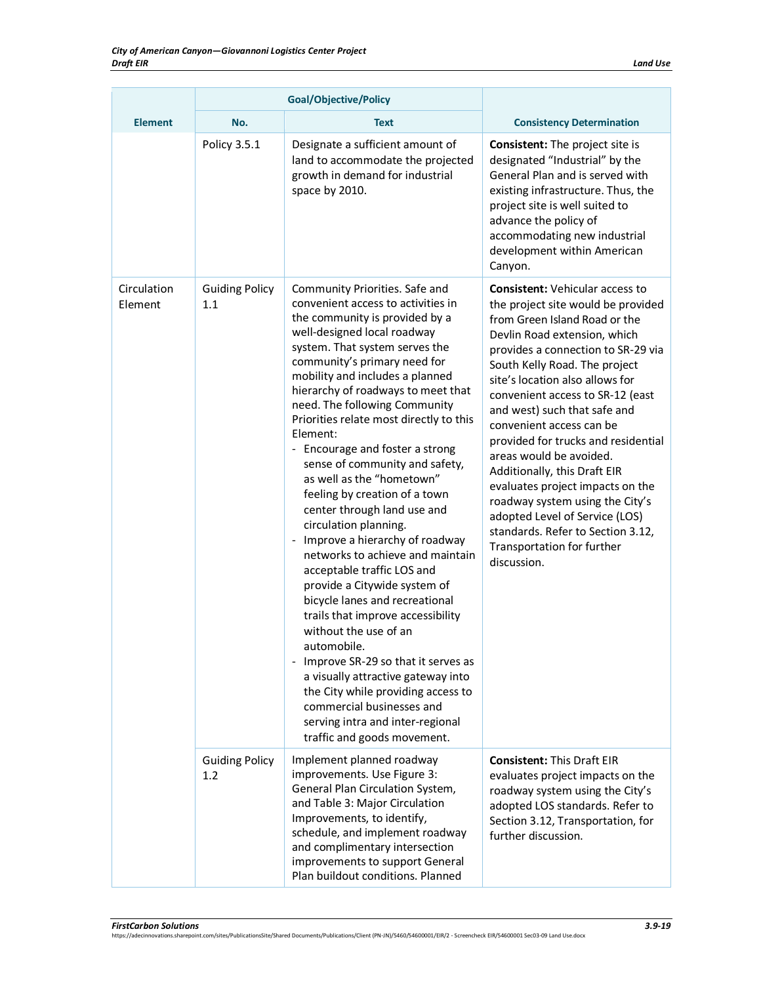| Land Use |  |
|----------|--|
|          |  |

|                        | <b>Goal/Objective/Policy</b> |                                                                                                                                                                                                                                                                                                                                                                                                                                                                                                                                                                                                                                                                                                                                                                                                                                                                                                                                                                                                                                                                        |                                                                                                                                                                                                                                                                                                                                                                                                                                                                                                                                                                                                                                                      |
|------------------------|------------------------------|------------------------------------------------------------------------------------------------------------------------------------------------------------------------------------------------------------------------------------------------------------------------------------------------------------------------------------------------------------------------------------------------------------------------------------------------------------------------------------------------------------------------------------------------------------------------------------------------------------------------------------------------------------------------------------------------------------------------------------------------------------------------------------------------------------------------------------------------------------------------------------------------------------------------------------------------------------------------------------------------------------------------------------------------------------------------|------------------------------------------------------------------------------------------------------------------------------------------------------------------------------------------------------------------------------------------------------------------------------------------------------------------------------------------------------------------------------------------------------------------------------------------------------------------------------------------------------------------------------------------------------------------------------------------------------------------------------------------------------|
| <b>Element</b>         | No.                          | <b>Text</b>                                                                                                                                                                                                                                                                                                                                                                                                                                                                                                                                                                                                                                                                                                                                                                                                                                                                                                                                                                                                                                                            | <b>Consistency Determination</b>                                                                                                                                                                                                                                                                                                                                                                                                                                                                                                                                                                                                                     |
|                        | Policy 3.5.1                 | Designate a sufficient amount of<br>land to accommodate the projected<br>growth in demand for industrial<br>space by 2010.                                                                                                                                                                                                                                                                                                                                                                                                                                                                                                                                                                                                                                                                                                                                                                                                                                                                                                                                             | <b>Consistent:</b> The project site is<br>designated "Industrial" by the<br>General Plan and is served with<br>existing infrastructure. Thus, the<br>project site is well suited to<br>advance the policy of<br>accommodating new industrial<br>development within American<br>Canyon.                                                                                                                                                                                                                                                                                                                                                               |
| Circulation<br>Element | <b>Guiding Policy</b><br>1.1 | Community Priorities. Safe and<br>convenient access to activities in<br>the community is provided by a<br>well-designed local roadway<br>system. That system serves the<br>community's primary need for<br>mobility and includes a planned<br>hierarchy of roadways to meet that<br>need. The following Community<br>Priorities relate most directly to this<br>Element:<br>- Encourage and foster a strong<br>sense of community and safety,<br>as well as the "hometown"<br>feeling by creation of a town<br>center through land use and<br>circulation planning.<br>Improve a hierarchy of roadway<br>$\overline{\phantom{a}}$<br>networks to achieve and maintain<br>acceptable traffic LOS and<br>provide a Citywide system of<br>bicycle lanes and recreational<br>trails that improve accessibility<br>without the use of an<br>automobile.<br>- Improve SR-29 so that it serves as<br>a visually attractive gateway into<br>the City while providing access to<br>commercial businesses and<br>serving intra and inter-regional<br>traffic and goods movement. | <b>Consistent: Vehicular access to</b><br>the project site would be provided<br>from Green Island Road or the<br>Devlin Road extension, which<br>provides a connection to SR-29 via<br>South Kelly Road. The project<br>site's location also allows for<br>convenient access to SR-12 (east<br>and west) such that safe and<br>convenient access can be<br>provided for trucks and residential<br>areas would be avoided.<br>Additionally, this Draft EIR<br>evaluates project impacts on the<br>roadway system using the City's<br>adopted Level of Service (LOS)<br>standards. Refer to Section 3.12,<br>Transportation for further<br>discussion. |
|                        | <b>Guiding Policy</b><br>1.2 | Implement planned roadway<br>improvements. Use Figure 3:<br>General Plan Circulation System,<br>and Table 3: Major Circulation<br>Improvements, to identify,<br>schedule, and implement roadway<br>and complimentary intersection<br>improvements to support General<br>Plan buildout conditions. Planned                                                                                                                                                                                                                                                                                                                                                                                                                                                                                                                                                                                                                                                                                                                                                              | <b>Consistent: This Draft EIR</b><br>evaluates project impacts on the<br>roadway system using the City's<br>adopted LOS standards. Refer to<br>Section 3.12, Transportation, for<br>further discussion.                                                                                                                                                                                                                                                                                                                                                                                                                                              |

*FirstCarbon Solutions 3.9-19* https://adecinnovations.sharepoint.com/sites/PublicationsSite/Shared Documents/Publications/Client (PN-JN)/5460/54600001/EIR/2 - Screencheck EIR/54600001 Sec03-09 Land Use.docx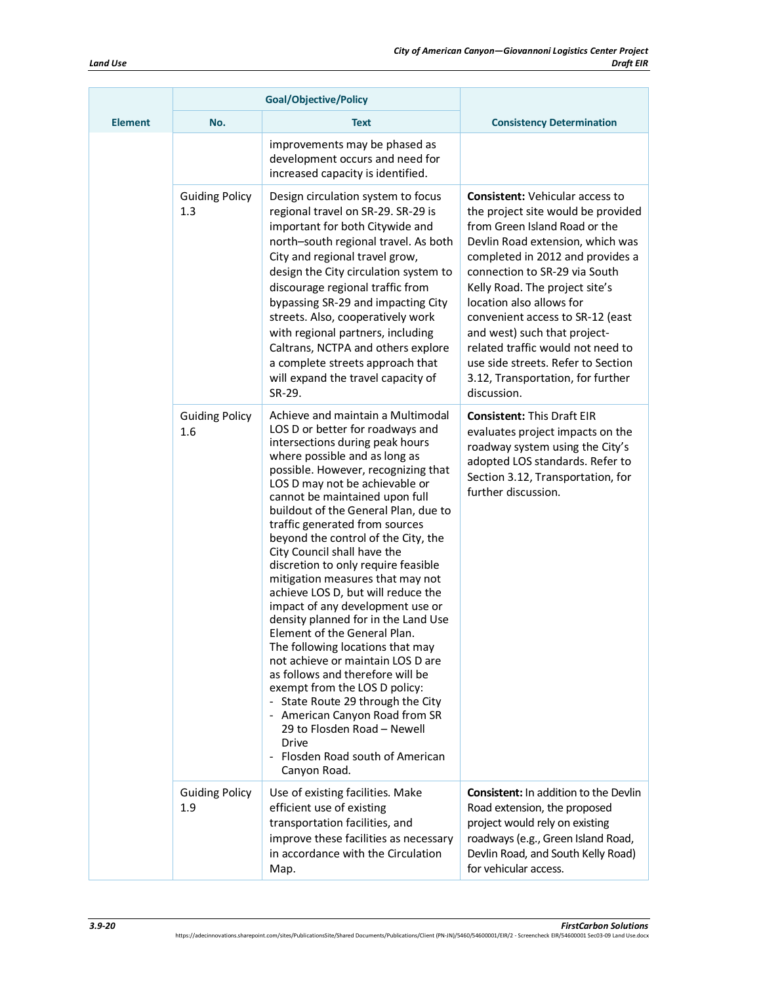|                | <b>Goal/Objective/Policy</b> |                                                                                                                                                                                                                                                                                                                                                                                                                                                                                                                                                                                                                                                                                                                                                                                                                                                                                                                                                   |                                                                                                                                                                                                                                                                                                                                                                                                                                                                                         |
|----------------|------------------------------|---------------------------------------------------------------------------------------------------------------------------------------------------------------------------------------------------------------------------------------------------------------------------------------------------------------------------------------------------------------------------------------------------------------------------------------------------------------------------------------------------------------------------------------------------------------------------------------------------------------------------------------------------------------------------------------------------------------------------------------------------------------------------------------------------------------------------------------------------------------------------------------------------------------------------------------------------|-----------------------------------------------------------------------------------------------------------------------------------------------------------------------------------------------------------------------------------------------------------------------------------------------------------------------------------------------------------------------------------------------------------------------------------------------------------------------------------------|
| <b>Element</b> | No.                          | <b>Text</b>                                                                                                                                                                                                                                                                                                                                                                                                                                                                                                                                                                                                                                                                                                                                                                                                                                                                                                                                       | <b>Consistency Determination</b>                                                                                                                                                                                                                                                                                                                                                                                                                                                        |
|                |                              | improvements may be phased as<br>development occurs and need for<br>increased capacity is identified.                                                                                                                                                                                                                                                                                                                                                                                                                                                                                                                                                                                                                                                                                                                                                                                                                                             |                                                                                                                                                                                                                                                                                                                                                                                                                                                                                         |
|                | <b>Guiding Policy</b><br>1.3 | Design circulation system to focus<br>regional travel on SR-29. SR-29 is<br>important for both Citywide and<br>north-south regional travel. As both<br>City and regional travel grow,<br>design the City circulation system to<br>discourage regional traffic from<br>bypassing SR-29 and impacting City<br>streets. Also, cooperatively work<br>with regional partners, including<br>Caltrans, NCTPA and others explore<br>a complete streets approach that<br>will expand the travel capacity of<br>SR-29.                                                                                                                                                                                                                                                                                                                                                                                                                                      | <b>Consistent: Vehicular access to</b><br>the project site would be provided<br>from Green Island Road or the<br>Devlin Road extension, which was<br>completed in 2012 and provides a<br>connection to SR-29 via South<br>Kelly Road. The project site's<br>location also allows for<br>convenient access to SR-12 (east<br>and west) such that project-<br>related traffic would not need to<br>use side streets. Refer to Section<br>3.12, Transportation, for further<br>discussion. |
|                | <b>Guiding Policy</b><br>1.6 | Achieve and maintain a Multimodal<br>LOS D or better for roadways and<br>intersections during peak hours<br>where possible and as long as<br>possible. However, recognizing that<br>LOS D may not be achievable or<br>cannot be maintained upon full<br>buildout of the General Plan, due to<br>traffic generated from sources<br>beyond the control of the City, the<br>City Council shall have the<br>discretion to only require feasible<br>mitigation measures that may not<br>achieve LOS D, but will reduce the<br>impact of any development use or<br>density planned for in the Land Use<br>Element of the General Plan.<br>The following locations that may<br>not achieve or maintain LOS D are<br>as follows and therefore will be<br>exempt from the LOS D policy:<br>- State Route 29 through the City<br>- American Canyon Road from SR<br>29 to Flosden Road - Newell<br>Drive<br>- Flosden Road south of American<br>Canyon Road. | <b>Consistent: This Draft EIR</b><br>evaluates project impacts on the<br>roadway system using the City's<br>adopted LOS standards. Refer to<br>Section 3.12, Transportation, for<br>further discussion.                                                                                                                                                                                                                                                                                 |
|                | <b>Guiding Policy</b><br>1.9 | Use of existing facilities. Make<br>efficient use of existing<br>transportation facilities, and<br>improve these facilities as necessary<br>in accordance with the Circulation<br>Map.                                                                                                                                                                                                                                                                                                                                                                                                                                                                                                                                                                                                                                                                                                                                                            | <b>Consistent:</b> In addition to the Devlin<br>Road extension, the proposed<br>project would rely on existing<br>roadways (e.g., Green Island Road,<br>Devlin Road, and South Kelly Road)<br>for vehicular access.                                                                                                                                                                                                                                                                     |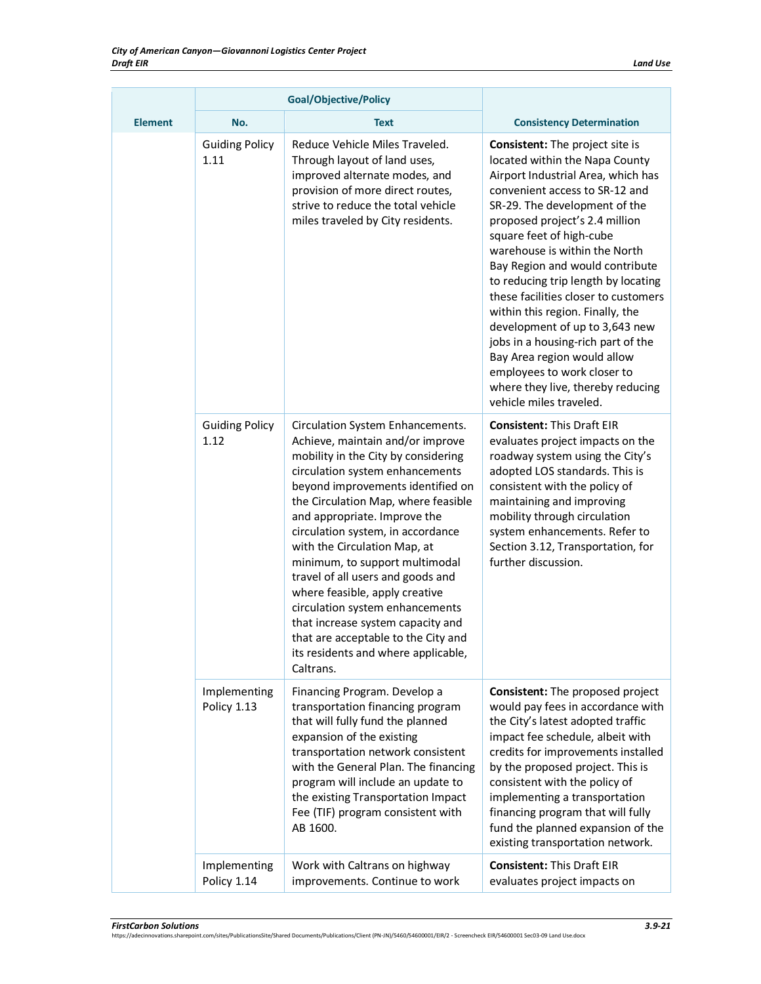|                | <b>Goal/Objective/Policy</b>  |                                                                                                                                                                                                                                                                                                                                                                                                                                                                                                                                                                                                             |                                                                                                                                                                                                                                                                                                                                                                                                                                                                                                                                                                                                                                              |
|----------------|-------------------------------|-------------------------------------------------------------------------------------------------------------------------------------------------------------------------------------------------------------------------------------------------------------------------------------------------------------------------------------------------------------------------------------------------------------------------------------------------------------------------------------------------------------------------------------------------------------------------------------------------------------|----------------------------------------------------------------------------------------------------------------------------------------------------------------------------------------------------------------------------------------------------------------------------------------------------------------------------------------------------------------------------------------------------------------------------------------------------------------------------------------------------------------------------------------------------------------------------------------------------------------------------------------------|
| <b>Element</b> | No.                           | <b>Text</b>                                                                                                                                                                                                                                                                                                                                                                                                                                                                                                                                                                                                 | <b>Consistency Determination</b>                                                                                                                                                                                                                                                                                                                                                                                                                                                                                                                                                                                                             |
|                | <b>Guiding Policy</b><br>1.11 | Reduce Vehicle Miles Traveled.<br>Through layout of land uses,<br>improved alternate modes, and<br>provision of more direct routes,<br>strive to reduce the total vehicle<br>miles traveled by City residents.                                                                                                                                                                                                                                                                                                                                                                                              | <b>Consistent:</b> The project site is<br>located within the Napa County<br>Airport Industrial Area, which has<br>convenient access to SR-12 and<br>SR-29. The development of the<br>proposed project's 2.4 million<br>square feet of high-cube<br>warehouse is within the North<br>Bay Region and would contribute<br>to reducing trip length by locating<br>these facilities closer to customers<br>within this region. Finally, the<br>development of up to 3,643 new<br>jobs in a housing-rich part of the<br>Bay Area region would allow<br>employees to work closer to<br>where they live, thereby reducing<br>vehicle miles traveled. |
|                | <b>Guiding Policy</b><br>1.12 | Circulation System Enhancements.<br>Achieve, maintain and/or improve<br>mobility in the City by considering<br>circulation system enhancements<br>beyond improvements identified on<br>the Circulation Map, where feasible<br>and appropriate. Improve the<br>circulation system, in accordance<br>with the Circulation Map, at<br>minimum, to support multimodal<br>travel of all users and goods and<br>where feasible, apply creative<br>circulation system enhancements<br>that increase system capacity and<br>that are acceptable to the City and<br>its residents and where applicable,<br>Caltrans. | <b>Consistent: This Draft EIR</b><br>evaluates project impacts on the<br>roadway system using the City's<br>adopted LOS standards. This is<br>consistent with the policy of<br>maintaining and improving<br>mobility through circulation<br>system enhancements. Refer to<br>Section 3.12, Transportation, for<br>further discussion.                                                                                                                                                                                                                                                                                                        |
|                | Implementing<br>Policy 1.13   | Financing Program. Develop a<br>transportation financing program<br>that will fully fund the planned<br>expansion of the existing<br>transportation network consistent<br>with the General Plan. The financing<br>program will include an update to<br>the existing Transportation Impact<br>Fee (TIF) program consistent with<br>AB 1600.                                                                                                                                                                                                                                                                  | Consistent: The proposed project<br>would pay fees in accordance with<br>the City's latest adopted traffic<br>impact fee schedule, albeit with<br>credits for improvements installed<br>by the proposed project. This is<br>consistent with the policy of<br>implementing a transportation<br>financing program that will fully<br>fund the planned expansion of the<br>existing transportation network.                                                                                                                                                                                                                                     |
|                | Implementing<br>Policy 1.14   | Work with Caltrans on highway<br>improvements. Continue to work                                                                                                                                                                                                                                                                                                                                                                                                                                                                                                                                             | <b>Consistent: This Draft EIR</b><br>evaluates project impacts on                                                                                                                                                                                                                                                                                                                                                                                                                                                                                                                                                                            |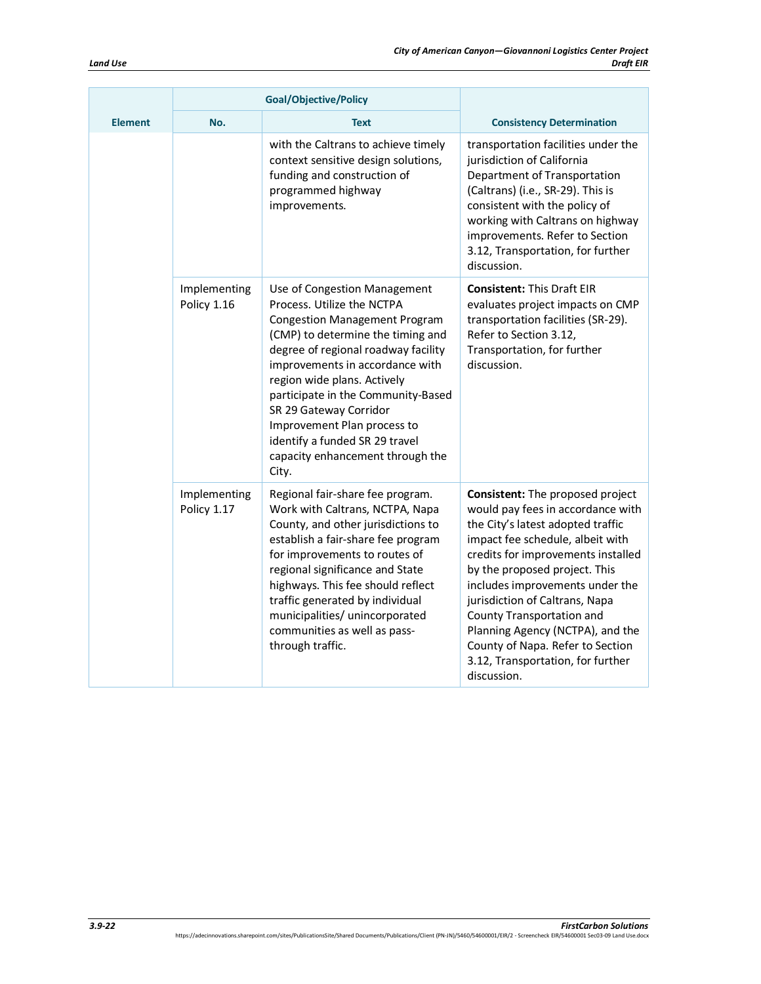|                | <b>Goal/Objective/Policy</b> |                                                                                                                                                                                                                                                                                                                                                                                                                                |                                                                                                                                                                                                                                                                                                                                                                                                                                                     |
|----------------|------------------------------|--------------------------------------------------------------------------------------------------------------------------------------------------------------------------------------------------------------------------------------------------------------------------------------------------------------------------------------------------------------------------------------------------------------------------------|-----------------------------------------------------------------------------------------------------------------------------------------------------------------------------------------------------------------------------------------------------------------------------------------------------------------------------------------------------------------------------------------------------------------------------------------------------|
| <b>Element</b> | No.                          | <b>Text</b>                                                                                                                                                                                                                                                                                                                                                                                                                    | <b>Consistency Determination</b>                                                                                                                                                                                                                                                                                                                                                                                                                    |
|                |                              | with the Caltrans to achieve timely<br>context sensitive design solutions,<br>funding and construction of<br>programmed highway<br>improvements.                                                                                                                                                                                                                                                                               | transportation facilities under the<br>jurisdiction of California<br>Department of Transportation<br>(Caltrans) (i.e., SR-29). This is<br>consistent with the policy of<br>working with Caltrans on highway<br>improvements. Refer to Section<br>3.12, Transportation, for further<br>discussion.                                                                                                                                                   |
|                | Implementing<br>Policy 1.16  | Use of Congestion Management<br>Process. Utilize the NCTPA<br><b>Congestion Management Program</b><br>(CMP) to determine the timing and<br>degree of regional roadway facility<br>improvements in accordance with<br>region wide plans. Actively<br>participate in the Community-Based<br>SR 29 Gateway Corridor<br>Improvement Plan process to<br>identify a funded SR 29 travel<br>capacity enhancement through the<br>City. | <b>Consistent: This Draft EIR</b><br>evaluates project impacts on CMP<br>transportation facilities (SR-29).<br>Refer to Section 3.12,<br>Transportation, for further<br>discussion.                                                                                                                                                                                                                                                                 |
|                | Implementing<br>Policy 1.17  | Regional fair-share fee program.<br>Work with Caltrans, NCTPA, Napa<br>County, and other jurisdictions to<br>establish a fair-share fee program<br>for improvements to routes of<br>regional significance and State<br>highways. This fee should reflect<br>traffic generated by individual<br>municipalities/ unincorporated<br>communities as well as pass-<br>through traffic.                                              | Consistent: The proposed project<br>would pay fees in accordance with<br>the City's latest adopted traffic<br>impact fee schedule, albeit with<br>credits for improvements installed<br>by the proposed project. This<br>includes improvements under the<br>jurisdiction of Caltrans, Napa<br>County Transportation and<br>Planning Agency (NCTPA), and the<br>County of Napa. Refer to Section<br>3.12, Transportation, for further<br>discussion. |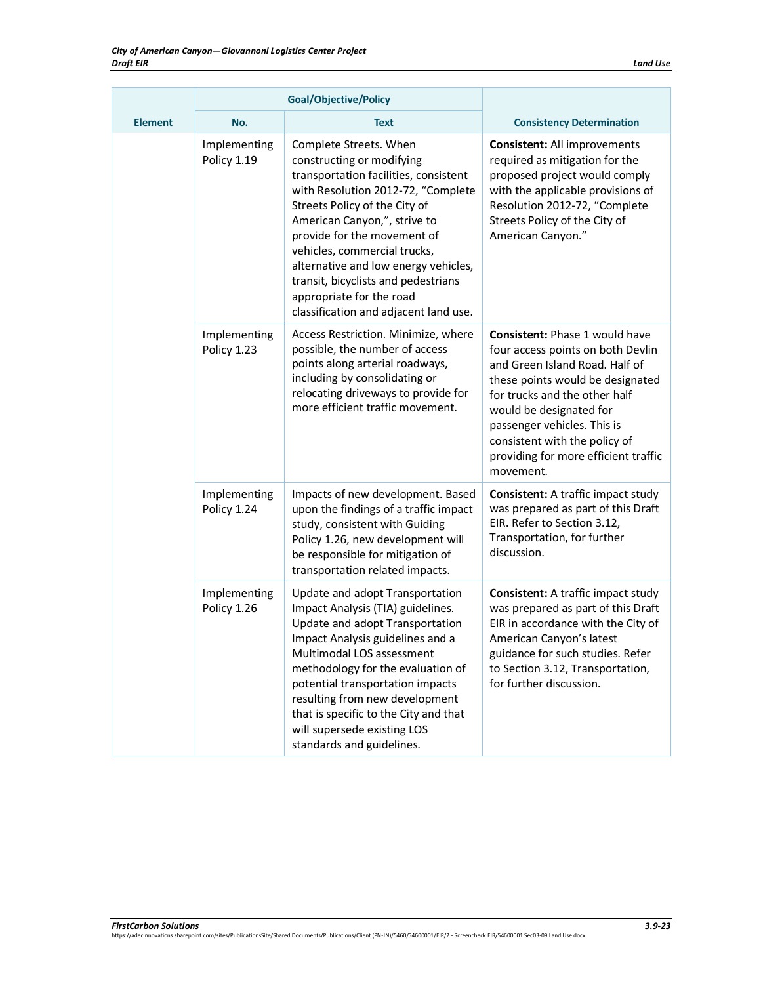|                | <b>Goal/Objective/Policy</b> |                                                                                                                                                                                                                                                                                                                                                                                                                        |                                                                                                                                                                                                                                                                                                                                   |  |
|----------------|------------------------------|------------------------------------------------------------------------------------------------------------------------------------------------------------------------------------------------------------------------------------------------------------------------------------------------------------------------------------------------------------------------------------------------------------------------|-----------------------------------------------------------------------------------------------------------------------------------------------------------------------------------------------------------------------------------------------------------------------------------------------------------------------------------|--|
| <b>Element</b> | No.                          | <b>Text</b>                                                                                                                                                                                                                                                                                                                                                                                                            | <b>Consistency Determination</b>                                                                                                                                                                                                                                                                                                  |  |
|                | Implementing<br>Policy 1.19  | Complete Streets. When<br>constructing or modifying<br>transportation facilities, consistent<br>with Resolution 2012-72, "Complete<br>Streets Policy of the City of<br>American Canyon,", strive to<br>provide for the movement of<br>vehicles, commercial trucks,<br>alternative and low energy vehicles,<br>transit, bicyclists and pedestrians<br>appropriate for the road<br>classification and adjacent land use. | <b>Consistent: All improvements</b><br>required as mitigation for the<br>proposed project would comply<br>with the applicable provisions of<br>Resolution 2012-72, "Complete<br>Streets Policy of the City of<br>American Canyon."                                                                                                |  |
|                | Implementing<br>Policy 1.23  | Access Restriction. Minimize, where<br>possible, the number of access<br>points along arterial roadways,<br>including by consolidating or<br>relocating driveways to provide for<br>more efficient traffic movement.                                                                                                                                                                                                   | <b>Consistent: Phase 1 would have</b><br>four access points on both Devlin<br>and Green Island Road. Half of<br>these points would be designated<br>for trucks and the other half<br>would be designated for<br>passenger vehicles. This is<br>consistent with the policy of<br>providing for more efficient traffic<br>movement. |  |
|                | Implementing<br>Policy 1.24  | Impacts of new development. Based<br>upon the findings of a traffic impact<br>study, consistent with Guiding<br>Policy 1.26, new development will<br>be responsible for mitigation of<br>transportation related impacts.                                                                                                                                                                                               | <b>Consistent:</b> A traffic impact study<br>was prepared as part of this Draft<br>EIR. Refer to Section 3.12,<br>Transportation, for further<br>discussion.                                                                                                                                                                      |  |
|                | Implementing<br>Policy 1.26  | Update and adopt Transportation<br>Impact Analysis (TIA) guidelines.<br>Update and adopt Transportation<br>Impact Analysis guidelines and a<br>Multimodal LOS assessment<br>methodology for the evaluation of<br>potential transportation impacts<br>resulting from new development<br>that is specific to the City and that<br>will supersede existing LOS<br>standards and guidelines.                               | <b>Consistent:</b> A traffic impact study<br>was prepared as part of this Draft<br>EIR in accordance with the City of<br>American Canyon's latest<br>guidance for such studies. Refer<br>to Section 3.12, Transportation,<br>for further discussion.                                                                              |  |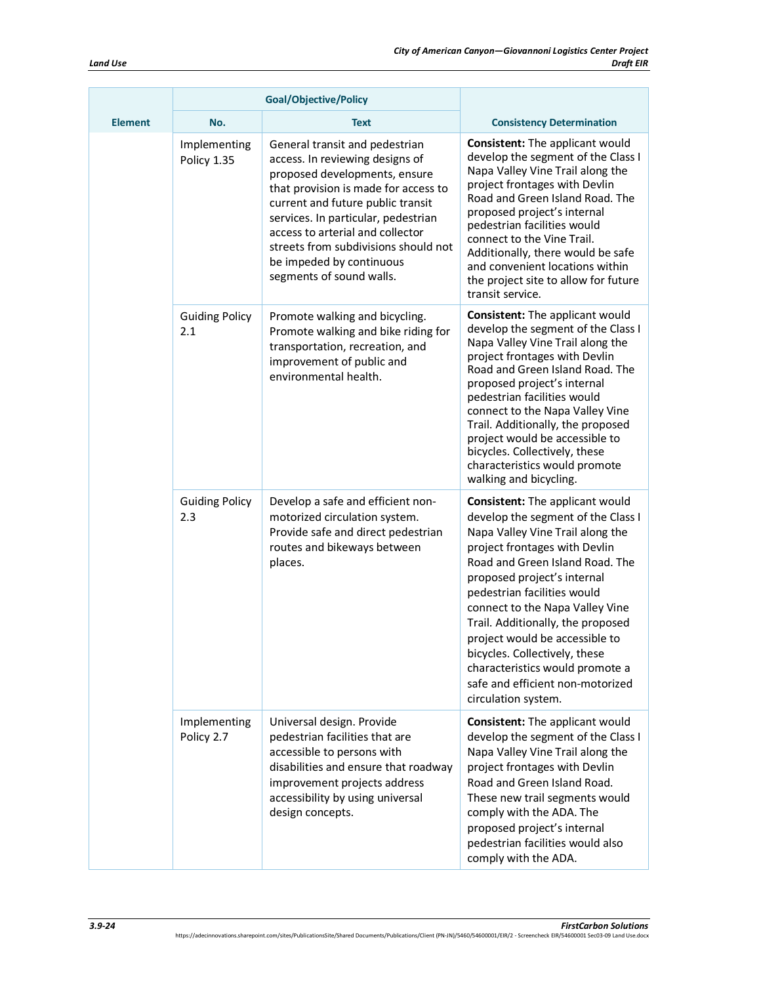| <b>Element</b> | No.                          | Text                                                                                                                                                                                                                                                                                                                                                       | <b>Consistency Determination</b>                                                                                                                                                                                                                                                                                                                                                                                                                                                     |
|----------------|------------------------------|------------------------------------------------------------------------------------------------------------------------------------------------------------------------------------------------------------------------------------------------------------------------------------------------------------------------------------------------------------|--------------------------------------------------------------------------------------------------------------------------------------------------------------------------------------------------------------------------------------------------------------------------------------------------------------------------------------------------------------------------------------------------------------------------------------------------------------------------------------|
|                | Implementing<br>Policy 1.35  | General transit and pedestrian<br>access. In reviewing designs of<br>proposed developments, ensure<br>that provision is made for access to<br>current and future public transit<br>services. In particular, pedestrian<br>access to arterial and collector<br>streets from subdivisions should not<br>be impeded by continuous<br>segments of sound walls. | <b>Consistent:</b> The applicant would<br>develop the segment of the Class I<br>Napa Valley Vine Trail along the<br>project frontages with Devlin<br>Road and Green Island Road. The<br>proposed project's internal<br>pedestrian facilities would<br>connect to the Vine Trail.<br>Additionally, there would be safe<br>and convenient locations within<br>the project site to allow for future<br>transit service.                                                                 |
|                | <b>Guiding Policy</b><br>2.1 | Promote walking and bicycling.<br>Promote walking and bike riding for<br>transportation, recreation, and<br>improvement of public and<br>environmental health.                                                                                                                                                                                             | <b>Consistent:</b> The applicant would<br>develop the segment of the Class I<br>Napa Valley Vine Trail along the<br>project frontages with Devlin<br>Road and Green Island Road. The<br>proposed project's internal<br>pedestrian facilities would<br>connect to the Napa Valley Vine<br>Trail. Additionally, the proposed<br>project would be accessible to<br>bicycles. Collectively, these<br>characteristics would promote<br>walking and bicycling.                             |
|                | <b>Guiding Policy</b><br>2.3 | Develop a safe and efficient non-<br>motorized circulation system.<br>Provide safe and direct pedestrian<br>routes and bikeways between<br>places.                                                                                                                                                                                                         | Consistent: The applicant would<br>develop the segment of the Class I<br>Napa Valley Vine Trail along the<br>project frontages with Devlin<br>Road and Green Island Road. The<br>proposed project's internal<br>pedestrian facilities would<br>connect to the Napa Valley Vine<br>Trail. Additionally, the proposed<br>project would be accessible to<br>bicycles. Collectively, these<br>characteristics would promote a<br>safe and efficient non-motorized<br>circulation system. |
|                | Implementing<br>Policy 2.7   | Universal design. Provide<br>pedestrian facilities that are<br>accessible to persons with<br>disabilities and ensure that roadway<br>improvement projects address<br>accessibility by using universal<br>design concepts.                                                                                                                                  | <b>Consistent:</b> The applicant would<br>develop the segment of the Class I<br>Napa Valley Vine Trail along the<br>project frontages with Devlin<br>Road and Green Island Road.<br>These new trail segments would<br>comply with the ADA. The<br>proposed project's internal<br>pedestrian facilities would also<br>comply with the ADA.                                                                                                                                            |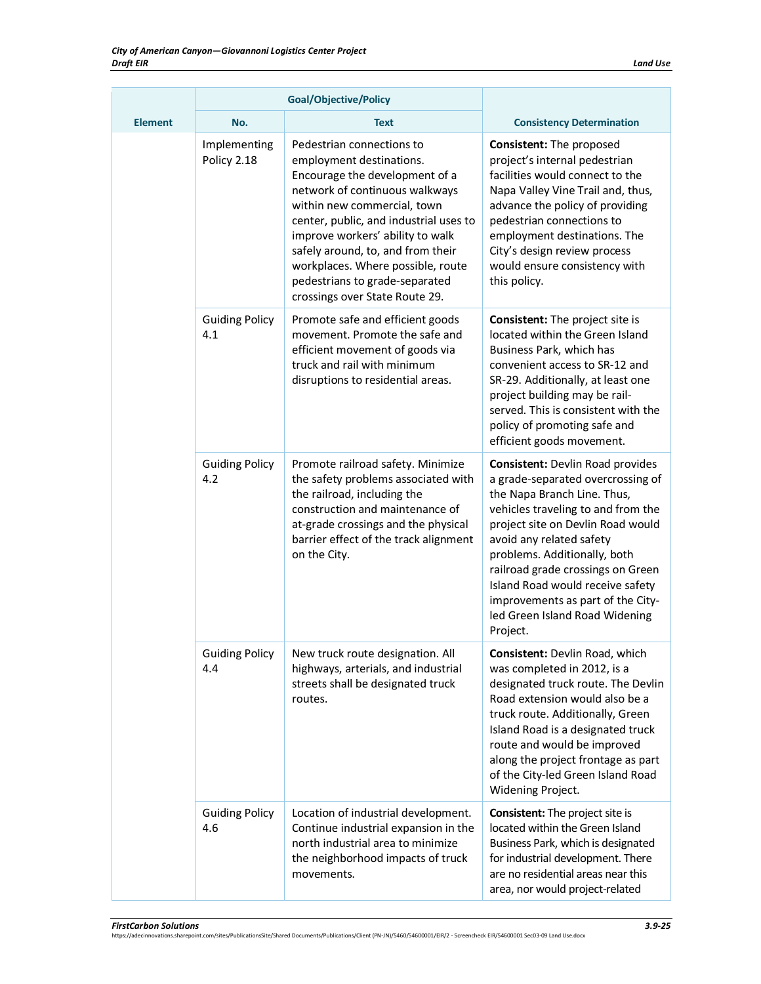|                | Goal/Objective/Policy        |                                                                                                                                                                                                                                                                                                                                                                                      |                                                                                                                                                                                                                                                                                                                                                                                                                |
|----------------|------------------------------|--------------------------------------------------------------------------------------------------------------------------------------------------------------------------------------------------------------------------------------------------------------------------------------------------------------------------------------------------------------------------------------|----------------------------------------------------------------------------------------------------------------------------------------------------------------------------------------------------------------------------------------------------------------------------------------------------------------------------------------------------------------------------------------------------------------|
| <b>Element</b> | No.                          | Text                                                                                                                                                                                                                                                                                                                                                                                 | <b>Consistency Determination</b>                                                                                                                                                                                                                                                                                                                                                                               |
|                | Implementing<br>Policy 2.18  | Pedestrian connections to<br>employment destinations.<br>Encourage the development of a<br>network of continuous walkways<br>within new commercial, town<br>center, public, and industrial uses to<br>improve workers' ability to walk<br>safely around, to, and from their<br>workplaces. Where possible, route<br>pedestrians to grade-separated<br>crossings over State Route 29. | <b>Consistent: The proposed</b><br>project's internal pedestrian<br>facilities would connect to the<br>Napa Valley Vine Trail and, thus,<br>advance the policy of providing<br>pedestrian connections to<br>employment destinations. The<br>City's design review process<br>would ensure consistency with<br>this policy.                                                                                      |
|                | <b>Guiding Policy</b><br>4.1 | Promote safe and efficient goods<br>movement. Promote the safe and<br>efficient movement of goods via<br>truck and rail with minimum<br>disruptions to residential areas.                                                                                                                                                                                                            | <b>Consistent:</b> The project site is<br>located within the Green Island<br>Business Park, which has<br>convenient access to SR-12 and<br>SR-29. Additionally, at least one<br>project building may be rail-<br>served. This is consistent with the<br>policy of promoting safe and<br>efficient goods movement.                                                                                              |
|                | <b>Guiding Policy</b><br>4.2 | Promote railroad safety. Minimize<br>the safety problems associated with<br>the railroad, including the<br>construction and maintenance of<br>at-grade crossings and the physical<br>barrier effect of the track alignment<br>on the City.                                                                                                                                           | <b>Consistent: Devlin Road provides</b><br>a grade-separated overcrossing of<br>the Napa Branch Line. Thus,<br>vehicles traveling to and from the<br>project site on Devlin Road would<br>avoid any related safety<br>problems. Additionally, both<br>railroad grade crossings on Green<br>Island Road would receive safety<br>improvements as part of the City-<br>led Green Island Road Widening<br>Project. |
|                | <b>Guiding Policy</b><br>4.4 | New truck route designation. All<br>highways, arterials, and industrial<br>streets shall be designated truck<br>routes.                                                                                                                                                                                                                                                              | Consistent: Devlin Road, which<br>was completed in 2012, is a<br>designated truck route. The Devlin<br>Road extension would also be a<br>truck route. Additionally, Green<br>Island Road is a designated truck<br>route and would be improved<br>along the project frontage as part<br>of the City-led Green Island Road<br>Widening Project.                                                                  |
|                | <b>Guiding Policy</b><br>4.6 | Location of industrial development.<br>Continue industrial expansion in the<br>north industrial area to minimize<br>the neighborhood impacts of truck<br>movements.                                                                                                                                                                                                                  | <b>Consistent:</b> The project site is<br>located within the Green Island<br>Business Park, which is designated<br>for industrial development. There<br>are no residential areas near this<br>area, nor would project-related                                                                                                                                                                                  |

*FirstCarbon Solutions 3.9-25* https://adecinnovations.sharepoint.com/sites/PublicationsSite/Shared Documents/Publications/Client (PN-JN)/5460/54600001/EIR/2 - Screencheck EIR/54600001 Sec03-09 Land Use.docx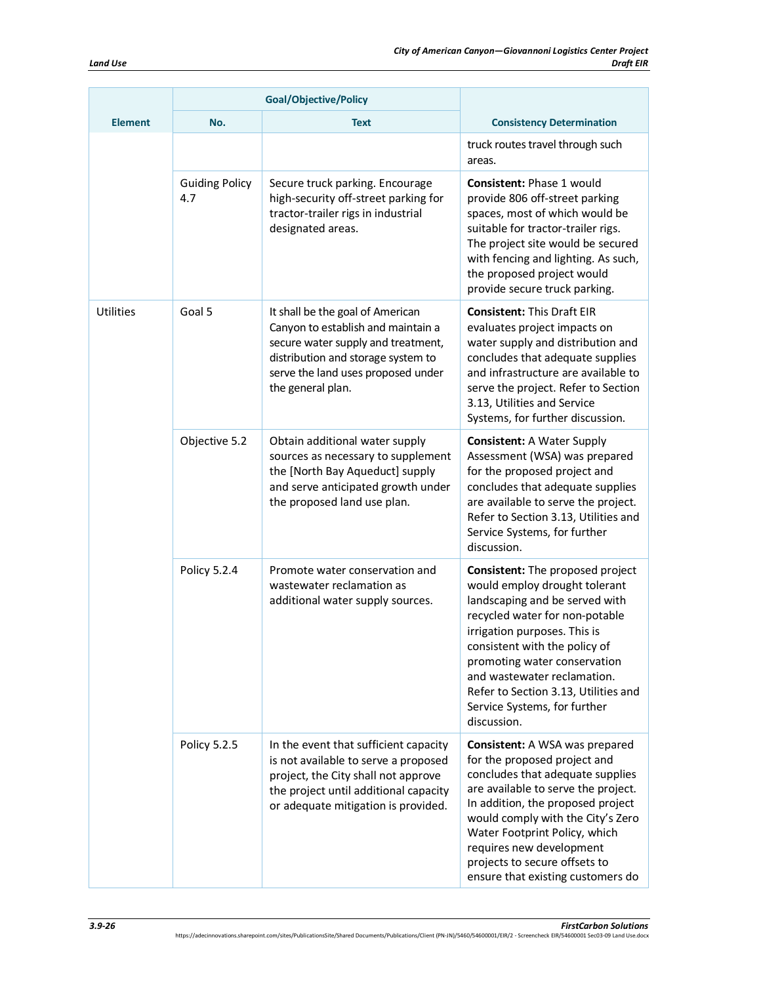|                  | <b>Goal/Objective/Policy</b> |                                                                                                                                                                                                               |                                                                                                                                                                                                                                                                                                                                                              |
|------------------|------------------------------|---------------------------------------------------------------------------------------------------------------------------------------------------------------------------------------------------------------|--------------------------------------------------------------------------------------------------------------------------------------------------------------------------------------------------------------------------------------------------------------------------------------------------------------------------------------------------------------|
| <b>Element</b>   | No.                          | <b>Text</b>                                                                                                                                                                                                   | <b>Consistency Determination</b>                                                                                                                                                                                                                                                                                                                             |
|                  |                              |                                                                                                                                                                                                               | truck routes travel through such<br>areas.                                                                                                                                                                                                                                                                                                                   |
|                  | <b>Guiding Policy</b><br>4.7 | Secure truck parking. Encourage<br>high-security off-street parking for<br>tractor-trailer rigs in industrial<br>designated areas.                                                                            | <b>Consistent: Phase 1 would</b><br>provide 806 off-street parking<br>spaces, most of which would be<br>suitable for tractor-trailer rigs.<br>The project site would be secured<br>with fencing and lighting. As such,<br>the proposed project would<br>provide secure truck parking.                                                                        |
| <b>Utilities</b> | Goal 5                       | It shall be the goal of American<br>Canyon to establish and maintain a<br>secure water supply and treatment,<br>distribution and storage system to<br>serve the land uses proposed under<br>the general plan. | <b>Consistent: This Draft EIR</b><br>evaluates project impacts on<br>water supply and distribution and<br>concludes that adequate supplies<br>and infrastructure are available to<br>serve the project. Refer to Section<br>3.13, Utilities and Service<br>Systems, for further discussion.                                                                  |
|                  | Objective 5.2                | Obtain additional water supply<br>sources as necessary to supplement<br>the [North Bay Aqueduct] supply<br>and serve anticipated growth under<br>the proposed land use plan.                                  | <b>Consistent: A Water Supply</b><br>Assessment (WSA) was prepared<br>for the proposed project and<br>concludes that adequate supplies<br>are available to serve the project.<br>Refer to Section 3.13, Utilities and<br>Service Systems, for further<br>discussion.                                                                                         |
|                  | Policy 5.2.4                 | Promote water conservation and<br>wastewater reclamation as<br>additional water supply sources.                                                                                                               | Consistent: The proposed project<br>would employ drought tolerant<br>landscaping and be served with<br>recycled water for non-potable<br>irrigation purposes. This is<br>consistent with the policy of<br>promoting water conservation<br>and wastewater reclamation.<br>Refer to Section 3.13, Utilities and<br>Service Systems, for further<br>discussion. |
|                  | Policy 5.2.5                 | In the event that sufficient capacity<br>is not available to serve a proposed<br>project, the City shall not approve<br>the project until additional capacity<br>or adequate mitigation is provided.          | Consistent: A WSA was prepared<br>for the proposed project and<br>concludes that adequate supplies<br>are available to serve the project.<br>In addition, the proposed project<br>would comply with the City's Zero<br>Water Footprint Policy, which<br>requires new development<br>projects to secure offsets to<br>ensure that existing customers do       |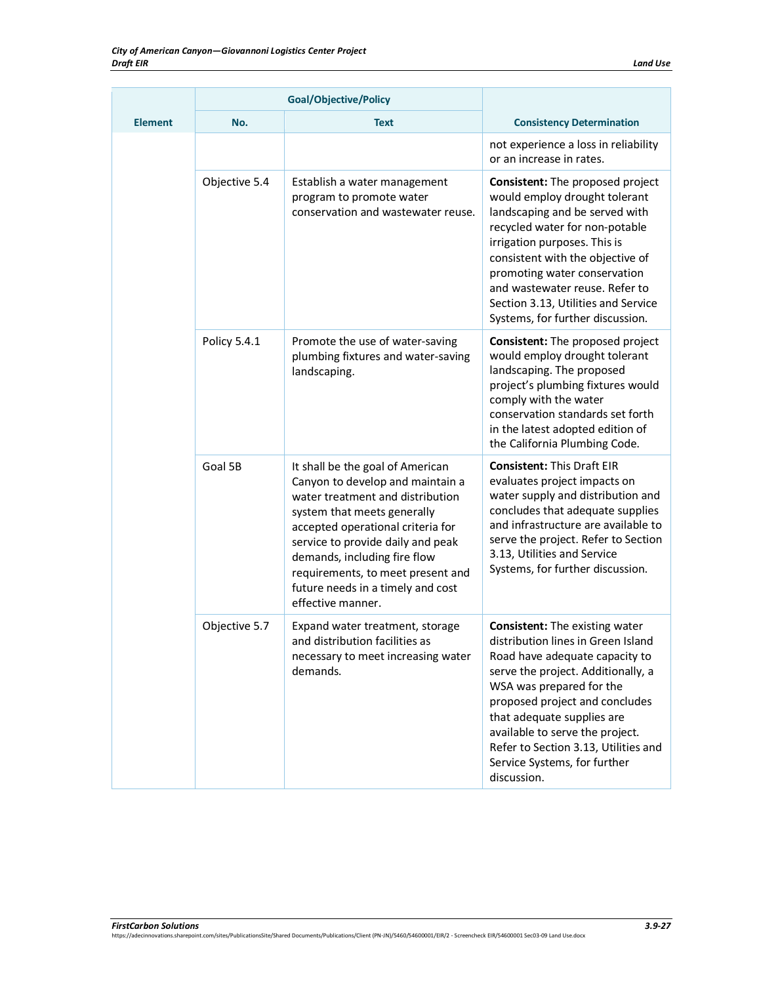|                | <b>Goal/Objective/Policy</b> |                                                                                                                                                                                                                                                                                                                                                  |                                                                                                                                                                                                                                                                                                                                                                           |
|----------------|------------------------------|--------------------------------------------------------------------------------------------------------------------------------------------------------------------------------------------------------------------------------------------------------------------------------------------------------------------------------------------------|---------------------------------------------------------------------------------------------------------------------------------------------------------------------------------------------------------------------------------------------------------------------------------------------------------------------------------------------------------------------------|
| <b>Element</b> | No.                          | <b>Text</b>                                                                                                                                                                                                                                                                                                                                      | <b>Consistency Determination</b>                                                                                                                                                                                                                                                                                                                                          |
|                |                              |                                                                                                                                                                                                                                                                                                                                                  | not experience a loss in reliability<br>or an increase in rates.                                                                                                                                                                                                                                                                                                          |
|                | Objective 5.4                | Establish a water management<br>program to promote water<br>conservation and wastewater reuse.                                                                                                                                                                                                                                                   | Consistent: The proposed project<br>would employ drought tolerant<br>landscaping and be served with<br>recycled water for non-potable<br>irrigation purposes. This is<br>consistent with the objective of<br>promoting water conservation<br>and wastewater reuse. Refer to<br>Section 3.13, Utilities and Service<br>Systems, for further discussion.                    |
|                | Policy 5.4.1                 | Promote the use of water-saving<br>plumbing fixtures and water-saving<br>landscaping.                                                                                                                                                                                                                                                            | Consistent: The proposed project<br>would employ drought tolerant<br>landscaping. The proposed<br>project's plumbing fixtures would<br>comply with the water<br>conservation standards set forth<br>in the latest adopted edition of<br>the California Plumbing Code.                                                                                                     |
|                | Goal 5B                      | It shall be the goal of American<br>Canyon to develop and maintain a<br>water treatment and distribution<br>system that meets generally<br>accepted operational criteria for<br>service to provide daily and peak<br>demands, including fire flow<br>requirements, to meet present and<br>future needs in a timely and cost<br>effective manner. | <b>Consistent: This Draft EIR</b><br>evaluates project impacts on<br>water supply and distribution and<br>concludes that adequate supplies<br>and infrastructure are available to<br>serve the project. Refer to Section<br>3.13, Utilities and Service<br>Systems, for further discussion.                                                                               |
|                | Objective 5.7                | Expand water treatment, storage<br>and distribution facilities as<br>necessary to meet increasing water<br>demands.                                                                                                                                                                                                                              | <b>Consistent:</b> The existing water<br>distribution lines in Green Island<br>Road have adequate capacity to<br>serve the project. Additionally, a<br>WSA was prepared for the<br>proposed project and concludes<br>that adequate supplies are<br>available to serve the project.<br>Refer to Section 3.13, Utilities and<br>Service Systems, for further<br>discussion. |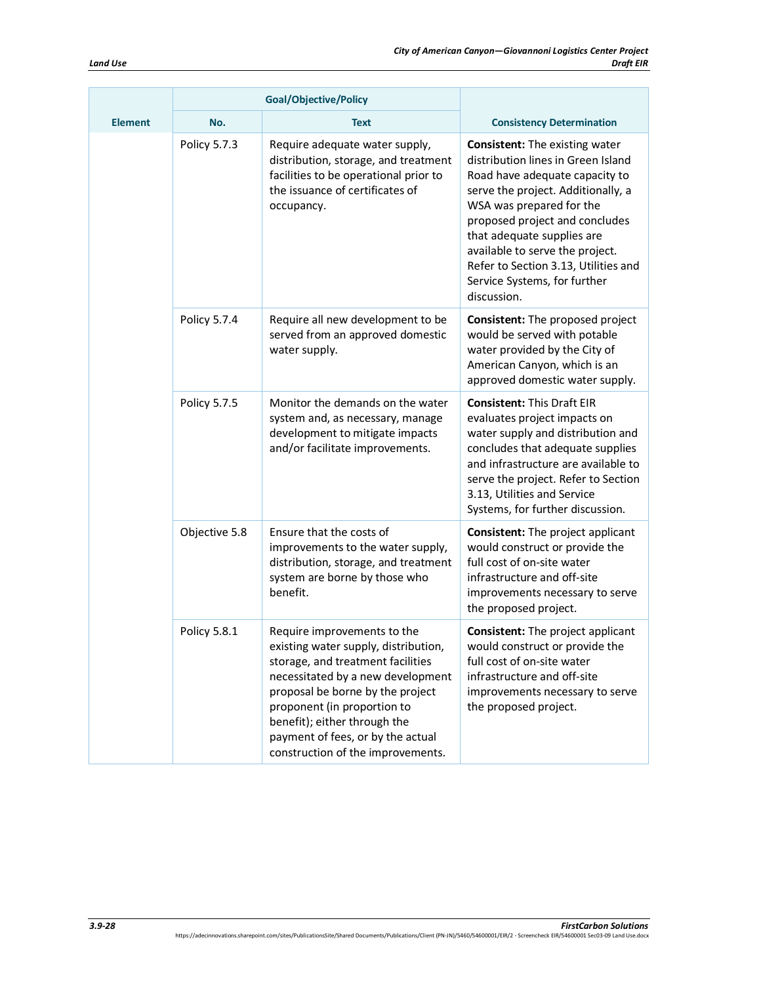|  |                | Goal/Objective/Policy |                                                                                                                                                                                                                                                                                                                            |                                                                                                                                                                                                                                                                                                                                                                           |
|--|----------------|-----------------------|----------------------------------------------------------------------------------------------------------------------------------------------------------------------------------------------------------------------------------------------------------------------------------------------------------------------------|---------------------------------------------------------------------------------------------------------------------------------------------------------------------------------------------------------------------------------------------------------------------------------------------------------------------------------------------------------------------------|
|  | <b>Element</b> | No.                   | <b>Text</b>                                                                                                                                                                                                                                                                                                                | <b>Consistency Determination</b>                                                                                                                                                                                                                                                                                                                                          |
|  |                | Policy 5.7.3          | Require adequate water supply,<br>distribution, storage, and treatment<br>facilities to be operational prior to<br>the issuance of certificates of<br>occupancy.                                                                                                                                                           | <b>Consistent:</b> The existing water<br>distribution lines in Green Island<br>Road have adequate capacity to<br>serve the project. Additionally, a<br>WSA was prepared for the<br>proposed project and concludes<br>that adequate supplies are<br>available to serve the project.<br>Refer to Section 3.13, Utilities and<br>Service Systems, for further<br>discussion. |
|  |                | Policy 5.7.4          | Require all new development to be<br>served from an approved domestic<br>water supply.                                                                                                                                                                                                                                     | Consistent: The proposed project<br>would be served with potable<br>water provided by the City of<br>American Canyon, which is an<br>approved domestic water supply.                                                                                                                                                                                                      |
|  |                | Policy 5.7.5          | Monitor the demands on the water<br>system and, as necessary, manage<br>development to mitigate impacts<br>and/or facilitate improvements.                                                                                                                                                                                 | <b>Consistent: This Draft EIR</b><br>evaluates project impacts on<br>water supply and distribution and<br>concludes that adequate supplies<br>and infrastructure are available to<br>serve the project. Refer to Section<br>3.13, Utilities and Service<br>Systems, for further discussion.                                                                               |
|  |                | Objective 5.8         | Ensure that the costs of<br>improvements to the water supply,<br>distribution, storage, and treatment<br>system are borne by those who<br>benefit.                                                                                                                                                                         | <b>Consistent:</b> The project applicant<br>would construct or provide the<br>full cost of on-site water<br>infrastructure and off-site<br>improvements necessary to serve<br>the proposed project.                                                                                                                                                                       |
|  |                | Policy 5.8.1          | Require improvements to the<br>existing water supply, distribution,<br>storage, and treatment facilities<br>necessitated by a new development<br>proposal be borne by the project<br>proponent (in proportion to<br>benefit); either through the<br>payment of fees, or by the actual<br>construction of the improvements. | <b>Consistent:</b> The project applicant<br>would construct or provide the<br>full cost of on-site water<br>infrastructure and off-site<br>improvements necessary to serve<br>the proposed project.                                                                                                                                                                       |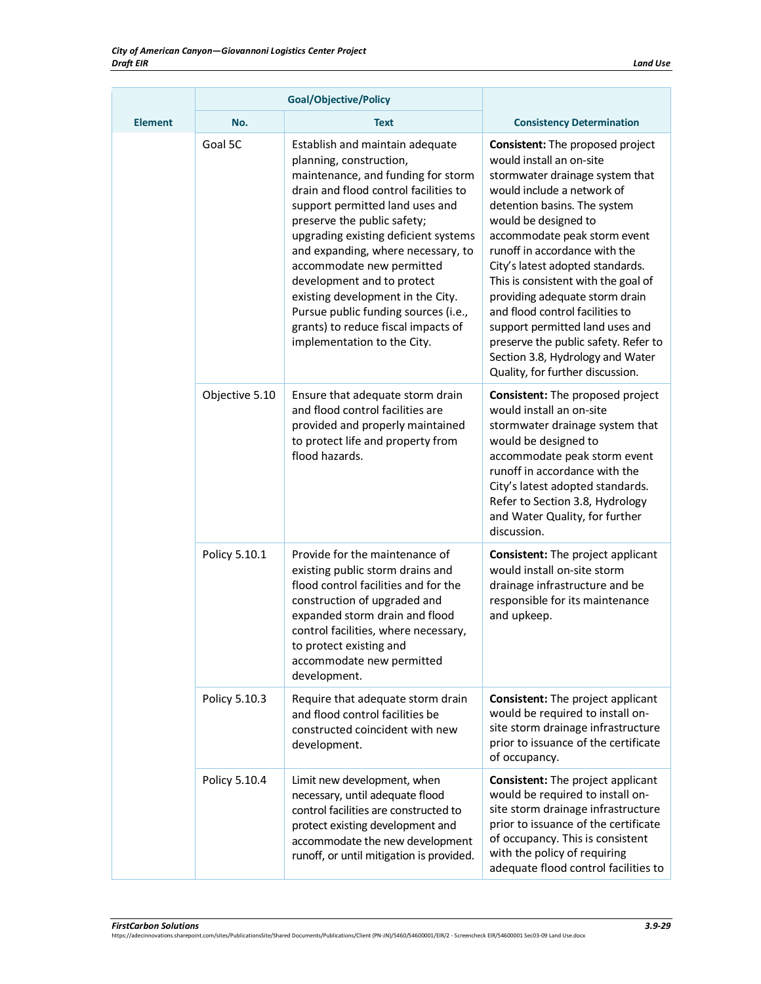|                | <b>Goal/Objective/Policy</b> |                                                                                                                                                                                                                                                                                                                                                                                                                                                                                                         |                                                                                                                                                                                                                                                                                                                                                                                                                                                                                                                                                                  |
|----------------|------------------------------|---------------------------------------------------------------------------------------------------------------------------------------------------------------------------------------------------------------------------------------------------------------------------------------------------------------------------------------------------------------------------------------------------------------------------------------------------------------------------------------------------------|------------------------------------------------------------------------------------------------------------------------------------------------------------------------------------------------------------------------------------------------------------------------------------------------------------------------------------------------------------------------------------------------------------------------------------------------------------------------------------------------------------------------------------------------------------------|
| <b>Element</b> | No.                          | <b>Text</b>                                                                                                                                                                                                                                                                                                                                                                                                                                                                                             | <b>Consistency Determination</b>                                                                                                                                                                                                                                                                                                                                                                                                                                                                                                                                 |
|                | Goal 5C                      | Establish and maintain adequate<br>planning, construction,<br>maintenance, and funding for storm<br>drain and flood control facilities to<br>support permitted land uses and<br>preserve the public safety;<br>upgrading existing deficient systems<br>and expanding, where necessary, to<br>accommodate new permitted<br>development and to protect<br>existing development in the City.<br>Pursue public funding sources (i.e.,<br>grants) to reduce fiscal impacts of<br>implementation to the City. | <b>Consistent:</b> The proposed project<br>would install an on-site<br>stormwater drainage system that<br>would include a network of<br>detention basins. The system<br>would be designed to<br>accommodate peak storm event<br>runoff in accordance with the<br>City's latest adopted standards.<br>This is consistent with the goal of<br>providing adequate storm drain<br>and flood control facilities to<br>support permitted land uses and<br>preserve the public safety. Refer to<br>Section 3.8, Hydrology and Water<br>Quality, for further discussion. |
|                | Objective 5.10               | Ensure that adequate storm drain<br>and flood control facilities are<br>provided and properly maintained<br>to protect life and property from<br>flood hazards.                                                                                                                                                                                                                                                                                                                                         | Consistent: The proposed project<br>would install an on-site<br>stormwater drainage system that<br>would be designed to<br>accommodate peak storm event<br>runoff in accordance with the<br>City's latest adopted standards.<br>Refer to Section 3.8, Hydrology<br>and Water Quality, for further<br>discussion.                                                                                                                                                                                                                                                 |
|                | Policy 5.10.1                | Provide for the maintenance of<br>existing public storm drains and<br>flood control facilities and for the<br>construction of upgraded and<br>expanded storm drain and flood<br>control facilities, where necessary,<br>to protect existing and<br>accommodate new permitted<br>development.                                                                                                                                                                                                            | <b>Consistent:</b> The project applicant<br>would install on-site storm<br>drainage infrastructure and be<br>responsible for its maintenance<br>and upkeep.                                                                                                                                                                                                                                                                                                                                                                                                      |
|                | Policy 5.10.3                | Require that adequate storm drain<br>and flood control facilities be<br>constructed coincident with new<br>development.                                                                                                                                                                                                                                                                                                                                                                                 | <b>Consistent:</b> The project applicant<br>would be required to install on-<br>site storm drainage infrastructure<br>prior to issuance of the certificate<br>of occupancy.                                                                                                                                                                                                                                                                                                                                                                                      |
|                | Policy 5.10.4                | Limit new development, when<br>necessary, until adequate flood<br>control facilities are constructed to<br>protect existing development and<br>accommodate the new development<br>runoff, or until mitigation is provided.                                                                                                                                                                                                                                                                              | <b>Consistent:</b> The project applicant<br>would be required to install on-<br>site storm drainage infrastructure<br>prior to issuance of the certificate<br>of occupancy. This is consistent<br>with the policy of requiring<br>adequate flood control facilities to                                                                                                                                                                                                                                                                                           |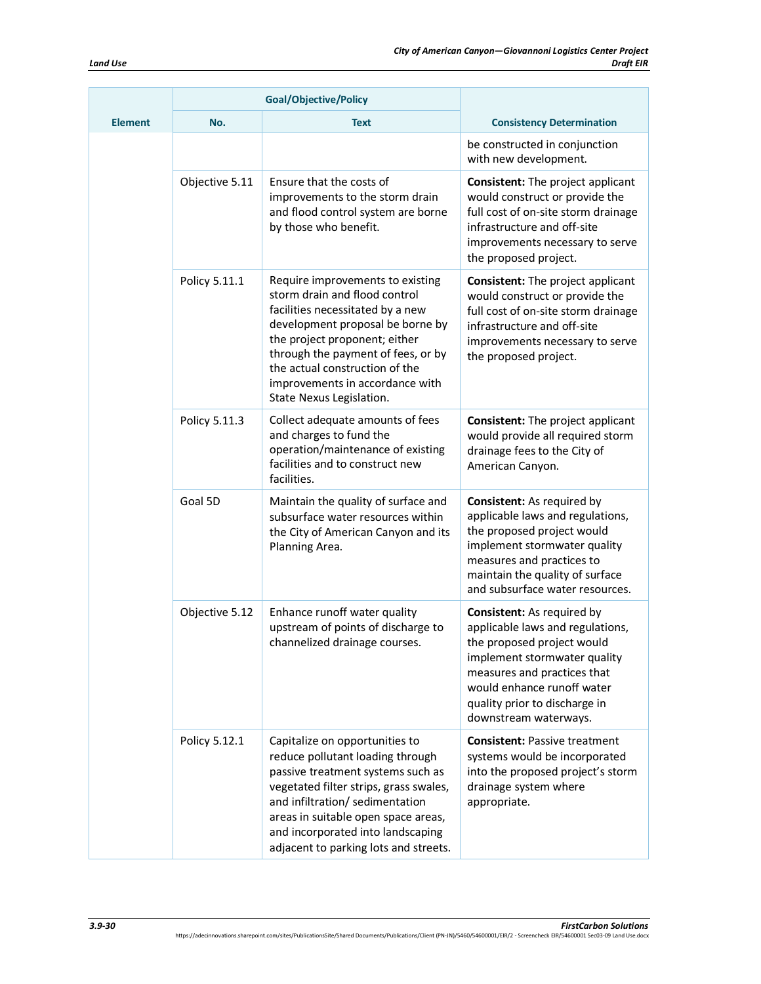|                |                | <b>Goal/Objective/Policy</b>                                                                                                                                                                                                                                                                                      |                                                                                                                                                                                                                                                            |
|----------------|----------------|-------------------------------------------------------------------------------------------------------------------------------------------------------------------------------------------------------------------------------------------------------------------------------------------------------------------|------------------------------------------------------------------------------------------------------------------------------------------------------------------------------------------------------------------------------------------------------------|
| <b>Element</b> | No.            | <b>Text</b>                                                                                                                                                                                                                                                                                                       | <b>Consistency Determination</b>                                                                                                                                                                                                                           |
|                |                |                                                                                                                                                                                                                                                                                                                   | be constructed in conjunction<br>with new development.                                                                                                                                                                                                     |
|                | Objective 5.11 | Ensure that the costs of<br>improvements to the storm drain<br>and flood control system are borne<br>by those who benefit.                                                                                                                                                                                        | <b>Consistent:</b> The project applicant<br>would construct or provide the<br>full cost of on-site storm drainage<br>infrastructure and off-site<br>improvements necessary to serve<br>the proposed project.                                               |
|                | Policy 5.11.1  | Require improvements to existing<br>storm drain and flood control<br>facilities necessitated by a new<br>development proposal be borne by<br>the project proponent; either<br>through the payment of fees, or by<br>the actual construction of the<br>improvements in accordance with<br>State Nexus Legislation. | <b>Consistent:</b> The project applicant<br>would construct or provide the<br>full cost of on-site storm drainage<br>infrastructure and off-site<br>improvements necessary to serve<br>the proposed project.                                               |
|                | Policy 5.11.3  | Collect adequate amounts of fees<br>and charges to fund the<br>operation/maintenance of existing<br>facilities and to construct new<br>facilities.                                                                                                                                                                | <b>Consistent:</b> The project applicant<br>would provide all required storm<br>drainage fees to the City of<br>American Canyon.                                                                                                                           |
|                | Goal 5D        | Maintain the quality of surface and<br>subsurface water resources within<br>the City of American Canyon and its<br>Planning Area.                                                                                                                                                                                 | <b>Consistent:</b> As required by<br>applicable laws and regulations,<br>the proposed project would<br>implement stormwater quality<br>measures and practices to<br>maintain the quality of surface<br>and subsurface water resources.                     |
|                | Objective 5.12 | Enhance runoff water quality<br>upstream of points of discharge to<br>channelized drainage courses.                                                                                                                                                                                                               | <b>Consistent:</b> As required by<br>applicable laws and regulations,<br>the proposed project would<br>implement stormwater quality<br>measures and practices that<br>would enhance runoff water<br>quality prior to discharge in<br>downstream waterways. |
|                | Policy 5.12.1  | Capitalize on opportunities to<br>reduce pollutant loading through<br>passive treatment systems such as<br>vegetated filter strips, grass swales,<br>and infiltration/ sedimentation<br>areas in suitable open space areas,<br>and incorporated into landscaping<br>adjacent to parking lots and streets.         | <b>Consistent: Passive treatment</b><br>systems would be incorporated<br>into the proposed project's storm<br>drainage system where<br>appropriate.                                                                                                        |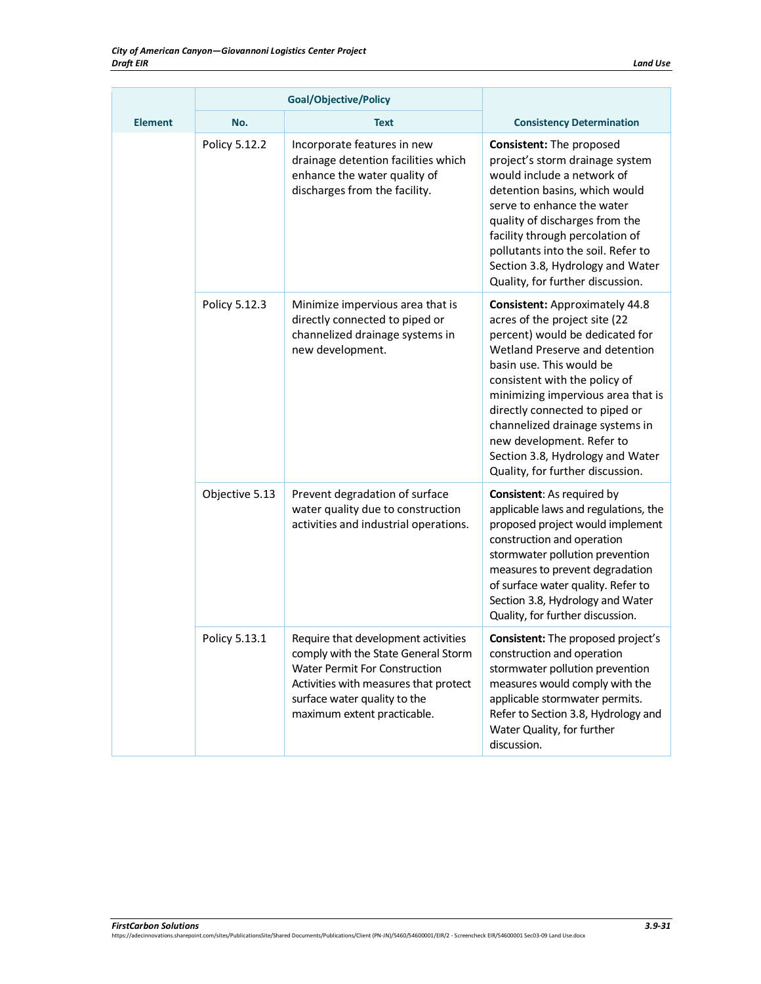|                | Goal/Objective/Policy |                                                                                                                                                                                                                            |                                                                                                                                                                                                                                                                                                                                                                                                                          |
|----------------|-----------------------|----------------------------------------------------------------------------------------------------------------------------------------------------------------------------------------------------------------------------|--------------------------------------------------------------------------------------------------------------------------------------------------------------------------------------------------------------------------------------------------------------------------------------------------------------------------------------------------------------------------------------------------------------------------|
| <b>Element</b> | No.                   | <b>Text</b>                                                                                                                                                                                                                | <b>Consistency Determination</b>                                                                                                                                                                                                                                                                                                                                                                                         |
|                | Policy 5.12.2         | Incorporate features in new<br>drainage detention facilities which<br>enhance the water quality of<br>discharges from the facility.                                                                                        | <b>Consistent: The proposed</b><br>project's storm drainage system<br>would include a network of<br>detention basins, which would<br>serve to enhance the water<br>quality of discharges from the<br>facility through percolation of<br>pollutants into the soil. Refer to<br>Section 3.8, Hydrology and Water<br>Quality, for further discussion.                                                                       |
|                | Policy 5.12.3         | Minimize impervious area that is<br>directly connected to piped or<br>channelized drainage systems in<br>new development.                                                                                                  | <b>Consistent: Approximately 44.8</b><br>acres of the project site (22<br>percent) would be dedicated for<br>Wetland Preserve and detention<br>basin use. This would be<br>consistent with the policy of<br>minimizing impervious area that is<br>directly connected to piped or<br>channelized drainage systems in<br>new development. Refer to<br>Section 3.8, Hydrology and Water<br>Quality, for further discussion. |
|                | Objective 5.13        | Prevent degradation of surface<br>water quality due to construction<br>activities and industrial operations.                                                                                                               | <b>Consistent:</b> As required by<br>applicable laws and regulations, the<br>proposed project would implement<br>construction and operation<br>stormwater pollution prevention<br>measures to prevent degradation<br>of surface water quality. Refer to<br>Section 3.8, Hydrology and Water<br>Quality, for further discussion.                                                                                          |
|                | Policy 5.13.1         | Require that development activities<br>comply with the State General Storm<br><b>Water Permit For Construction</b><br>Activities with measures that protect<br>surface water quality to the<br>maximum extent practicable. | <b>Consistent:</b> The proposed project's<br>construction and operation<br>stormwater pollution prevention<br>measures would comply with the<br>applicable stormwater permits.<br>Refer to Section 3.8, Hydrology and<br>Water Quality, for further<br>discussion.                                                                                                                                                       |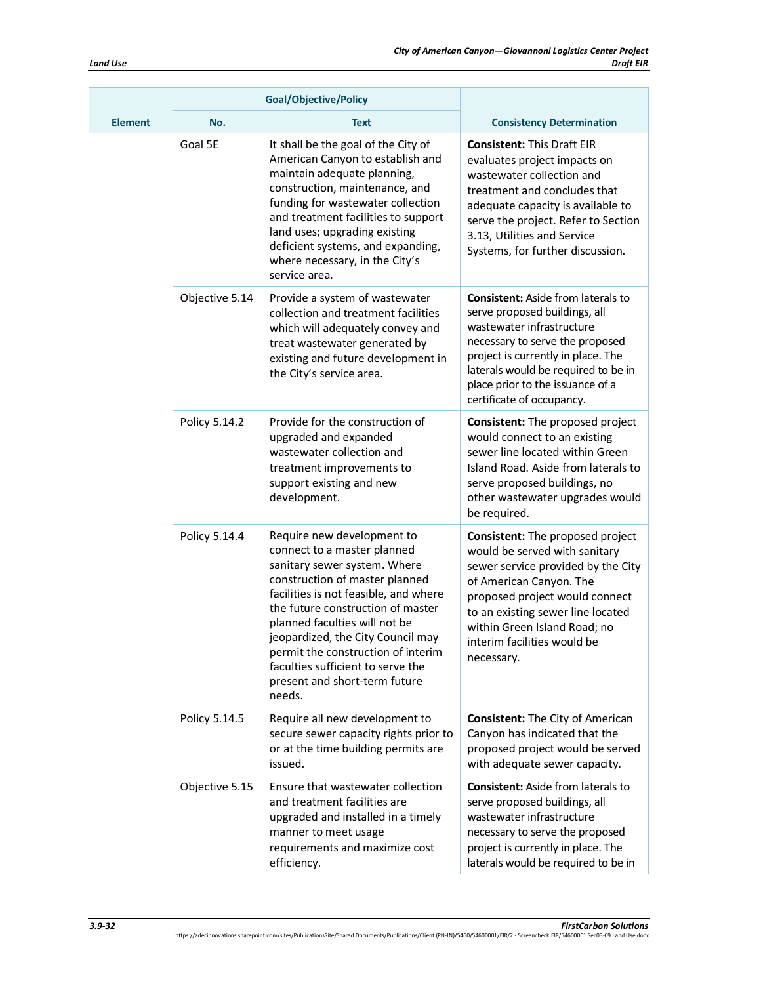|                | Goal/Objective/Policy |                                                                                                                                                                                                                                                                                                                                                                                                       |                                                                                                                                                                                                                                                                                          |
|----------------|-----------------------|-------------------------------------------------------------------------------------------------------------------------------------------------------------------------------------------------------------------------------------------------------------------------------------------------------------------------------------------------------------------------------------------------------|------------------------------------------------------------------------------------------------------------------------------------------------------------------------------------------------------------------------------------------------------------------------------------------|
| <b>Element</b> | No.                   | <b>Text</b>                                                                                                                                                                                                                                                                                                                                                                                           | <b>Consistency Determination</b>                                                                                                                                                                                                                                                         |
|                | Goal 5E               | It shall be the goal of the City of<br>American Canyon to establish and<br>maintain adequate planning,<br>construction, maintenance, and<br>funding for wastewater collection<br>and treatment facilities to support<br>land uses; upgrading existing<br>deficient systems, and expanding,<br>where necessary, in the City's<br>service area.                                                         | <b>Consistent: This Draft EIR</b><br>evaluates project impacts on<br>wastewater collection and<br>treatment and concludes that<br>adequate capacity is available to<br>serve the project. Refer to Section<br>3.13, Utilities and Service<br>Systems, for further discussion.            |
|                | Objective 5.14        | Provide a system of wastewater<br>collection and treatment facilities<br>which will adequately convey and<br>treat wastewater generated by<br>existing and future development in<br>the City's service area.                                                                                                                                                                                          | <b>Consistent:</b> Aside from laterals to<br>serve proposed buildings, all<br>wastewater infrastructure<br>necessary to serve the proposed<br>project is currently in place. The<br>laterals would be required to be in<br>place prior to the issuance of a<br>certificate of occupancy. |
|                | Policy 5.14.2         | Provide for the construction of<br>upgraded and expanded<br>wastewater collection and<br>treatment improvements to<br>support existing and new<br>development.                                                                                                                                                                                                                                        | Consistent: The proposed project<br>would connect to an existing<br>sewer line located within Green<br>Island Road. Aside from laterals to<br>serve proposed buildings, no<br>other wastewater upgrades would<br>be required.                                                            |
|                | Policy 5.14.4         | Require new development to<br>connect to a master planned<br>sanitary sewer system. Where<br>construction of master planned<br>facilities is not feasible, and where<br>the future construction of master<br>planned faculties will not be<br>jeopardized, the City Council may<br>permit the construction of interim<br>faculties sufficient to serve the<br>present and short-term future<br>needs. | Consistent: The proposed project<br>would be served with sanitary<br>sewer service provided by the City<br>of American Canyon. The<br>proposed project would connect<br>to an existing sewer line located<br>within Green Island Road; no<br>interim facilities would be<br>necessary.   |
|                | Policy 5.14.5         | Require all new development to<br>secure sewer capacity rights prior to<br>or at the time building permits are<br>issued.                                                                                                                                                                                                                                                                             | <b>Consistent:</b> The City of American<br>Canyon has indicated that the<br>proposed project would be served<br>with adequate sewer capacity.                                                                                                                                            |
|                | Objective 5.15        | Ensure that wastewater collection<br>and treatment facilities are<br>upgraded and installed in a timely<br>manner to meet usage<br>requirements and maximize cost<br>efficiency.                                                                                                                                                                                                                      | <b>Consistent:</b> Aside from laterals to<br>serve proposed buildings, all<br>wastewater infrastructure<br>necessary to serve the proposed<br>project is currently in place. The<br>laterals would be required to be in                                                                  |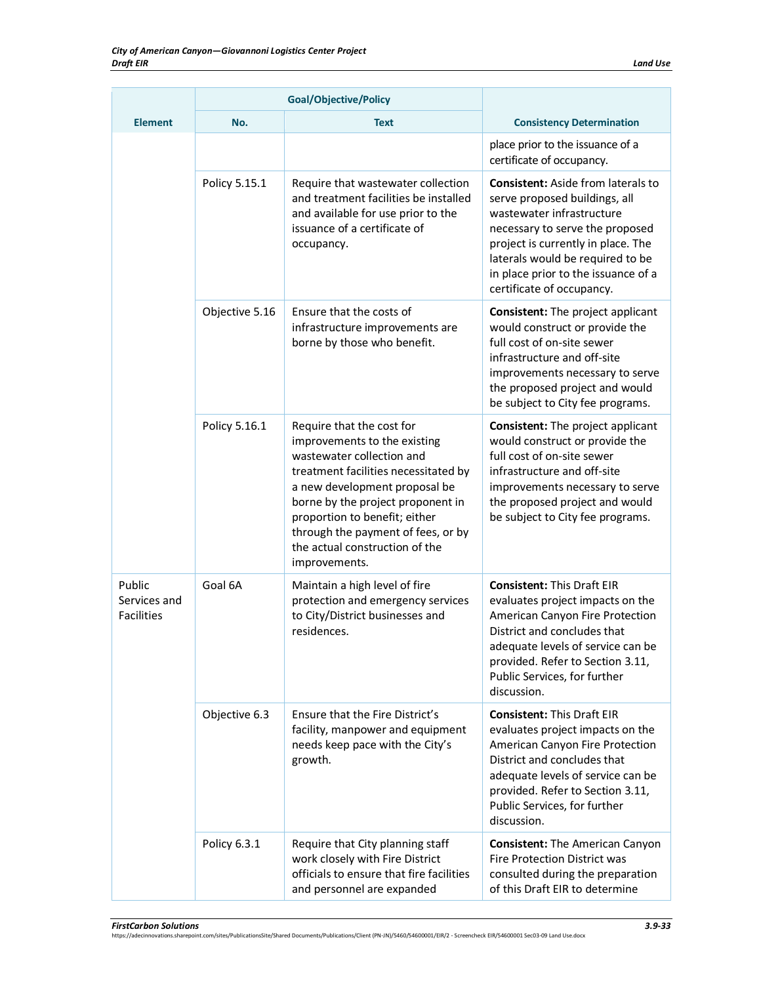|                                             | <b>Goal/Objective/Policy</b> |                                                                                                                                                                                                                                                                                                                                |                                                                                                                                                                                                                                                                                          |
|---------------------------------------------|------------------------------|--------------------------------------------------------------------------------------------------------------------------------------------------------------------------------------------------------------------------------------------------------------------------------------------------------------------------------|------------------------------------------------------------------------------------------------------------------------------------------------------------------------------------------------------------------------------------------------------------------------------------------|
| <b>Element</b>                              | No.                          | <b>Text</b>                                                                                                                                                                                                                                                                                                                    | <b>Consistency Determination</b>                                                                                                                                                                                                                                                         |
|                                             |                              |                                                                                                                                                                                                                                                                                                                                | place prior to the issuance of a<br>certificate of occupancy.                                                                                                                                                                                                                            |
|                                             | Policy 5.15.1                | Require that wastewater collection<br>and treatment facilities be installed<br>and available for use prior to the<br>issuance of a certificate of<br>occupancy.                                                                                                                                                                | <b>Consistent:</b> Aside from laterals to<br>serve proposed buildings, all<br>wastewater infrastructure<br>necessary to serve the proposed<br>project is currently in place. The<br>laterals would be required to be<br>in place prior to the issuance of a<br>certificate of occupancy. |
|                                             | Objective 5.16               | Ensure that the costs of<br>infrastructure improvements are<br>borne by those who benefit.                                                                                                                                                                                                                                     | <b>Consistent:</b> The project applicant<br>would construct or provide the<br>full cost of on-site sewer<br>infrastructure and off-site<br>improvements necessary to serve<br>the proposed project and would<br>be subject to City fee programs.                                         |
|                                             | Policy 5.16.1                | Require that the cost for<br>improvements to the existing<br>wastewater collection and<br>treatment facilities necessitated by<br>a new development proposal be<br>borne by the project proponent in<br>proportion to benefit; either<br>through the payment of fees, or by<br>the actual construction of the<br>improvements. | <b>Consistent:</b> The project applicant<br>would construct or provide the<br>full cost of on-site sewer<br>infrastructure and off-site<br>improvements necessary to serve<br>the proposed project and would<br>be subject to City fee programs.                                         |
| Public<br>Services and<br><b>Facilities</b> | Goal 6A                      | Maintain a high level of fire<br>protection and emergency services<br>to City/District businesses and<br>residences.                                                                                                                                                                                                           | <b>Consistent: This Draft EIR</b><br>evaluates project impacts on the<br>American Canyon Fire Protection<br>District and concludes that<br>adequate levels of service can be<br>provided. Refer to Section 3.11,<br>Public Services, for further<br>discussion.                          |
|                                             | Objective 6.3                | Ensure that the Fire District's<br>facility, manpower and equipment<br>needs keep pace with the City's<br>growth.                                                                                                                                                                                                              | <b>Consistent: This Draft EIR</b><br>evaluates project impacts on the<br>American Canyon Fire Protection<br>District and concludes that<br>adequate levels of service can be<br>provided. Refer to Section 3.11,<br>Public Services, for further<br>discussion.                          |
|                                             | Policy 6.3.1                 | Require that City planning staff<br>work closely with Fire District<br>officials to ensure that fire facilities<br>and personnel are expanded                                                                                                                                                                                  | <b>Consistent:</b> The American Canyon<br><b>Fire Protection District was</b><br>consulted during the preparation<br>of this Draft EIR to determine                                                                                                                                      |

*FirstCarbon Solutions 3.9-33* https://adecinnovations.sharepoint.com/sites/PublicationsSite/Shared Documents/Publications/Client (PN-JN)/5460/54600001/EIR/2 - Screencheck EIR/54600001 Sec03-09 Land Use.docx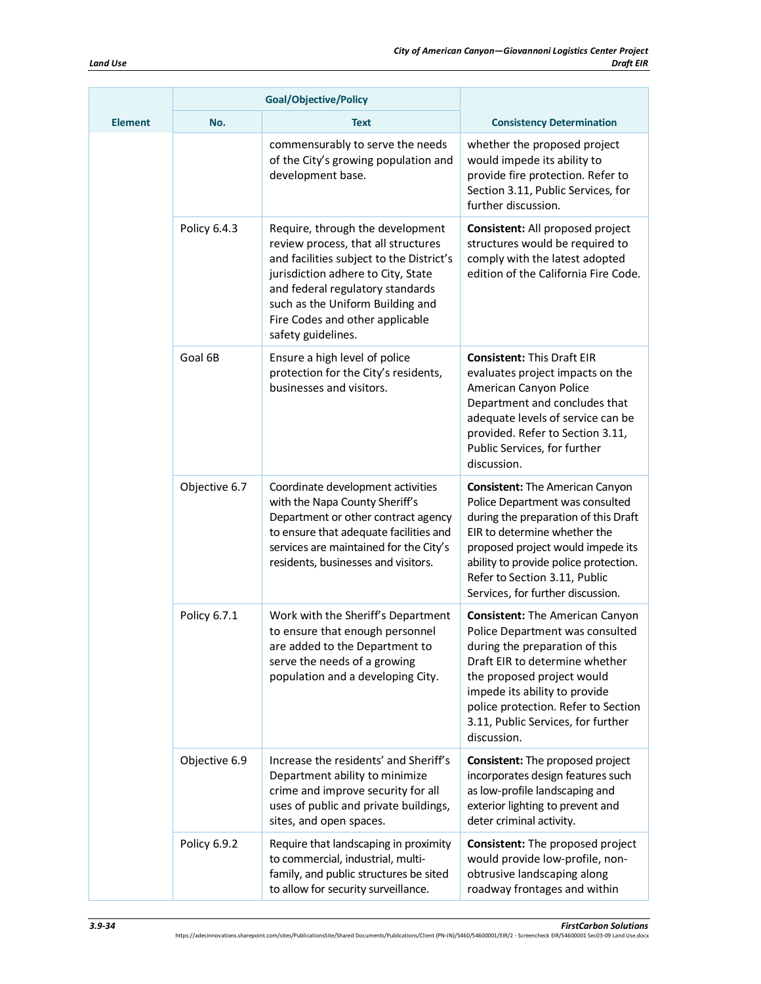|                | <b>Goal/Objective/Policy</b> |                                                                                                                                                                                                                                                                                            |                                                                                                                                                                                                                                                                                                          |
|----------------|------------------------------|--------------------------------------------------------------------------------------------------------------------------------------------------------------------------------------------------------------------------------------------------------------------------------------------|----------------------------------------------------------------------------------------------------------------------------------------------------------------------------------------------------------------------------------------------------------------------------------------------------------|
| <b>Element</b> | No.                          | <b>Text</b>                                                                                                                                                                                                                                                                                | <b>Consistency Determination</b>                                                                                                                                                                                                                                                                         |
|                |                              | commensurably to serve the needs<br>of the City's growing population and<br>development base.                                                                                                                                                                                              | whether the proposed project<br>would impede its ability to<br>provide fire protection. Refer to<br>Section 3.11, Public Services, for<br>further discussion.                                                                                                                                            |
|                | Policy 6.4.3                 | Require, through the development<br>review process, that all structures<br>and facilities subject to the District's<br>jurisdiction adhere to City, State<br>and federal regulatory standards<br>such as the Uniform Building and<br>Fire Codes and other applicable<br>safety guidelines. | Consistent: All proposed project<br>structures would be required to<br>comply with the latest adopted<br>edition of the California Fire Code.                                                                                                                                                            |
|                | Goal 6B                      | Ensure a high level of police<br>protection for the City's residents,<br>businesses and visitors.                                                                                                                                                                                          | <b>Consistent: This Draft EIR</b><br>evaluates project impacts on the<br>American Canyon Police<br>Department and concludes that<br>adequate levels of service can be<br>provided. Refer to Section 3.11,<br>Public Services, for further<br>discussion.                                                 |
|                | Objective 6.7                | Coordinate development activities<br>with the Napa County Sheriff's<br>Department or other contract agency<br>to ensure that adequate facilities and<br>services are maintained for the City's<br>residents, businesses and visitors.                                                      | <b>Consistent:</b> The American Canyon<br>Police Department was consulted<br>during the preparation of this Draft<br>EIR to determine whether the<br>proposed project would impede its<br>ability to provide police protection.<br>Refer to Section 3.11, Public<br>Services, for further discussion.    |
|                | Policy 6.7.1                 | Work with the Sheriff's Department<br>to ensure that enough personnel<br>are added to the Department to<br>serve the needs of a growing<br>population and a developing City.                                                                                                               | <b>Consistent:</b> The American Canyon<br>Police Department was consulted<br>during the preparation of this<br>Draft EIR to determine whether<br>the proposed project would<br>impede its ability to provide<br>police protection. Refer to Section<br>3.11, Public Services, for further<br>discussion. |
|                | Objective 6.9                | Increase the residents' and Sheriff's<br>Department ability to minimize<br>crime and improve security for all<br>uses of public and private buildings,<br>sites, and open spaces.                                                                                                          | <b>Consistent:</b> The proposed project<br>incorporates design features such<br>as low-profile landscaping and<br>exterior lighting to prevent and<br>deter criminal activity.                                                                                                                           |
|                | Policy 6.9.2                 | Require that landscaping in proximity<br>to commercial, industrial, multi-<br>family, and public structures be sited<br>to allow for security surveillance.                                                                                                                                | Consistent: The proposed project<br>would provide low-profile, non-<br>obtrusive landscaping along<br>roadway frontages and within                                                                                                                                                                       |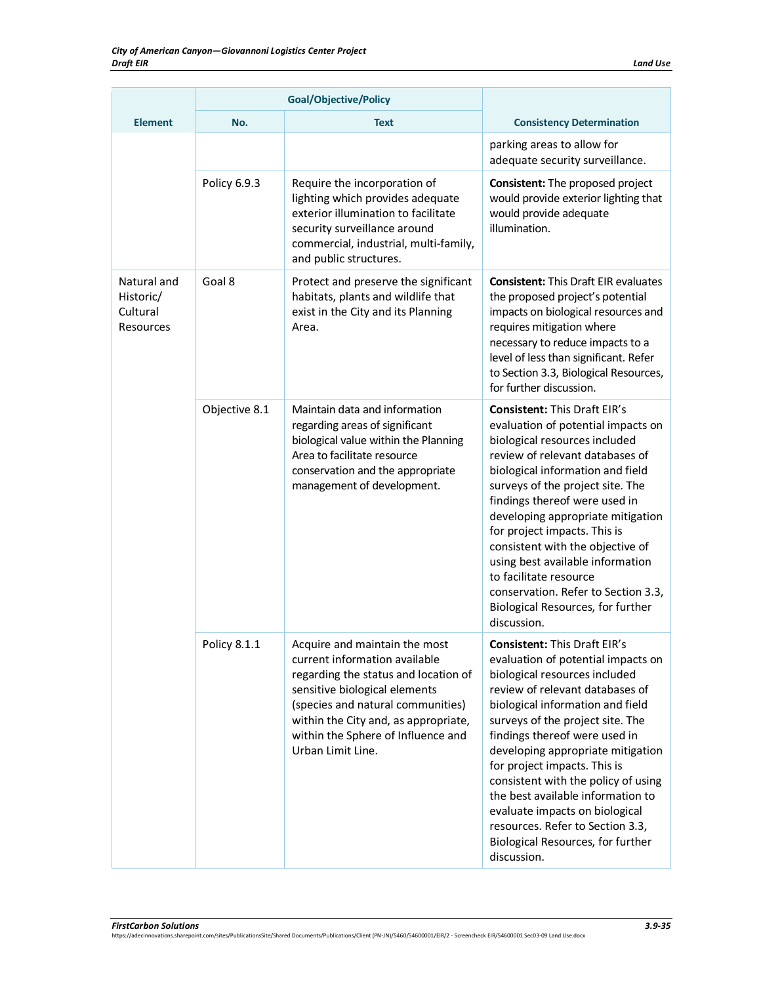|                                                   |               | <b>Goal/Objective/Policy</b>                                                                                                                                                                                                                                                    |                                                                                                                                                                                                                                                                                                                                                                                                                                                                                                                                   |
|---------------------------------------------------|---------------|---------------------------------------------------------------------------------------------------------------------------------------------------------------------------------------------------------------------------------------------------------------------------------|-----------------------------------------------------------------------------------------------------------------------------------------------------------------------------------------------------------------------------------------------------------------------------------------------------------------------------------------------------------------------------------------------------------------------------------------------------------------------------------------------------------------------------------|
| <b>Element</b>                                    | No.           | <b>Text</b>                                                                                                                                                                                                                                                                     | <b>Consistency Determination</b>                                                                                                                                                                                                                                                                                                                                                                                                                                                                                                  |
|                                                   |               |                                                                                                                                                                                                                                                                                 | parking areas to allow for<br>adequate security surveillance.                                                                                                                                                                                                                                                                                                                                                                                                                                                                     |
|                                                   | Policy 6.9.3  | Require the incorporation of<br>lighting which provides adequate<br>exterior illumination to facilitate<br>security surveillance around<br>commercial, industrial, multi-family,<br>and public structures.                                                                      | <b>Consistent:</b> The proposed project<br>would provide exterior lighting that<br>would provide adequate<br>illumination.                                                                                                                                                                                                                                                                                                                                                                                                        |
| Natural and<br>Historic/<br>Cultural<br>Resources | Goal 8        | Protect and preserve the significant<br>habitats, plants and wildlife that<br>exist in the City and its Planning<br>Area.                                                                                                                                                       | <b>Consistent: This Draft EIR evaluates</b><br>the proposed project's potential<br>impacts on biological resources and<br>requires mitigation where<br>necessary to reduce impacts to a<br>level of less than significant. Refer<br>to Section 3.3, Biological Resources,<br>for further discussion.                                                                                                                                                                                                                              |
|                                                   | Objective 8.1 | Maintain data and information<br>regarding areas of significant<br>biological value within the Planning<br>Area to facilitate resource<br>conservation and the appropriate<br>management of development.                                                                        | <b>Consistent: This Draft EIR's</b><br>evaluation of potential impacts on<br>biological resources included<br>review of relevant databases of<br>biological information and field<br>surveys of the project site. The<br>findings thereof were used in<br>developing appropriate mitigation<br>for project impacts. This is<br>consistent with the objective of<br>using best available information<br>to facilitate resource<br>conservation. Refer to Section 3.3,<br>Biological Resources, for further<br>discussion.          |
|                                                   | Policy 8.1.1  | Acquire and maintain the most<br>current information available<br>regarding the status and location of<br>sensitive biological elements<br>(species and natural communities)<br>within the City and, as appropriate,<br>within the Sphere of Influence and<br>Urban Limit Line. | <b>Consistent: This Draft EIR's</b><br>evaluation of potential impacts on<br>biological resources included<br>review of relevant databases of<br>biological information and field<br>surveys of the project site. The<br>findings thereof were used in<br>developing appropriate mitigation<br>for project impacts. This is<br>consistent with the policy of using<br>the best available information to<br>evaluate impacts on biological<br>resources. Refer to Section 3.3,<br>Biological Resources, for further<br>discussion. |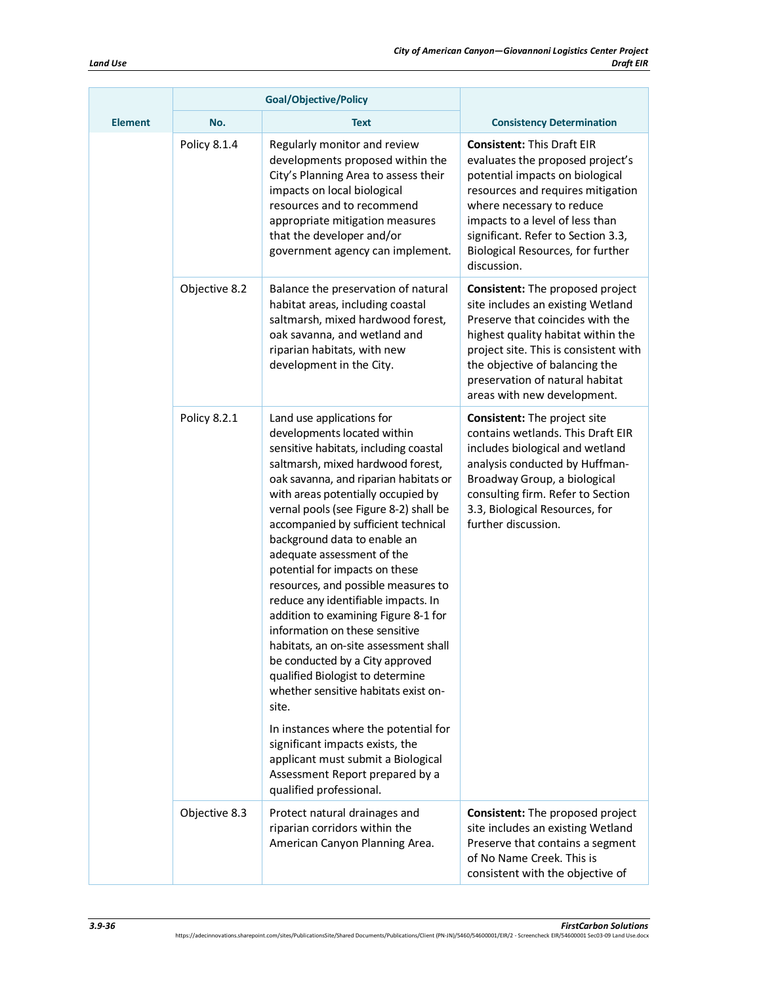|                | <b>Goal/Objective/Policy</b> |                                                                                                                                                                                                                                                                                                                                                                                                                                                                                                                                                                                                                                                                                                                                                                                                                                                                                                                |                                                                                                                                                                                                                                                                                                         |
|----------------|------------------------------|----------------------------------------------------------------------------------------------------------------------------------------------------------------------------------------------------------------------------------------------------------------------------------------------------------------------------------------------------------------------------------------------------------------------------------------------------------------------------------------------------------------------------------------------------------------------------------------------------------------------------------------------------------------------------------------------------------------------------------------------------------------------------------------------------------------------------------------------------------------------------------------------------------------|---------------------------------------------------------------------------------------------------------------------------------------------------------------------------------------------------------------------------------------------------------------------------------------------------------|
| <b>Element</b> | No.                          | <b>Text</b>                                                                                                                                                                                                                                                                                                                                                                                                                                                                                                                                                                                                                                                                                                                                                                                                                                                                                                    | <b>Consistency Determination</b>                                                                                                                                                                                                                                                                        |
|                | Policy 8.1.4                 | Regularly monitor and review<br>developments proposed within the<br>City's Planning Area to assess their<br>impacts on local biological<br>resources and to recommend<br>appropriate mitigation measures<br>that the developer and/or<br>government agency can implement.                                                                                                                                                                                                                                                                                                                                                                                                                                                                                                                                                                                                                                      | <b>Consistent: This Draft EIR</b><br>evaluates the proposed project's<br>potential impacts on biological<br>resources and requires mitigation<br>where necessary to reduce<br>impacts to a level of less than<br>significant. Refer to Section 3.3,<br>Biological Resources, for further<br>discussion. |
|                | Objective 8.2                | Balance the preservation of natural<br>habitat areas, including coastal<br>saltmarsh, mixed hardwood forest,<br>oak savanna, and wetland and<br>riparian habitats, with new<br>development in the City.                                                                                                                                                                                                                                                                                                                                                                                                                                                                                                                                                                                                                                                                                                        | Consistent: The proposed project<br>site includes an existing Wetland<br>Preserve that coincides with the<br>highest quality habitat within the<br>project site. This is consistent with<br>the objective of balancing the<br>preservation of natural habitat<br>areas with new development.            |
|                | Policy 8.2.1                 | Land use applications for<br>developments located within<br>sensitive habitats, including coastal<br>saltmarsh, mixed hardwood forest,<br>oak savanna, and riparian habitats or<br>with areas potentially occupied by<br>vernal pools (see Figure 8-2) shall be<br>accompanied by sufficient technical<br>background data to enable an<br>adequate assessment of the<br>potential for impacts on these<br>resources, and possible measures to<br>reduce any identifiable impacts. In<br>addition to examining Figure 8-1 for<br>information on these sensitive<br>habitats, an on-site assessment shall<br>be conducted by a City approved<br>qualified Biologist to determine<br>whether sensitive habitats exist on-<br>site.<br>In instances where the potential for<br>significant impacts exists, the<br>applicant must submit a Biological<br>Assessment Report prepared by a<br>qualified professional. | Consistent: The project site<br>contains wetlands. This Draft EIR<br>includes biological and wetland<br>analysis conducted by Huffman-<br>Broadway Group, a biological<br>consulting firm. Refer to Section<br>3.3, Biological Resources, for<br>further discussion.                                    |
|                | Objective 8.3                | Protect natural drainages and<br>riparian corridors within the<br>American Canyon Planning Area.                                                                                                                                                                                                                                                                                                                                                                                                                                                                                                                                                                                                                                                                                                                                                                                                               | Consistent: The proposed project<br>site includes an existing Wetland<br>Preserve that contains a segment<br>of No Name Creek. This is<br>consistent with the objective of                                                                                                                              |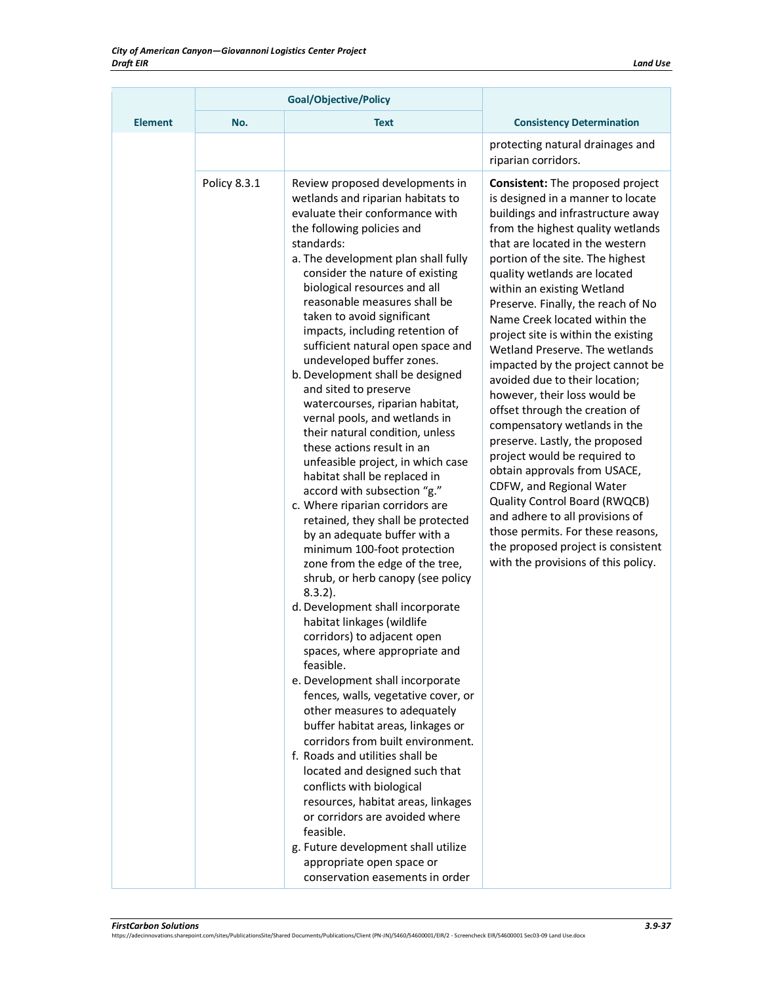|                | <b>Goal/Objective/Policy</b> |                                                                                                                                                                                                                                                                                                                                                                                                                                                                                                                                                                                                                                                                                                                                                                                                                                                                                                                                                                                                                                                                                                                                                                                                                                                                                                                                                                                                                                                                                                                                                                                                       |                                                                                                                                                                                                                                                                                                                                                                                                                                                                                                                                                                                                                                                                                                                                                                                                                                                                                                                                          |
|----------------|------------------------------|-------------------------------------------------------------------------------------------------------------------------------------------------------------------------------------------------------------------------------------------------------------------------------------------------------------------------------------------------------------------------------------------------------------------------------------------------------------------------------------------------------------------------------------------------------------------------------------------------------------------------------------------------------------------------------------------------------------------------------------------------------------------------------------------------------------------------------------------------------------------------------------------------------------------------------------------------------------------------------------------------------------------------------------------------------------------------------------------------------------------------------------------------------------------------------------------------------------------------------------------------------------------------------------------------------------------------------------------------------------------------------------------------------------------------------------------------------------------------------------------------------------------------------------------------------------------------------------------------------|------------------------------------------------------------------------------------------------------------------------------------------------------------------------------------------------------------------------------------------------------------------------------------------------------------------------------------------------------------------------------------------------------------------------------------------------------------------------------------------------------------------------------------------------------------------------------------------------------------------------------------------------------------------------------------------------------------------------------------------------------------------------------------------------------------------------------------------------------------------------------------------------------------------------------------------|
| <b>Element</b> | No.                          | <b>Text</b>                                                                                                                                                                                                                                                                                                                                                                                                                                                                                                                                                                                                                                                                                                                                                                                                                                                                                                                                                                                                                                                                                                                                                                                                                                                                                                                                                                                                                                                                                                                                                                                           | <b>Consistency Determination</b>                                                                                                                                                                                                                                                                                                                                                                                                                                                                                                                                                                                                                                                                                                                                                                                                                                                                                                         |
|                |                              |                                                                                                                                                                                                                                                                                                                                                                                                                                                                                                                                                                                                                                                                                                                                                                                                                                                                                                                                                                                                                                                                                                                                                                                                                                                                                                                                                                                                                                                                                                                                                                                                       | protecting natural drainages and<br>riparian corridors.                                                                                                                                                                                                                                                                                                                                                                                                                                                                                                                                                                                                                                                                                                                                                                                                                                                                                  |
|                | Policy 8.3.1                 | Review proposed developments in<br>wetlands and riparian habitats to<br>evaluate their conformance with<br>the following policies and<br>standards:<br>a. The development plan shall fully<br>consider the nature of existing<br>biological resources and all<br>reasonable measures shall be<br>taken to avoid significant<br>impacts, including retention of<br>sufficient natural open space and<br>undeveloped buffer zones.<br>b. Development shall be designed<br>and sited to preserve<br>watercourses, riparian habitat,<br>vernal pools, and wetlands in<br>their natural condition, unless<br>these actions result in an<br>unfeasible project, in which case<br>habitat shall be replaced in<br>accord with subsection "g."<br>c. Where riparian corridors are<br>retained, they shall be protected<br>by an adequate buffer with a<br>minimum 100-foot protection<br>zone from the edge of the tree,<br>shrub, or herb canopy (see policy<br>$8.3.2$ ).<br>d. Development shall incorporate<br>habitat linkages (wildlife<br>corridors) to adjacent open<br>spaces, where appropriate and<br>feasible.<br>e. Development shall incorporate<br>fences, walls, vegetative cover, or<br>other measures to adequately<br>buffer habitat areas, linkages or<br>corridors from built environment.<br>f. Roads and utilities shall be<br>located and designed such that<br>conflicts with biological<br>resources, habitat areas, linkages<br>or corridors are avoided where<br>feasible.<br>g. Future development shall utilize<br>appropriate open space or<br>conservation easements in order | <b>Consistent:</b> The proposed project<br>is designed in a manner to locate<br>buildings and infrastructure away<br>from the highest quality wetlands<br>that are located in the western<br>portion of the site. The highest<br>quality wetlands are located<br>within an existing Wetland<br>Preserve. Finally, the reach of No<br>Name Creek located within the<br>project site is within the existing<br>Wetland Preserve. The wetlands<br>impacted by the project cannot be<br>avoided due to their location;<br>however, their loss would be<br>offset through the creation of<br>compensatory wetlands in the<br>preserve. Lastly, the proposed<br>project would be required to<br>obtain approvals from USACE,<br>CDFW, and Regional Water<br>Quality Control Board (RWQCB)<br>and adhere to all provisions of<br>those permits. For these reasons,<br>the proposed project is consistent<br>with the provisions of this policy. |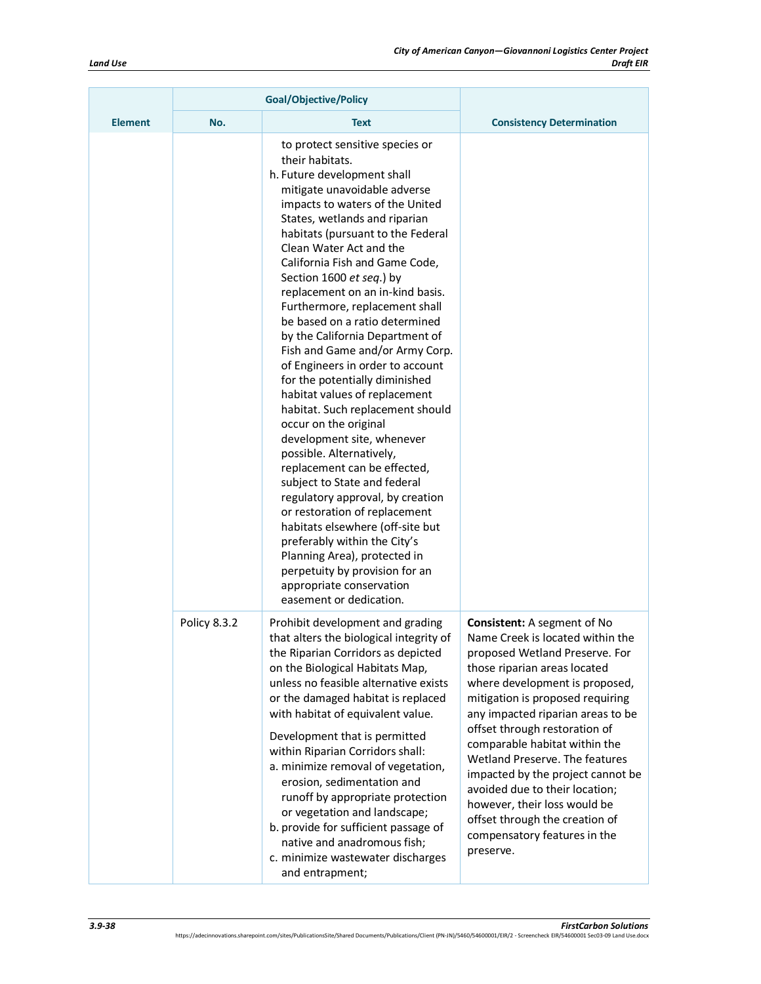|                | <b>Goal/Objective/Policy</b> |                                                                                                                                                                                                                                                                                                                                                                                                                                                                                                                                                                                                                                                                                                                                                                                                                                                                                                                                                                                                                                                                   |                                                                                                                                                                                                                                                                                                                                                                                                                                                                                                                                               |
|----------------|------------------------------|-------------------------------------------------------------------------------------------------------------------------------------------------------------------------------------------------------------------------------------------------------------------------------------------------------------------------------------------------------------------------------------------------------------------------------------------------------------------------------------------------------------------------------------------------------------------------------------------------------------------------------------------------------------------------------------------------------------------------------------------------------------------------------------------------------------------------------------------------------------------------------------------------------------------------------------------------------------------------------------------------------------------------------------------------------------------|-----------------------------------------------------------------------------------------------------------------------------------------------------------------------------------------------------------------------------------------------------------------------------------------------------------------------------------------------------------------------------------------------------------------------------------------------------------------------------------------------------------------------------------------------|
| <b>Element</b> | No.                          | <b>Text</b>                                                                                                                                                                                                                                                                                                                                                                                                                                                                                                                                                                                                                                                                                                                                                                                                                                                                                                                                                                                                                                                       | <b>Consistency Determination</b>                                                                                                                                                                                                                                                                                                                                                                                                                                                                                                              |
|                |                              | to protect sensitive species or<br>their habitats.<br>h. Future development shall<br>mitigate unavoidable adverse<br>impacts to waters of the United<br>States, wetlands and riparian<br>habitats (pursuant to the Federal<br>Clean Water Act and the<br>California Fish and Game Code,<br>Section 1600 et seq.) by<br>replacement on an in-kind basis.<br>Furthermore, replacement shall<br>be based on a ratio determined<br>by the California Department of<br>Fish and Game and/or Army Corp.<br>of Engineers in order to account<br>for the potentially diminished<br>habitat values of replacement<br>habitat. Such replacement should<br>occur on the original<br>development site, whenever<br>possible. Alternatively,<br>replacement can be effected,<br>subject to State and federal<br>regulatory approval, by creation<br>or restoration of replacement<br>habitats elsewhere (off-site but<br>preferably within the City's<br>Planning Area), protected in<br>perpetuity by provision for an<br>appropriate conservation<br>easement or dedication. |                                                                                                                                                                                                                                                                                                                                                                                                                                                                                                                                               |
|                | Policy 8.3.2                 | Prohibit development and grading<br>that alters the biological integrity of<br>the Riparian Corridors as depicted<br>on the Biological Habitats Map,<br>unless no feasible alternative exists<br>or the damaged habitat is replaced<br>with habitat of equivalent value.<br>Development that is permitted<br>within Riparian Corridors shall:<br>a. minimize removal of vegetation,<br>erosion, sedimentation and<br>runoff by appropriate protection<br>or vegetation and landscape;<br>b. provide for sufficient passage of<br>native and anadromous fish;<br>c. minimize wastewater discharges<br>and entrapment;                                                                                                                                                                                                                                                                                                                                                                                                                                              | <b>Consistent:</b> A segment of No<br>Name Creek is located within the<br>proposed Wetland Preserve. For<br>those riparian areas located<br>where development is proposed,<br>mitigation is proposed requiring<br>any impacted riparian areas to be<br>offset through restoration of<br>comparable habitat within the<br>Wetland Preserve. The features<br>impacted by the project cannot be<br>avoided due to their location;<br>however, their loss would be<br>offset through the creation of<br>compensatory features in the<br>preserve. |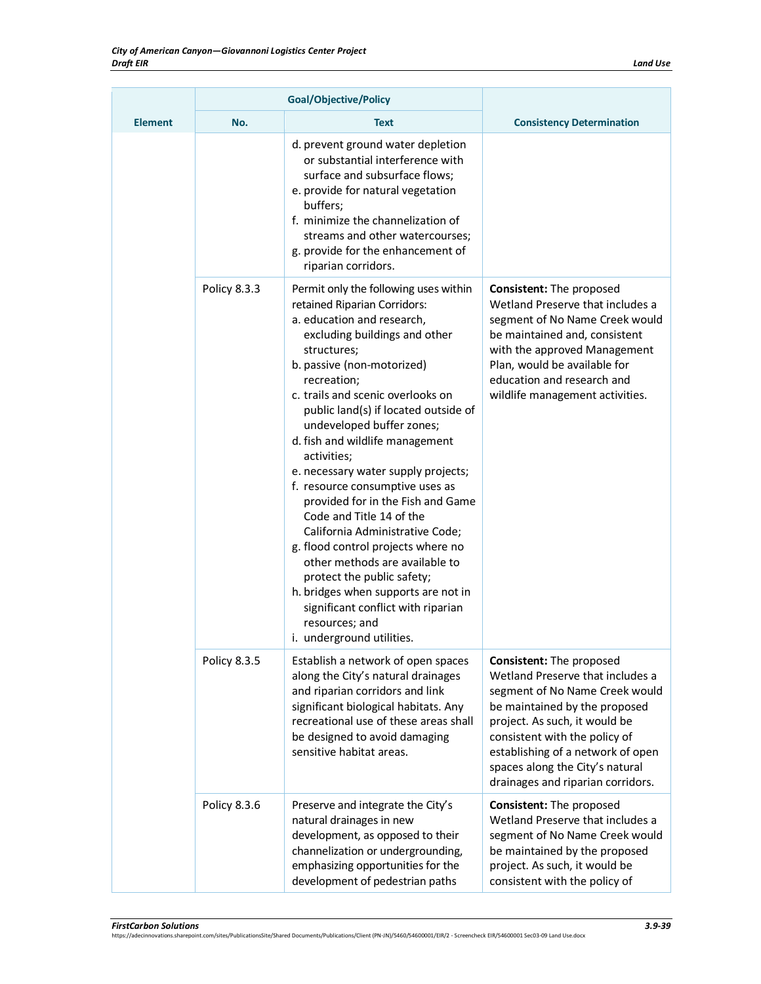| <b>Element</b> | No.          | <b>Text</b>                                                                                                                                                                                                                                                                                                                                                                                                                                                                                                                                                                                                                                                                                                                                                                  | <b>Consistency Determination</b>                                                                                                                                                                                                                                                                               |
|----------------|--------------|------------------------------------------------------------------------------------------------------------------------------------------------------------------------------------------------------------------------------------------------------------------------------------------------------------------------------------------------------------------------------------------------------------------------------------------------------------------------------------------------------------------------------------------------------------------------------------------------------------------------------------------------------------------------------------------------------------------------------------------------------------------------------|----------------------------------------------------------------------------------------------------------------------------------------------------------------------------------------------------------------------------------------------------------------------------------------------------------------|
|                |              | d. prevent ground water depletion<br>or substantial interference with<br>surface and subsurface flows;<br>e. provide for natural vegetation<br>buffers;<br>f. minimize the channelization of<br>streams and other watercourses;<br>g. provide for the enhancement of<br>riparian corridors.                                                                                                                                                                                                                                                                                                                                                                                                                                                                                  |                                                                                                                                                                                                                                                                                                                |
|                | Policy 8.3.3 | Permit only the following uses within<br>retained Riparian Corridors:<br>a. education and research,<br>excluding buildings and other<br>structures;<br>b. passive (non-motorized)<br>recreation;<br>c. trails and scenic overlooks on<br>public land(s) if located outside of<br>undeveloped buffer zones;<br>d. fish and wildlife management<br>activities;<br>e. necessary water supply projects;<br>f. resource consumptive uses as<br>provided for in the Fish and Game<br>Code and Title 14 of the<br>California Administrative Code;<br>g. flood control projects where no<br>other methods are available to<br>protect the public safety;<br>h. bridges when supports are not in<br>significant conflict with riparian<br>resources; and<br>i. underground utilities. | <b>Consistent: The proposed</b><br>Wetland Preserve that includes a<br>segment of No Name Creek would<br>be maintained and, consistent<br>with the approved Management<br>Plan, would be available for<br>education and research and<br>wildlife management activities.                                        |
|                | Policy 8.3.5 | Establish a network of open spaces<br>along the City's natural drainages<br>and riparian corridors and link<br>significant biological habitats. Any<br>recreational use of these areas shall<br>be designed to avoid damaging<br>sensitive habitat areas.                                                                                                                                                                                                                                                                                                                                                                                                                                                                                                                    | Consistent: The proposed<br>Wetland Preserve that includes a<br>segment of No Name Creek would<br>be maintained by the proposed<br>project. As such, it would be<br>consistent with the policy of<br>establishing of a network of open<br>spaces along the City's natural<br>drainages and riparian corridors. |
|                | Policy 8.3.6 | Preserve and integrate the City's<br>natural drainages in new<br>development, as opposed to their<br>channelization or undergrounding,<br>emphasizing opportunities for the<br>development of pedestrian paths                                                                                                                                                                                                                                                                                                                                                                                                                                                                                                                                                               | Consistent: The proposed<br>Wetland Preserve that includes a<br>segment of No Name Creek would<br>be maintained by the proposed<br>project. As such, it would be<br>consistent with the policy of                                                                                                              |

*FirstCarbon Solutions 3.9-39* https://adecinnovations.sharepoint.com/sites/PublicationsSite/Shared Documents/Publications/Client (PN-JN)/5460/54600001/EIR/2 - Screencheck EIR/54600001 Sec03-09 Land Use.docx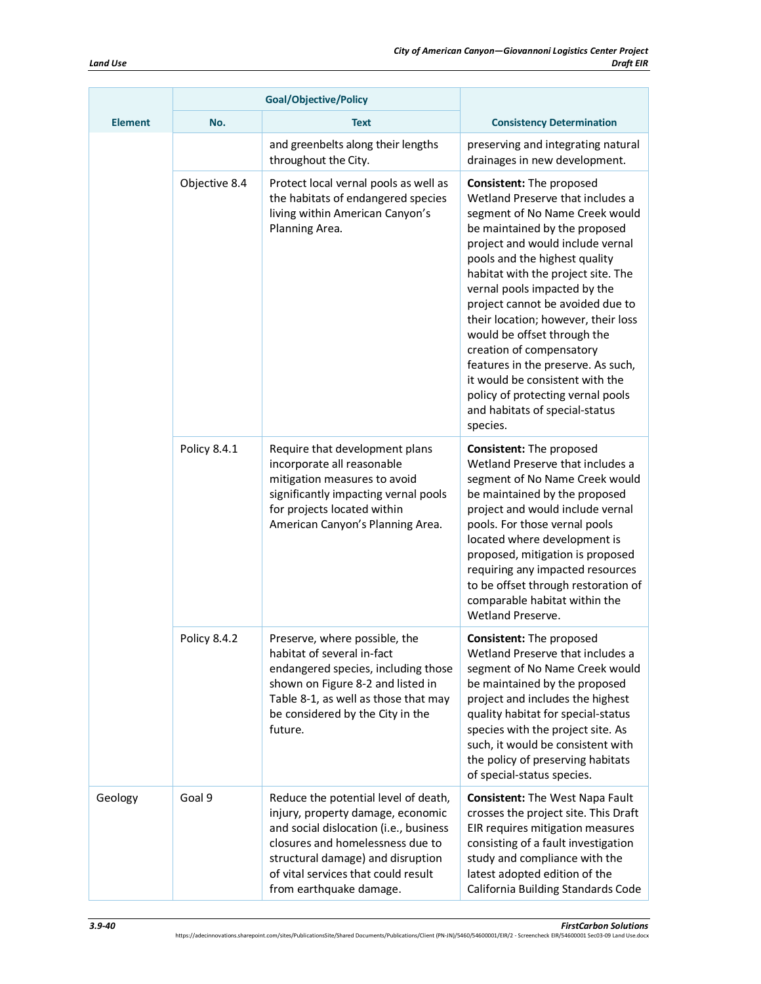|                | <b>Goal/Objective/Policy</b> |                                                                                                                                                                                                                                                                |                                                                                                                                                                                                                                                                                                                                                                                                                                                                                                                                                                                     |
|----------------|------------------------------|----------------------------------------------------------------------------------------------------------------------------------------------------------------------------------------------------------------------------------------------------------------|-------------------------------------------------------------------------------------------------------------------------------------------------------------------------------------------------------------------------------------------------------------------------------------------------------------------------------------------------------------------------------------------------------------------------------------------------------------------------------------------------------------------------------------------------------------------------------------|
| <b>Element</b> | No.                          | <b>Text</b>                                                                                                                                                                                                                                                    | <b>Consistency Determination</b>                                                                                                                                                                                                                                                                                                                                                                                                                                                                                                                                                    |
|                |                              | and greenbelts along their lengths<br>throughout the City.                                                                                                                                                                                                     | preserving and integrating natural<br>drainages in new development.                                                                                                                                                                                                                                                                                                                                                                                                                                                                                                                 |
|                | Objective 8.4                | Protect local vernal pools as well as<br>the habitats of endangered species<br>living within American Canyon's<br>Planning Area.                                                                                                                               | <b>Consistent: The proposed</b><br>Wetland Preserve that includes a<br>segment of No Name Creek would<br>be maintained by the proposed<br>project and would include vernal<br>pools and the highest quality<br>habitat with the project site. The<br>vernal pools impacted by the<br>project cannot be avoided due to<br>their location; however, their loss<br>would be offset through the<br>creation of compensatory<br>features in the preserve. As such,<br>it would be consistent with the<br>policy of protecting vernal pools<br>and habitats of special-status<br>species. |
|                | Policy 8.4.1                 | Require that development plans<br>incorporate all reasonable<br>mitigation measures to avoid<br>significantly impacting vernal pools<br>for projects located within<br>American Canyon's Planning Area.                                                        | Consistent: The proposed<br>Wetland Preserve that includes a<br>segment of No Name Creek would<br>be maintained by the proposed<br>project and would include vernal<br>pools. For those vernal pools<br>located where development is<br>proposed, mitigation is proposed<br>requiring any impacted resources<br>to be offset through restoration of<br>comparable habitat within the<br>Wetland Preserve.                                                                                                                                                                           |
|                | Policy 8.4.2                 | Preserve, where possible, the<br>habitat of several in-fact<br>endangered species, including those<br>shown on Figure 8-2 and listed in<br>Table 8-1, as well as those that may<br>be considered by the City in the<br>future.                                 | Consistent: The proposed<br>Wetland Preserve that includes a<br>segment of No Name Creek would<br>be maintained by the proposed<br>project and includes the highest<br>quality habitat for special-status<br>species with the project site. As<br>such, it would be consistent with<br>the policy of preserving habitats<br>of special-status species.                                                                                                                                                                                                                              |
| Geology        | Goal 9                       | Reduce the potential level of death,<br>injury, property damage, economic<br>and social dislocation (i.e., business<br>closures and homelessness due to<br>structural damage) and disruption<br>of vital services that could result<br>from earthquake damage. | <b>Consistent: The West Napa Fault</b><br>crosses the project site. This Draft<br>EIR requires mitigation measures<br>consisting of a fault investigation<br>study and compliance with the<br>latest adopted edition of the<br>California Building Standards Code                                                                                                                                                                                                                                                                                                                   |

**FirstCarbon Solutions**<br>https://adecinnovations.sharepoint.com/sites/PublicationsSite/Shared Documents/Publications/Client (PN-JN)/5460/54600001/EIR/2 - Screencheck EIR/54600001 Sec03-09 Land Use.docx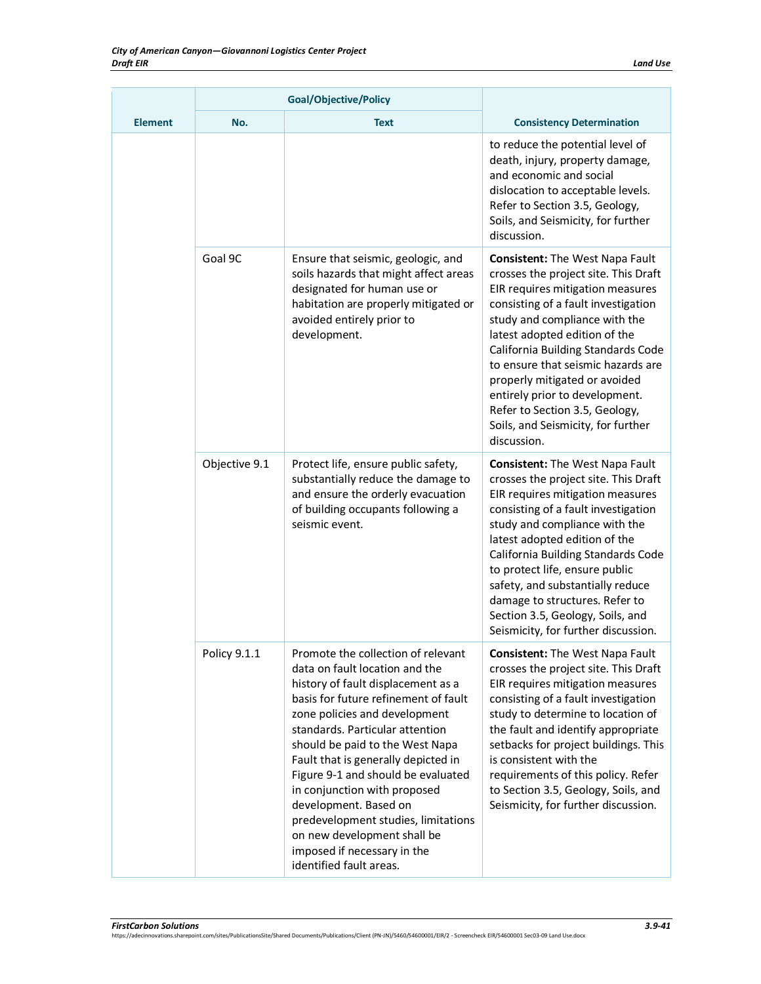|                |               | <b>Goal/Objective/Policy</b>                                                                                                                                                                                                                                                                                                                                                                                                                                                                                                    |                                                                                                                                                                                                                                                                                                                                                                                                                                                                   |
|----------------|---------------|---------------------------------------------------------------------------------------------------------------------------------------------------------------------------------------------------------------------------------------------------------------------------------------------------------------------------------------------------------------------------------------------------------------------------------------------------------------------------------------------------------------------------------|-------------------------------------------------------------------------------------------------------------------------------------------------------------------------------------------------------------------------------------------------------------------------------------------------------------------------------------------------------------------------------------------------------------------------------------------------------------------|
| <b>Element</b> | No.           | <b>Text</b>                                                                                                                                                                                                                                                                                                                                                                                                                                                                                                                     | <b>Consistency Determination</b>                                                                                                                                                                                                                                                                                                                                                                                                                                  |
|                |               |                                                                                                                                                                                                                                                                                                                                                                                                                                                                                                                                 | to reduce the potential level of<br>death, injury, property damage,<br>and economic and social<br>dislocation to acceptable levels.<br>Refer to Section 3.5, Geology,<br>Soils, and Seismicity, for further<br>discussion.                                                                                                                                                                                                                                        |
|                | Goal 9C       | Ensure that seismic, geologic, and<br>soils hazards that might affect areas<br>designated for human use or<br>habitation are properly mitigated or<br>avoided entirely prior to<br>development.                                                                                                                                                                                                                                                                                                                                 | <b>Consistent:</b> The West Napa Fault<br>crosses the project site. This Draft<br>EIR requires mitigation measures<br>consisting of a fault investigation<br>study and compliance with the<br>latest adopted edition of the<br>California Building Standards Code<br>to ensure that seismic hazards are<br>properly mitigated or avoided<br>entirely prior to development.<br>Refer to Section 3.5, Geology,<br>Soils, and Seismicity, for further<br>discussion. |
|                | Objective 9.1 | Protect life, ensure public safety,<br>substantially reduce the damage to<br>and ensure the orderly evacuation<br>of building occupants following a<br>seismic event.                                                                                                                                                                                                                                                                                                                                                           | <b>Consistent: The West Napa Fault</b><br>crosses the project site. This Draft<br>EIR requires mitigation measures<br>consisting of a fault investigation<br>study and compliance with the<br>latest adopted edition of the<br>California Building Standards Code<br>to protect life, ensure public<br>safety, and substantially reduce<br>damage to structures. Refer to<br>Section 3.5, Geology, Soils, and<br>Seismicity, for further discussion.              |
|                | Policy 9.1.1  | Promote the collection of relevant<br>data on fault location and the<br>history of fault displacement as a<br>basis for future refinement of fault<br>zone policies and development<br>standards. Particular attention<br>should be paid to the West Napa<br>Fault that is generally depicted in<br>Figure 9-1 and should be evaluated<br>in conjunction with proposed<br>development. Based on<br>predevelopment studies, limitations<br>on new development shall be<br>imposed if necessary in the<br>identified fault areas. | <b>Consistent:</b> The West Napa Fault<br>crosses the project site. This Draft<br>EIR requires mitigation measures<br>consisting of a fault investigation<br>study to determine to location of<br>the fault and identify appropriate<br>setbacks for project buildings. This<br>is consistent with the<br>requirements of this policy. Refer<br>to Section 3.5, Geology, Soils, and<br>Seismicity, for further discussion.                                        |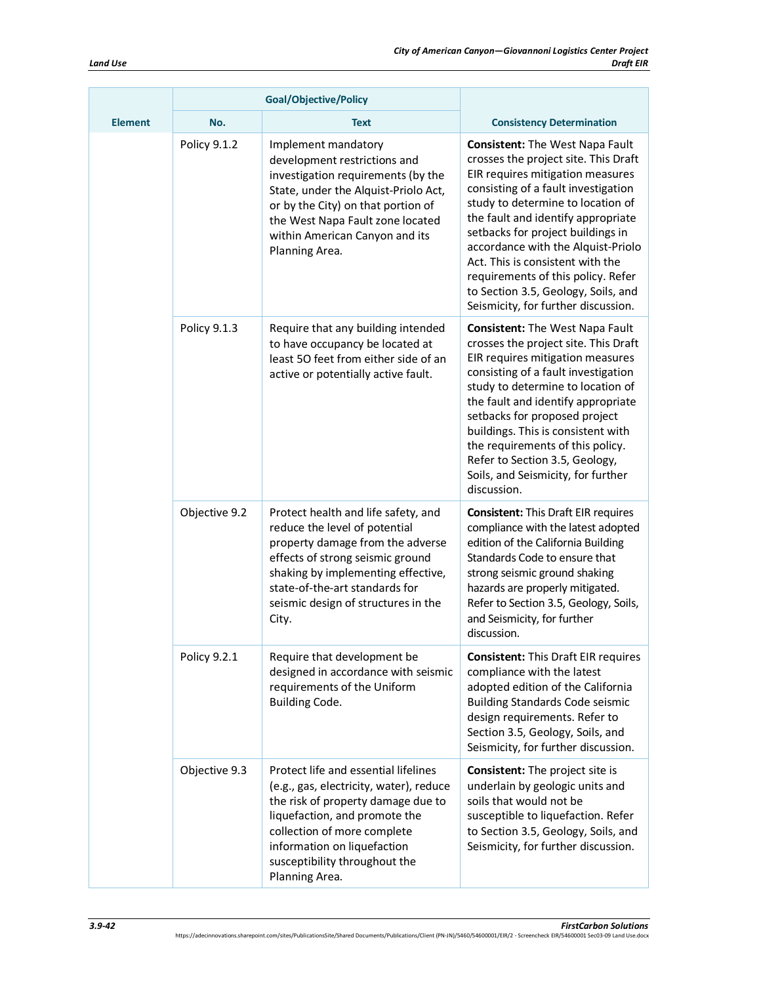|                | <b>Goal/Objective/Policy</b> |                                                                                                                                                                                                                                                                         |                                                                                                                                                                                                                                                                                                                                                                                                                                                                         |
|----------------|------------------------------|-------------------------------------------------------------------------------------------------------------------------------------------------------------------------------------------------------------------------------------------------------------------------|-------------------------------------------------------------------------------------------------------------------------------------------------------------------------------------------------------------------------------------------------------------------------------------------------------------------------------------------------------------------------------------------------------------------------------------------------------------------------|
| <b>Element</b> | No.                          | <b>Text</b>                                                                                                                                                                                                                                                             | <b>Consistency Determination</b>                                                                                                                                                                                                                                                                                                                                                                                                                                        |
|                | Policy 9.1.2                 | Implement mandatory<br>development restrictions and<br>investigation requirements (by the<br>State, under the Alquist-Priolo Act,<br>or by the City) on that portion of<br>the West Napa Fault zone located<br>within American Canyon and its<br>Planning Area.         | <b>Consistent:</b> The West Napa Fault<br>crosses the project site. This Draft<br>EIR requires mitigation measures<br>consisting of a fault investigation<br>study to determine to location of<br>the fault and identify appropriate<br>setbacks for project buildings in<br>accordance with the Alquist-Priolo<br>Act. This is consistent with the<br>requirements of this policy. Refer<br>to Section 3.5, Geology, Soils, and<br>Seismicity, for further discussion. |
|                | Policy 9.1.3                 | Require that any building intended<br>to have occupancy be located at<br>least 50 feet from either side of an<br>active or potentially active fault.                                                                                                                    | <b>Consistent: The West Napa Fault</b><br>crosses the project site. This Draft<br>EIR requires mitigation measures<br>consisting of a fault investigation<br>study to determine to location of<br>the fault and identify appropriate<br>setbacks for proposed project<br>buildings. This is consistent with<br>the requirements of this policy.<br>Refer to Section 3.5, Geology,<br>Soils, and Seismicity, for further<br>discussion.                                  |
|                | Objective 9.2                | Protect health and life safety, and<br>reduce the level of potential<br>property damage from the adverse<br>effects of strong seismic ground<br>shaking by implementing effective,<br>state-of-the-art standards for<br>seismic design of structures in the<br>City.    | <b>Consistent: This Draft EIR requires</b><br>compliance with the latest adopted<br>edition of the California Building<br>Standards Code to ensure that<br>strong seismic ground shaking<br>hazards are properly mitigated.<br>Refer to Section 3.5, Geology, Soils,<br>and Seismicity, for further<br>discussion.                                                                                                                                                      |
|                | Policy 9.2.1                 | Require that development be<br>designed in accordance with seismic<br>requirements of the Uniform<br>Building Code.                                                                                                                                                     | <b>Consistent: This Draft EIR requires</b><br>compliance with the latest<br>adopted edition of the California<br><b>Building Standards Code seismic</b><br>design requirements. Refer to<br>Section 3.5, Geology, Soils, and<br>Seismicity, for further discussion.                                                                                                                                                                                                     |
|                | Objective 9.3                | Protect life and essential lifelines<br>(e.g., gas, electricity, water), reduce<br>the risk of property damage due to<br>liquefaction, and promote the<br>collection of more complete<br>information on liquefaction<br>susceptibility throughout the<br>Planning Area. | <b>Consistent:</b> The project site is<br>underlain by geologic units and<br>soils that would not be<br>susceptible to liquefaction. Refer<br>to Section 3.5, Geology, Soils, and<br>Seismicity, for further discussion.                                                                                                                                                                                                                                                |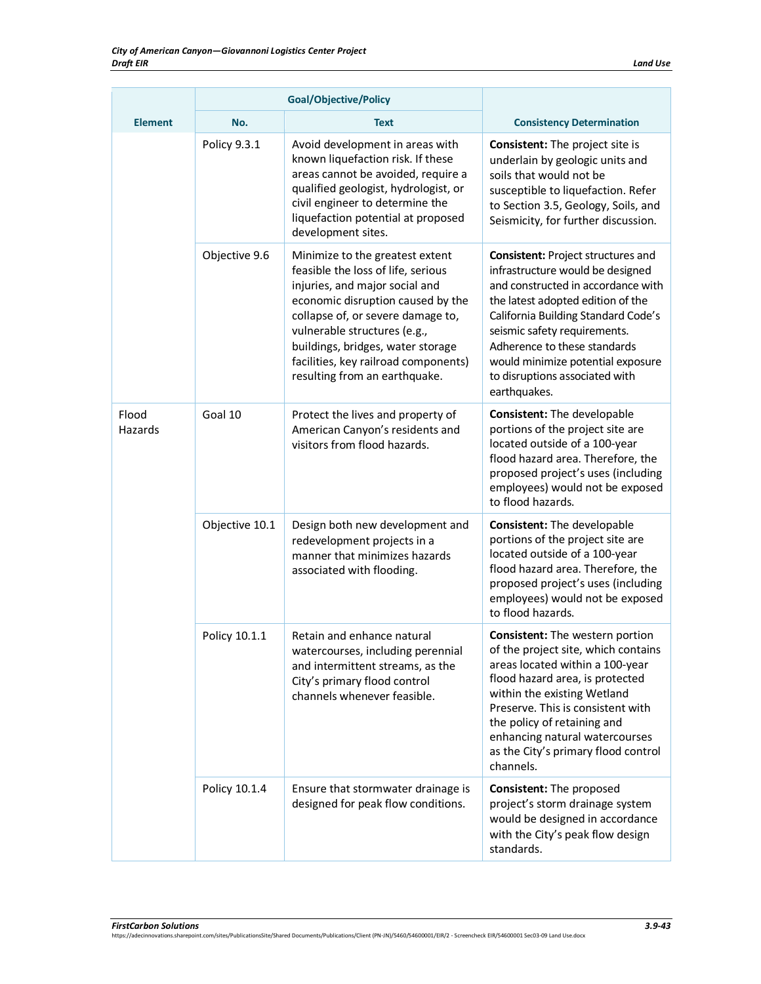|                  | <b>Goal/Objective/Policy</b> |                                                                                                                                                                                                                                                                                                                                 |                                                                                                                                                                                                                                                                                                                                                        |
|------------------|------------------------------|---------------------------------------------------------------------------------------------------------------------------------------------------------------------------------------------------------------------------------------------------------------------------------------------------------------------------------|--------------------------------------------------------------------------------------------------------------------------------------------------------------------------------------------------------------------------------------------------------------------------------------------------------------------------------------------------------|
| <b>Element</b>   | No.                          | <b>Text</b>                                                                                                                                                                                                                                                                                                                     | <b>Consistency Determination</b>                                                                                                                                                                                                                                                                                                                       |
|                  | Policy 9.3.1                 | Avoid development in areas with<br>known liquefaction risk. If these<br>areas cannot be avoided, require a<br>qualified geologist, hydrologist, or<br>civil engineer to determine the<br>liquefaction potential at proposed<br>development sites.                                                                               | <b>Consistent:</b> The project site is<br>underlain by geologic units and<br>soils that would not be<br>susceptible to liquefaction. Refer<br>to Section 3.5, Geology, Soils, and<br>Seismicity, for further discussion.                                                                                                                               |
|                  | Objective 9.6                | Minimize to the greatest extent<br>feasible the loss of life, serious<br>injuries, and major social and<br>economic disruption caused by the<br>collapse of, or severe damage to,<br>vulnerable structures (e.g.,<br>buildings, bridges, water storage<br>facilities, key railroad components)<br>resulting from an earthquake. | <b>Consistent: Project structures and</b><br>infrastructure would be designed<br>and constructed in accordance with<br>the latest adopted edition of the<br>California Building Standard Code's<br>seismic safety requirements.<br>Adherence to these standards<br>would minimize potential exposure<br>to disruptions associated with<br>earthquakes. |
| Flood<br>Hazards | Goal 10                      | Protect the lives and property of<br>American Canyon's residents and<br>visitors from flood hazards.                                                                                                                                                                                                                            | Consistent: The developable<br>portions of the project site are<br>located outside of a 100-year<br>flood hazard area. Therefore, the<br>proposed project's uses (including<br>employees) would not be exposed<br>to flood hazards.                                                                                                                    |
|                  | Objective 10.1               | Design both new development and<br>redevelopment projects in a<br>manner that minimizes hazards<br>associated with flooding.                                                                                                                                                                                                    | Consistent: The developable<br>portions of the project site are<br>located outside of a 100-year<br>flood hazard area. Therefore, the<br>proposed project's uses (including<br>employees) would not be exposed<br>to flood hazards.                                                                                                                    |
|                  | Policy 10.1.1                | Retain and enhance natural<br>watercourses, including perennial<br>and intermittent streams, as the<br>City's primary flood control<br>channels whenever feasible.                                                                                                                                                              | <b>Consistent:</b> The western portion<br>of the project site, which contains<br>areas located within a 100-year<br>flood hazard area, is protected<br>within the existing Wetland<br>Preserve. This is consistent with<br>the policy of retaining and<br>enhancing natural watercourses<br>as the City's primary flood control<br>channels.           |
|                  | Policy 10.1.4                | Ensure that stormwater drainage is<br>designed for peak flow conditions.                                                                                                                                                                                                                                                        | Consistent: The proposed<br>project's storm drainage system<br>would be designed in accordance<br>with the City's peak flow design<br>standards.                                                                                                                                                                                                       |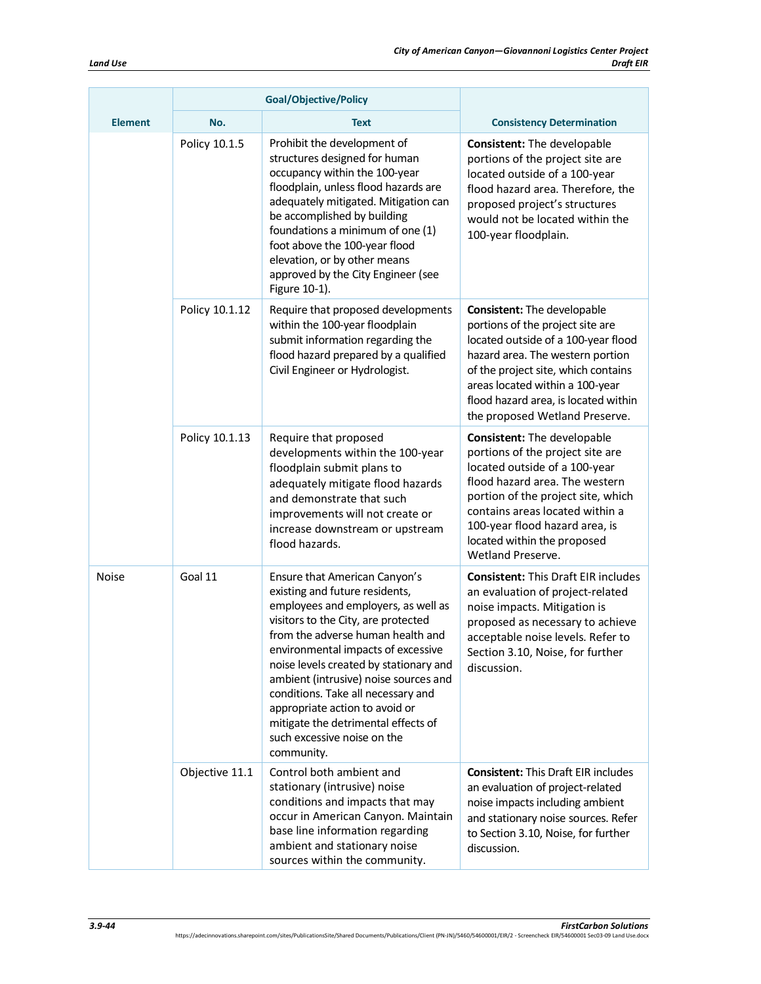|                | <b>Goal/Objective/Policy</b> |                                                                                                                                                                                                                                                                                                                                                                                                                                                                         |                                                                                                                                                                                                                                                                                                       |
|----------------|------------------------------|-------------------------------------------------------------------------------------------------------------------------------------------------------------------------------------------------------------------------------------------------------------------------------------------------------------------------------------------------------------------------------------------------------------------------------------------------------------------------|-------------------------------------------------------------------------------------------------------------------------------------------------------------------------------------------------------------------------------------------------------------------------------------------------------|
| <b>Element</b> | No.                          | Text                                                                                                                                                                                                                                                                                                                                                                                                                                                                    | <b>Consistency Determination</b>                                                                                                                                                                                                                                                                      |
|                | Policy 10.1.5                | Prohibit the development of<br>structures designed for human<br>occupancy within the 100-year<br>floodplain, unless flood hazards are<br>adequately mitigated. Mitigation can<br>be accomplished by building<br>foundations a minimum of one (1)<br>foot above the 100-year flood<br>elevation, or by other means<br>approved by the City Engineer (see<br>Figure 10-1).                                                                                                | <b>Consistent:</b> The developable<br>portions of the project site are<br>located outside of a 100-year<br>flood hazard area. Therefore, the<br>proposed project's structures<br>would not be located within the<br>100-year floodplain.                                                              |
|                | Policy 10.1.12               | Require that proposed developments<br>within the 100-year floodplain<br>submit information regarding the<br>flood hazard prepared by a qualified<br>Civil Engineer or Hydrologist.                                                                                                                                                                                                                                                                                      | <b>Consistent:</b> The developable<br>portions of the project site are<br>located outside of a 100-year flood<br>hazard area. The western portion<br>of the project site, which contains<br>areas located within a 100-year<br>flood hazard area, is located within<br>the proposed Wetland Preserve. |
|                | Policy 10.1.13               | Require that proposed<br>developments within the 100-year<br>floodplain submit plans to<br>adequately mitigate flood hazards<br>and demonstrate that such<br>improvements will not create or<br>increase downstream or upstream<br>flood hazards.                                                                                                                                                                                                                       | Consistent: The developable<br>portions of the project site are<br>located outside of a 100-year<br>flood hazard area. The western<br>portion of the project site, which<br>contains areas located within a<br>100-year flood hazard area, is<br>located within the proposed<br>Wetland Preserve.     |
| Noise          | Goal 11                      | Ensure that American Canyon's<br>existing and future residents,<br>employees and employers, as well as<br>visitors to the City, are protected<br>from the adverse human health and<br>environmental impacts of excessive<br>noise levels created by stationary and<br>ambient (intrusive) noise sources and<br>conditions. Take all necessary and<br>appropriate action to avoid or<br>mitigate the detrimental effects of<br>such excessive noise on the<br>community. | <b>Consistent: This Draft EIR includes</b><br>an evaluation of project-related<br>noise impacts. Mitigation is<br>proposed as necessary to achieve<br>acceptable noise levels. Refer to<br>Section 3.10, Noise, for further<br>discussion.                                                            |
|                | Objective 11.1               | Control both ambient and<br>stationary (intrusive) noise<br>conditions and impacts that may<br>occur in American Canyon. Maintain<br>base line information regarding<br>ambient and stationary noise<br>sources within the community.                                                                                                                                                                                                                                   | <b>Consistent: This Draft EIR includes</b><br>an evaluation of project-related<br>noise impacts including ambient<br>and stationary noise sources. Refer<br>to Section 3.10, Noise, for further<br>discussion.                                                                                        |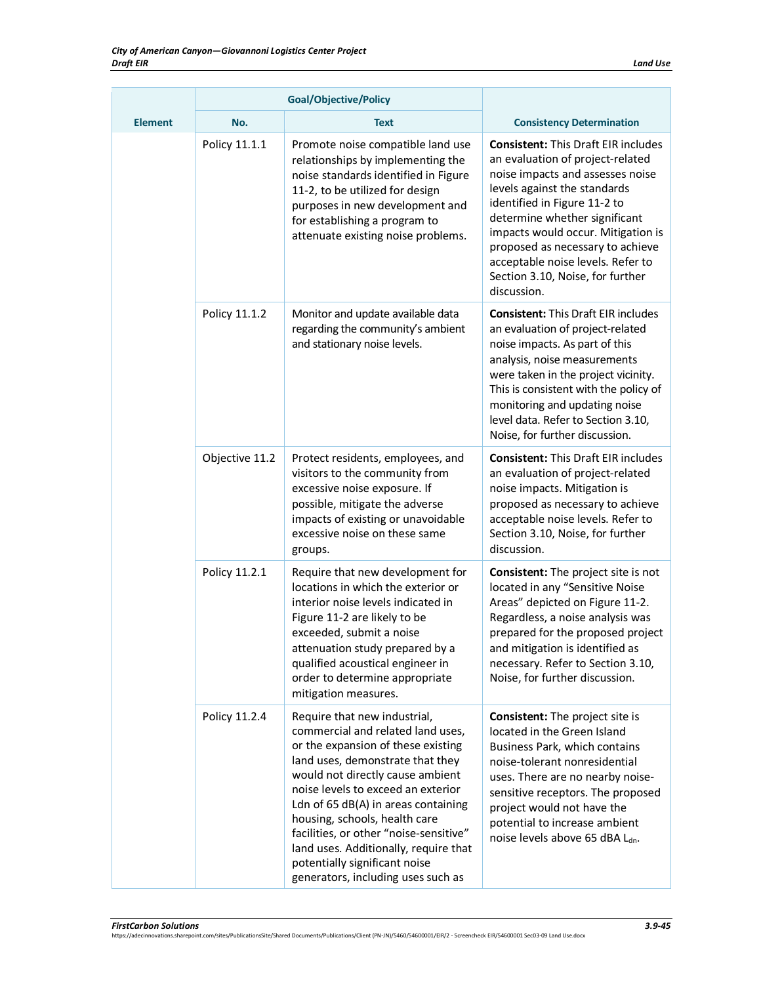|                | <b>Goal/Objective/Policy</b> |                                                                                                                                                                                                                                                                                                                                                                                                                                                         |                                                                                                                                                                                                                                                                                                                                                                                       |
|----------------|------------------------------|---------------------------------------------------------------------------------------------------------------------------------------------------------------------------------------------------------------------------------------------------------------------------------------------------------------------------------------------------------------------------------------------------------------------------------------------------------|---------------------------------------------------------------------------------------------------------------------------------------------------------------------------------------------------------------------------------------------------------------------------------------------------------------------------------------------------------------------------------------|
| <b>Element</b> | No.                          | <b>Text</b>                                                                                                                                                                                                                                                                                                                                                                                                                                             | <b>Consistency Determination</b>                                                                                                                                                                                                                                                                                                                                                      |
|                | Policy 11.1.1                | Promote noise compatible land use<br>relationships by implementing the<br>noise standards identified in Figure<br>11-2, to be utilized for design<br>purposes in new development and<br>for establishing a program to<br>attenuate existing noise problems.                                                                                                                                                                                             | <b>Consistent: This Draft EIR includes</b><br>an evaluation of project-related<br>noise impacts and assesses noise<br>levels against the standards<br>identified in Figure 11-2 to<br>determine whether significant<br>impacts would occur. Mitigation is<br>proposed as necessary to achieve<br>acceptable noise levels. Refer to<br>Section 3.10, Noise, for further<br>discussion. |
|                | Policy 11.1.2                | Monitor and update available data<br>regarding the community's ambient<br>and stationary noise levels.                                                                                                                                                                                                                                                                                                                                                  | <b>Consistent: This Draft EIR includes</b><br>an evaluation of project-related<br>noise impacts. As part of this<br>analysis, noise measurements<br>were taken in the project vicinity.<br>This is consistent with the policy of<br>monitoring and updating noise<br>level data. Refer to Section 3.10,<br>Noise, for further discussion.                                             |
|                | Objective 11.2               | Protect residents, employees, and<br>visitors to the community from<br>excessive noise exposure. If<br>possible, mitigate the adverse<br>impacts of existing or unavoidable<br>excessive noise on these same<br>groups.                                                                                                                                                                                                                                 | <b>Consistent: This Draft EIR includes</b><br>an evaluation of project-related<br>noise impacts. Mitigation is<br>proposed as necessary to achieve<br>acceptable noise levels. Refer to<br>Section 3.10, Noise, for further<br>discussion.                                                                                                                                            |
|                | Policy 11.2.1                | Require that new development for<br>locations in which the exterior or<br>interior noise levels indicated in<br>Figure 11-2 are likely to be<br>exceeded, submit a noise<br>attenuation study prepared by a<br>qualified acoustical engineer in<br>order to determine appropriate<br>mitigation measures.                                                                                                                                               | <b>Consistent:</b> The project site is not<br>located in any "Sensitive Noise<br>Areas" depicted on Figure 11-2.<br>Regardless, a noise analysis was<br>prepared for the proposed project<br>and mitigation is identified as<br>necessary. Refer to Section 3.10,<br>Noise, for further discussion.                                                                                   |
|                | Policy 11.2.4                | Require that new industrial,<br>commercial and related land uses,<br>or the expansion of these existing<br>land uses, demonstrate that they<br>would not directly cause ambient<br>noise levels to exceed an exterior<br>Ldn of 65 dB(A) in areas containing<br>housing, schools, health care<br>facilities, or other "noise-sensitive"<br>land uses. Additionally, require that<br>potentially significant noise<br>generators, including uses such as | <b>Consistent:</b> The project site is<br>located in the Green Island<br>Business Park, which contains<br>noise-tolerant nonresidential<br>uses. There are no nearby noise-<br>sensitive receptors. The proposed<br>project would not have the<br>potential to increase ambient<br>noise levels above 65 dBA Ldn.                                                                     |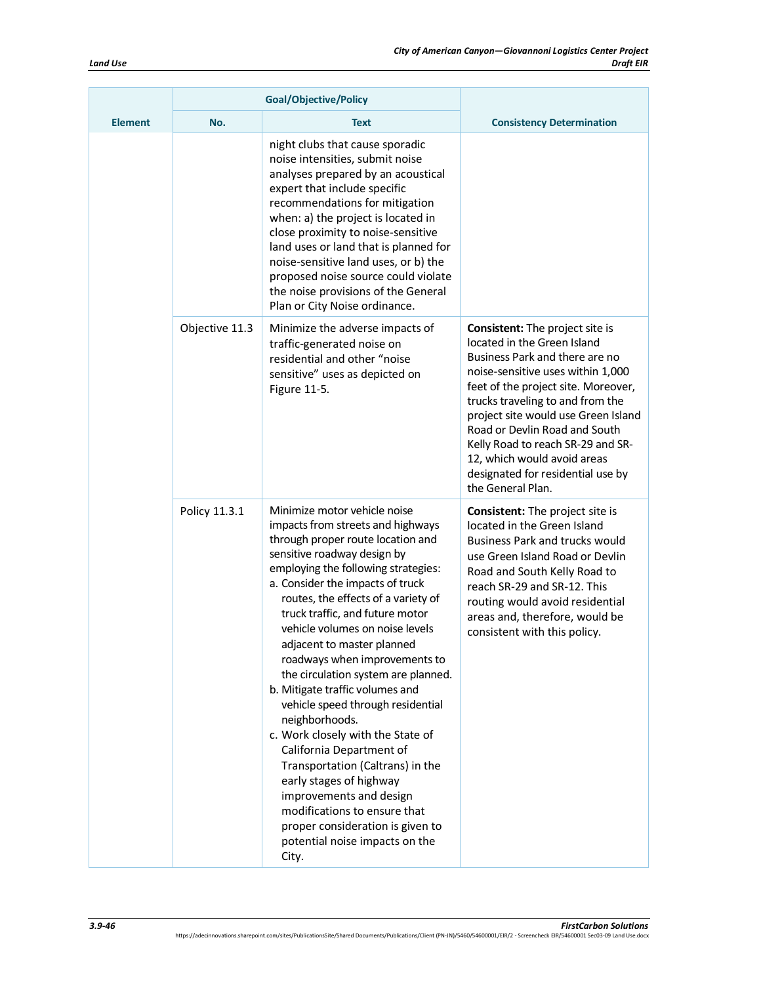|                |                | <b>Goal/Objective/Policy</b>                                                                                                                                                                                                                                                                                                                                                                                                                                                                                                                                                                                                                                                                                                                                                                            |                                                                                                                                                                                                                                                                                                                                                                                                                               |
|----------------|----------------|---------------------------------------------------------------------------------------------------------------------------------------------------------------------------------------------------------------------------------------------------------------------------------------------------------------------------------------------------------------------------------------------------------------------------------------------------------------------------------------------------------------------------------------------------------------------------------------------------------------------------------------------------------------------------------------------------------------------------------------------------------------------------------------------------------|-------------------------------------------------------------------------------------------------------------------------------------------------------------------------------------------------------------------------------------------------------------------------------------------------------------------------------------------------------------------------------------------------------------------------------|
| <b>Element</b> | No.            | <b>Text</b>                                                                                                                                                                                                                                                                                                                                                                                                                                                                                                                                                                                                                                                                                                                                                                                             | <b>Consistency Determination</b>                                                                                                                                                                                                                                                                                                                                                                                              |
|                |                | night clubs that cause sporadic<br>noise intensities, submit noise<br>analyses prepared by an acoustical<br>expert that include specific<br>recommendations for mitigation<br>when: a) the project is located in<br>close proximity to noise-sensitive<br>land uses or land that is planned for<br>noise-sensitive land uses, or b) the<br>proposed noise source could violate<br>the noise provisions of the General<br>Plan or City Noise ordinance.                                                                                                                                                                                                                                                                                                                                                  |                                                                                                                                                                                                                                                                                                                                                                                                                               |
|                | Objective 11.3 | Minimize the adverse impacts of<br>traffic-generated noise on<br>residential and other "noise<br>sensitive" uses as depicted on<br>Figure 11-5.                                                                                                                                                                                                                                                                                                                                                                                                                                                                                                                                                                                                                                                         | <b>Consistent:</b> The project site is<br>located in the Green Island<br>Business Park and there are no<br>noise-sensitive uses within 1,000<br>feet of the project site. Moreover,<br>trucks traveling to and from the<br>project site would use Green Island<br>Road or Devlin Road and South<br>Kelly Road to reach SR-29 and SR-<br>12, which would avoid areas<br>designated for residential use by<br>the General Plan. |
|                | Policy 11.3.1  | Minimize motor vehicle noise<br>impacts from streets and highways<br>through proper route location and<br>sensitive roadway design by<br>employing the following strategies:<br>a. Consider the impacts of truck<br>routes, the effects of a variety of<br>truck traffic, and future motor<br>vehicle volumes on noise levels<br>adjacent to master planned<br>roadways when improvements to<br>the circulation system are planned.<br>b. Mitigate traffic volumes and<br>vehicle speed through residential<br>neighborhoods.<br>c. Work closely with the State of<br>California Department of<br>Transportation (Caltrans) in the<br>early stages of highway<br>improvements and design<br>modifications to ensure that<br>proper consideration is given to<br>potential noise impacts on the<br>City. | <b>Consistent:</b> The project site is<br>located in the Green Island<br><b>Business Park and trucks would</b><br>use Green Island Road or Devlin<br>Road and South Kelly Road to<br>reach SR-29 and SR-12. This<br>routing would avoid residential<br>areas and, therefore, would be<br>consistent with this policy.                                                                                                         |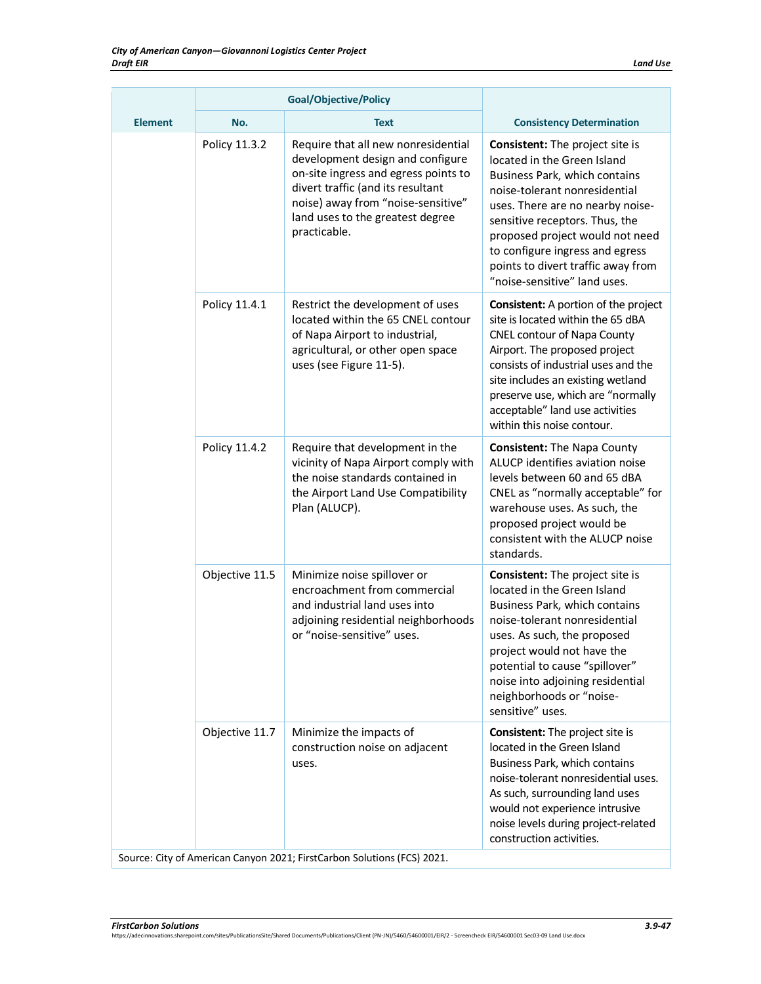|                | <b>Goal/Objective/Policy</b> |                                                                                                                                                                                                                                                |                                                                                                                                                                                                                                                                                                                                                           |
|----------------|------------------------------|------------------------------------------------------------------------------------------------------------------------------------------------------------------------------------------------------------------------------------------------|-----------------------------------------------------------------------------------------------------------------------------------------------------------------------------------------------------------------------------------------------------------------------------------------------------------------------------------------------------------|
| <b>Element</b> | No.                          | <b>Text</b>                                                                                                                                                                                                                                    | <b>Consistency Determination</b>                                                                                                                                                                                                                                                                                                                          |
|                | Policy 11.3.2                | Require that all new nonresidential<br>development design and configure<br>on-site ingress and egress points to<br>divert traffic (and its resultant<br>noise) away from "noise-sensitive"<br>land uses to the greatest degree<br>practicable. | <b>Consistent:</b> The project site is<br>located in the Green Island<br>Business Park, which contains<br>noise-tolerant nonresidential<br>uses. There are no nearby noise-<br>sensitive receptors. Thus, the<br>proposed project would not need<br>to configure ingress and egress<br>points to divert traffic away from<br>"noise-sensitive" land uses. |
|                | Policy 11.4.1                | Restrict the development of uses<br>located within the 65 CNEL contour<br>of Napa Airport to industrial,<br>agricultural, or other open space<br>uses (see Figure 11-5).                                                                       | <b>Consistent:</b> A portion of the project<br>site is located within the 65 dBA<br><b>CNEL contour of Napa County</b><br>Airport. The proposed project<br>consists of industrial uses and the<br>site includes an existing wetland<br>preserve use, which are "normally<br>acceptable" land use activities<br>within this noise contour.                 |
|                | Policy 11.4.2                | Require that development in the<br>vicinity of Napa Airport comply with<br>the noise standards contained in<br>the Airport Land Use Compatibility<br>Plan (ALUCP).                                                                             | <b>Consistent:</b> The Napa County<br>ALUCP identifies aviation noise<br>levels between 60 and 65 dBA<br>CNEL as "normally acceptable" for<br>warehouse uses. As such, the<br>proposed project would be<br>consistent with the ALUCP noise<br>standards.                                                                                                  |
|                | Objective 11.5               | Minimize noise spillover or<br>encroachment from commercial<br>and industrial land uses into<br>adjoining residential neighborhoods<br>or "noise-sensitive" uses.                                                                              | <b>Consistent:</b> The project site is<br>located in the Green Island<br>Business Park, which contains<br>noise-tolerant nonresidential<br>uses. As such, the proposed<br>project would not have the<br>potential to cause "spillover"<br>noise into adjoining residential<br>neighborhoods or "noise-<br>sensitive" uses.                                |
|                | Objective 11.7               | Minimize the impacts of<br>construction noise on adjacent<br>uses.                                                                                                                                                                             | <b>Consistent:</b> The project site is<br>located in the Green Island<br>Business Park, which contains<br>noise-tolerant nonresidential uses.<br>As such, surrounding land uses<br>would not experience intrusive<br>noise levels during project-related<br>construction activities.                                                                      |

Source: City of American Canyon 2021; FirstCarbon Solutions(FCS) 2021.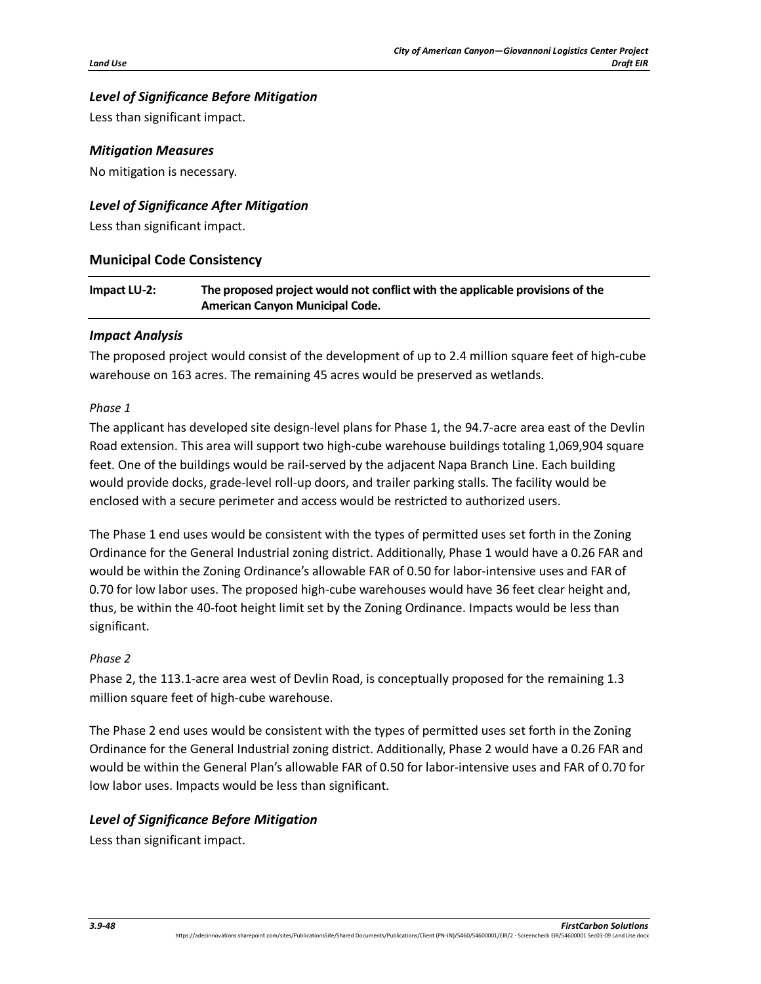# *Level of Significance Before Mitigation*

Less than significant impact.

#### *Mitigation Measures*

No mitigation is necessary.

## *Level of Significance After Mitigation*

Less than significant impact.

## **Municipal Code Consistency**

## **Impact LU-2: The proposed project would not conflict with the applicable provisions of the American Canyon Municipal Code.**

## *Impact Analysis*

The proposed project would consist of the development of up to 2.4 million square feet of high-cube warehouse on 163 acres. The remaining 45 acres would be preserved as wetlands.

#### *Phase 1*

The applicant has developed site design-level plans for Phase 1, the 94.7-acre area east of the Devlin Road extension. This area will support two high-cube warehouse buildings totaling 1,069,904 square feet. One of the buildings would be rail-served by the adjacent Napa Branch Line. Each building would provide docks, grade-level roll-up doors, and trailer parking stalls. The facility would be enclosed with a secure perimeter and access would be restricted to authorized users.

The Phase 1 end uses would be consistent with the types of permitted uses set forth in the Zoning Ordinance for the General Industrial zoning district. Additionally, Phase 1 would have a 0.26 FAR and would be within the Zoning Ordinance's allowable FAR of 0.50 for labor-intensive uses and FAR of 0.70 for low labor uses. The proposed high-cube warehouses would have 36 feet clear height and, thus, be within the 40-foot height limit set by the Zoning Ordinance. Impacts would be less than significant.

## *Phase 2*

Phase 2, the 113.1-acre area west of Devlin Road, is conceptually proposed for the remaining 1.3 million square feet of high-cube warehouse.

The Phase 2 end uses would be consistent with the types of permitted uses set forth in the Zoning Ordinance for the General Industrial zoning district. Additionally, Phase 2 would have a 0.26 FAR and would be within the General Plan's allowable FAR of 0.50 for labor-intensive uses and FAR of 0.70 for low labor uses. Impacts would be less than significant.

## *Level of Significance Before Mitigation*

Less than significant impact.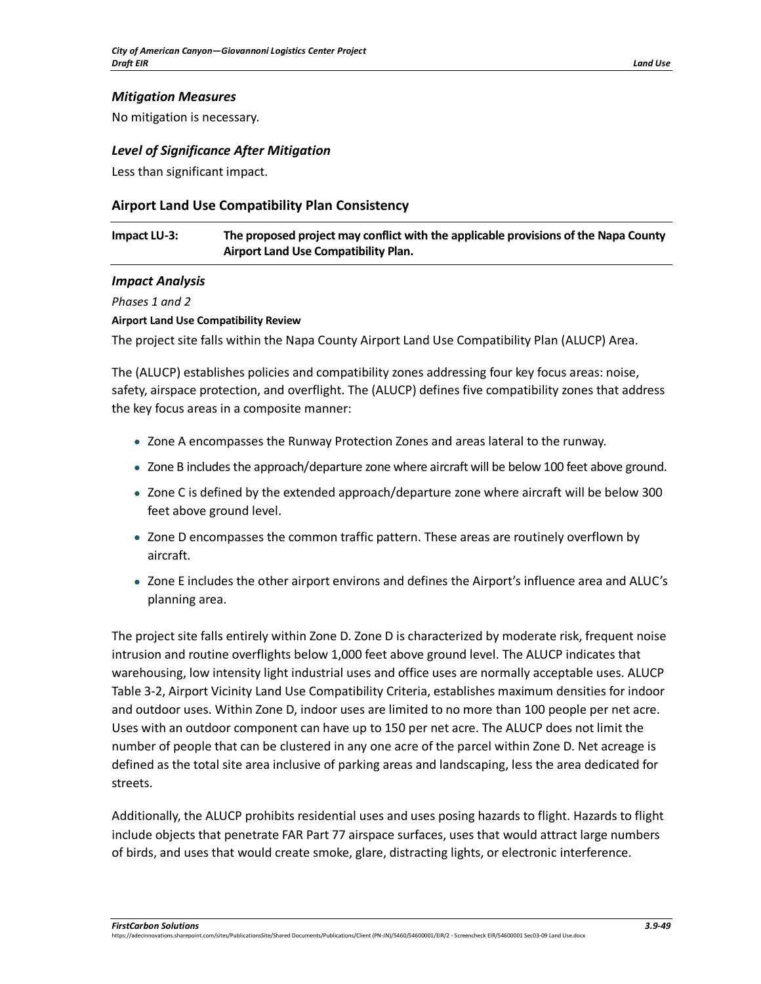## *Mitigation Measures*

No mitigation is necessary.

#### *Level of Significance After Mitigation*

Less than significant impact.

## **Airport Land Use Compatibility Plan Consistency**

## **Impact LU-3: The proposed project may conflict with the applicable provisions of the Napa County Airport Land Use Compatibility Plan.**

#### *Impact Analysis*

*Phases 1 and 2*

#### **Airport Land Use Compatibility Review**

The project site falls within the Napa County Airport Land Use Compatibility Plan (ALUCP) Area.

The (ALUCP) establishes policies and compatibility zones addressing four key focus areas: noise, safety, airspace protection, and overflight. The (ALUCP) defines five compatibility zones that address the key focus areas in a composite manner:

- Zone A encompasses the Runway Protection Zones and areas lateral to the runway.
- Zone B includes the approach/departure zone where aircraft will be below 100 feet above ground.
- Zone C is defined by the extended approach/departure zone where aircraft will be below 300 feet above ground level.
- Zone D encompasses the common traffic pattern. These areas are routinely overflown by aircraft.
- Zone E includes the other airport environs and defines the Airport's influence area and ALUC's planning area.

The project site falls entirely within Zone D. Zone D is characterized by moderate risk, frequent noise intrusion and routine overflights below 1,000 feet above ground level. The ALUCP indicates that warehousing, low intensity light industrial uses and office uses are normally acceptable uses. ALUCP Table 3-2, Airport Vicinity Land Use Compatibility Criteria, establishes maximum densities for indoor and outdoor uses. Within Zone D, indoor uses are limited to no more than 100 people per net acre. Uses with an outdoor component can have up to 150 per net acre. The ALUCP does not limit the number of people that can be clustered in any one acre of the parcel within Zone D. Net acreage is defined as the total site area inclusive of parking areas and landscaping, less the area dedicated for streets.

Additionally, the ALUCP prohibits residential uses and uses posing hazards to flight. Hazards to flight include objects that penetrate FAR Part 77 airspace surfaces, uses that would attract large numbers of birds, and uses that would create smoke, glare, distracting lights, or electronic interference.

*FirstCarbon Solutions 3.9-49*

ht.com/sites/PublicationsSite/Shared Documents/Publications/Client (PN-JN)/5460/54600001/EIR/2 - Screencheck EIR/54600001 Sec03-09 Land Use.docx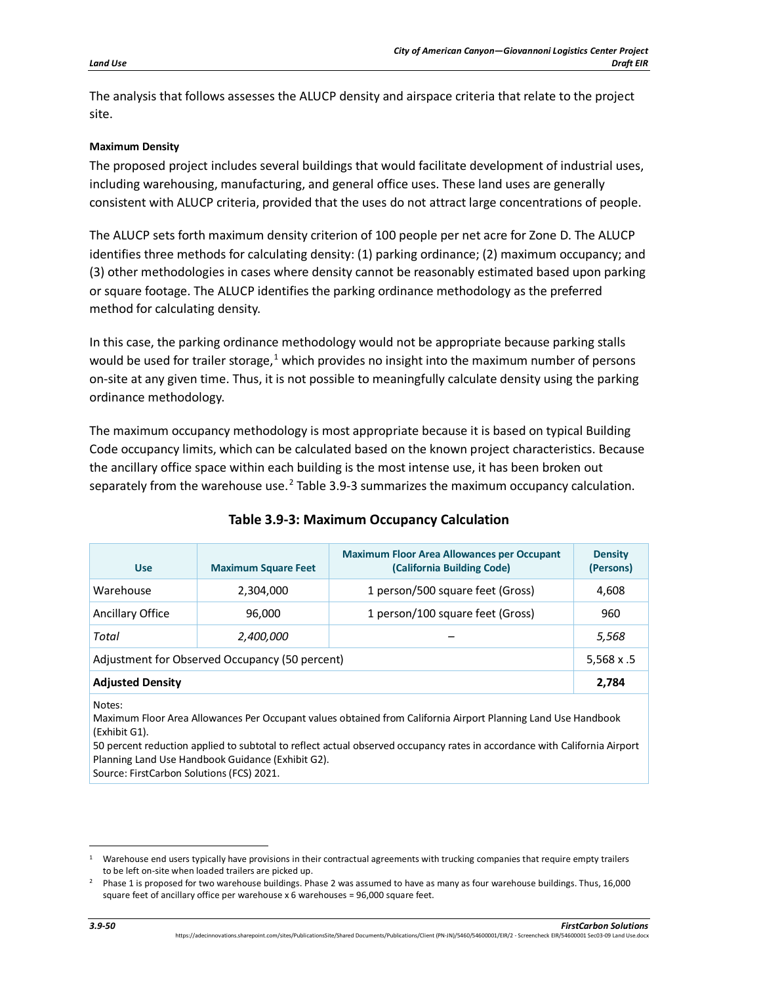The analysis that follows assesses the ALUCP density and airspace criteria that relate to the project site.

#### **Maximum Density**

The proposed project includes several buildings that would facilitate development of industrial uses, including warehousing, manufacturing, and general office uses. These land uses are generally consistent with ALUCP criteria, provided that the uses do not attract large concentrations of people.

The ALUCP sets forth maximum density criterion of 100 people per net acre for Zone D. The ALUCP identifies three methods for calculating density: (1) parking ordinance; (2) maximum occupancy; and (3) other methodologies in cases where density cannot be reasonably estimated based upon parking or square footage. The ALUCP identifies the parking ordinance methodology as the preferred method for calculating density.

In this case, the parking ordinance methodology would not be appropriate because parking stalls would be used for trailer storage,<sup>[1](#page-49-0)</sup> which provides no insight into the maximum number of persons on-site at any given time. Thus, it is not possible to meaningfully calculate density using the parking ordinance methodology.

The maximum occupancy methodology is most appropriate because it is based on typical Building Code occupancy limits, which can be calculated based on the known project characteristics. Because the ancillary office space within each building is the most intense use, it has been broken out separately from the warehouse use.<sup>[2](#page-49-1)</sup> Table 3.9-3 summarizes the maximum occupancy calculation.

| <b>Use</b>                                     | <b>Maximum Square Feet</b> | <b>Maximum Floor Area Allowances per Occupant</b><br>(California Building Code) | <b>Density</b><br>(Persons) |  |
|------------------------------------------------|----------------------------|---------------------------------------------------------------------------------|-----------------------------|--|
| Warehouse                                      | 2,304,000                  | 1 person/500 square feet (Gross)                                                | 4,608                       |  |
| <b>Ancillary Office</b>                        | 96,000                     | 1 person/100 square feet (Gross)                                                | 960                         |  |
| Total                                          | 2,400,000                  |                                                                                 | 5,568                       |  |
| Adjustment for Observed Occupancy (50 percent) |                            |                                                                                 |                             |  |
| <b>Adjusted Density</b>                        |                            |                                                                                 | 2,784                       |  |

Maximum Floor Area Allowances Per Occupant values obtained from California Airport Planning Land Use Handbook (Exhibit G1).

50 percent reduction applied to subtotal to reflect actual observed occupancy rates in accordance with California Airport Planning Land Use Handbook Guidance (Exhibit G2).

Source: FirstCarbon Solutions (FCS) 2021.

Notes:

<span id="page-49-0"></span> $1$  Warehouse end users typically have provisions in their contractual agreements with trucking companies that require empty trailers

<span id="page-49-1"></span>to be left on-site when loaded trailers are picked up.<br>Phase 1 is proposed for two warehouse buildings. Phase 2 was assumed to have as many as four warehouse buildings. Thus, 16,000 square feet of ancillary office per warehouse x 6 warehouses = 96,000 square feet.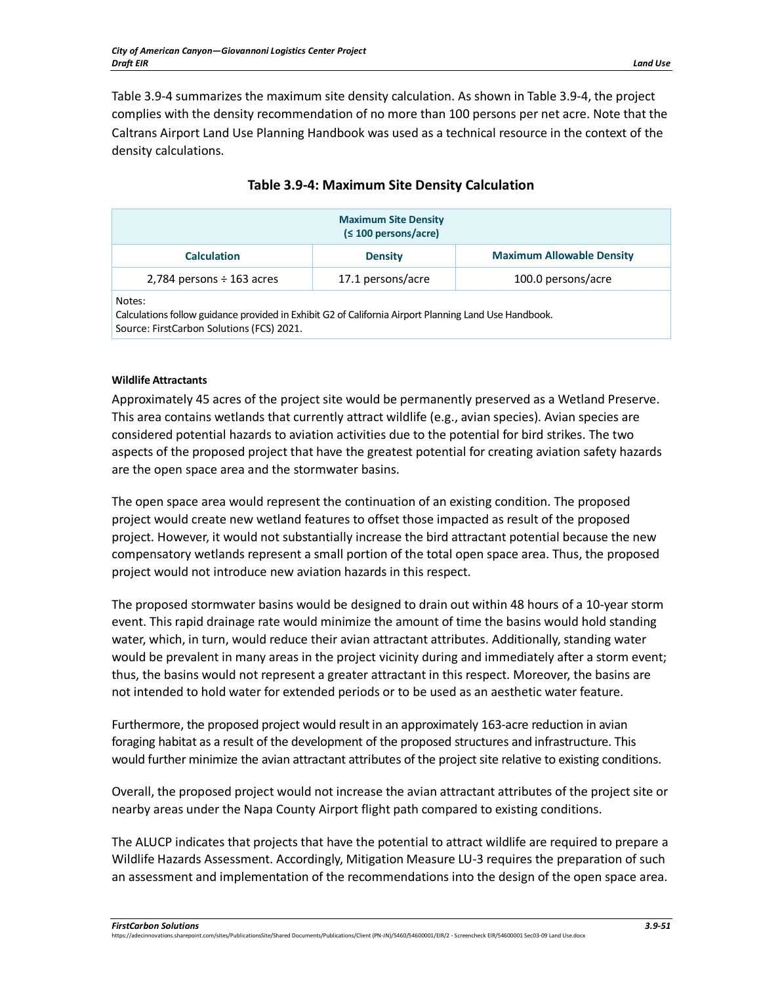Table 3.9-4 summarizes the maximum site density calculation. As shown in Table 3.9-4, the project complies with the density recommendation of no more than 100 persons per net acre. Note that the Caltrans Airport Land Use Planning Handbook was used as a technical resource in the context of the density calculations.

| <b>Maximum Site Density</b><br>(≤ 100 persons/acre) |                   |                                  |  |  |
|-----------------------------------------------------|-------------------|----------------------------------|--|--|
| <b>Calculation</b>                                  | <b>Density</b>    | <b>Maximum Allowable Density</b> |  |  |
| 2,784 persons $\div$ 163 acres                      | 17.1 persons/acre | 100.0 persons/acre               |  |  |
| Notes:<br>_ _ .<br>.                                |                   |                                  |  |  |

# **Table 3.9-4: Maximum Site Density Calculation**

Calculations follow guidance provided in Exhibit G2 of California Airport Planning Land Use Handbook. Source: FirstCarbon Solutions (FCS) 2021.

## **Wildlife Attractants**

Approximately 45 acres of the project site would be permanently preserved as a Wetland Preserve. This area contains wetlands that currently attract wildlife (e.g., avian species). Avian species are considered potential hazards to aviation activities due to the potential for bird strikes. The two aspects of the proposed project that have the greatest potential for creating aviation safety hazards are the open space area and the stormwater basins.

The open space area would represent the continuation of an existing condition. The proposed project would create new wetland features to offset those impacted as result of the proposed project. However, it would not substantially increase the bird attractant potential because the new compensatory wetlands represent a small portion of the total open space area. Thus, the proposed project would not introduce new aviation hazards in this respect.

The proposed stormwater basins would be designed to drain out within 48 hours of a 10-year storm event. This rapid drainage rate would minimize the amount of time the basins would hold standing water, which, in turn, would reduce their avian attractant attributes. Additionally, standing water would be prevalent in many areas in the project vicinity during and immediately after a storm event; thus, the basins would not represent a greater attractant in this respect. Moreover, the basins are not intended to hold water for extended periods or to be used as an aesthetic water feature.

Furthermore, the proposed project would result in an approximately 163-acre reduction in avian foraging habitat as a result of the development of the proposed structures and infrastructure. This would further minimize the avian attractant attributes of the project site relative to existing conditions.

Overall, the proposed project would not increase the avian attractant attributes of the project site or nearby areas under the Napa County Airport flight path compared to existing conditions.

The ALUCP indicates that projects that have the potential to attract wildlife are required to prepare a Wildlife Hazards Assessment. Accordingly, Mitigation Measure LU-3 requires the preparation of such an assessment and implementation of the recommendations into the design of the open space area.